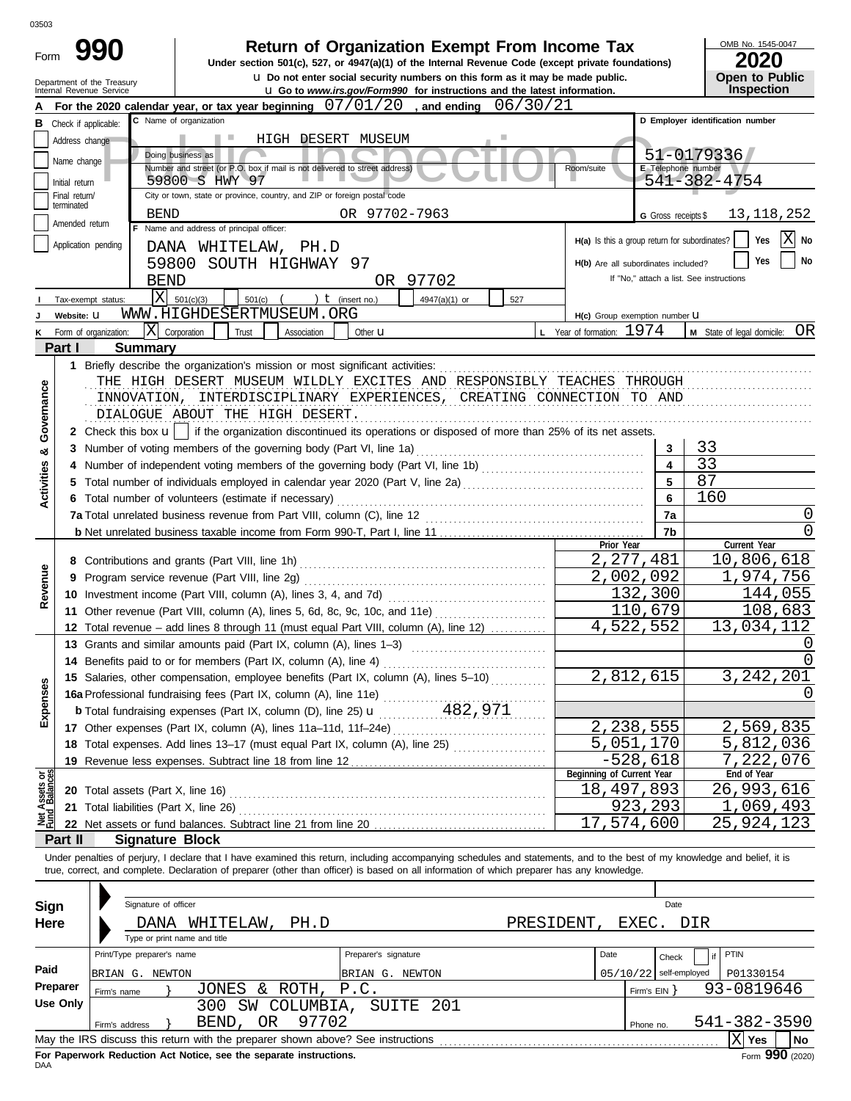| OMB No. 1545-0047<br>Return of Organization Exempt From Income Tax<br>990<br>Form<br>2020<br>Under section 501(c), 527, or 4947(a)(1) of the Internal Revenue Code (except private foundations)<br><b>u</b> Do not enter social security numbers on this form as it may be made public.<br>Open to Public<br>Department of the Treasury<br>Inspection<br><b>u</b> Go to www.irs.gov/Form990 for instructions and the latest information.<br>Internal Revenue Service<br>For the 2020 calendar year, or tax year beginning $07/01/20$ , and ending $06/30/21$<br>C Name of organization<br>D Employer identification number<br><b>B</b> Check if applicable:<br>Address change<br>HIGH DESERT MUSEUM<br>51-0179336<br>Doing business as<br>Name change<br>Number and street (or P.O. box if mail is not delivered to street address)<br>E Telephone number<br>Room/suite<br>541-382-4754<br>59800 S HWY 97<br>Initial return<br>City or town, state or province, country, and ZIP or foreign postal code<br>Final return/<br>terminated<br>OR 97702-7963<br>13, 118, 252<br><b>BEND</b><br>G Gross receipts \$<br>Amended return<br>F Name and address of principal officer:<br>X<br>H(a) Is this a group return for subordinates?<br>Yes<br><b>No</b><br>Application pending<br>DANA WHITELAW, PH.D<br>No<br>Yes<br>59800 SOUTH HIGHWAY 97<br>H(b) Are all subordinates included?<br>If "No," attach a list. See instructions<br><b>BEND</b><br>OR 97702<br>$\overline{\mathrm{X}}$<br>501(c)(3)<br>501(c)<br>) $t$ (insert no.)<br>4947(a)(1) or<br>527<br>Tax-exempt status:<br>WWW.HIGHDESERTMUSEUM.ORG<br>Website: U<br>H(c) Group exemption number U<br>lxl<br>L Year of formation: 1974<br>M State of legal domicile: OR<br>Corporation<br>Form of organization:<br>Trust<br>Association<br>Other $\mathbf u$<br>Part I<br><b>Summary</b><br>1 Briefly describe the organization's mission or most significant activities:<br>THE HIGH DESERT MUSEUM WILDLY EXCITES AND RESPONSIBLY TEACHES THROUGH<br>Governance<br>INNOVATION, INTERDISCIPLINARY EXPERIENCES, CREATING CONNECTION TO AND<br>DIALOGUE ABOUT THE HIGH DESERT.<br>2 Check this box $\mathbf{u}$   if the organization discontinued its operations or disposed of more than 25% of its net assets.<br>33<br>3 Number of voting members of the governing body (Part VI, line 1a)<br>3<br>ಳ<br>33<br>$\overline{\mathbf{4}}$<br><b>Activities</b><br>87<br>5<br>5 Total number of individuals employed in calendar year 2020 (Part V, line 2a) [[[[[[[[[[[[[[[[[[[[[[[[[[[[[[[<br>$6\phantom{1}$<br>160<br>6 Total number of volunteers (estimate if necessary)<br>0<br>7a<br>7a Total unrelated business revenue from Part VIII, column (C), line 12<br>0<br>7b<br>Prior Year<br>Current Year<br>2, 277, 481<br>10,806,618<br>Revenue<br>2,002,092<br>1,974,756<br>9 Program service revenue (Part VIII, line 2g)<br>132,300<br>144,055<br>108,683<br>110,679<br>11 Other revenue (Part VIII, column (A), lines 5, 6d, 8c, 9c, 10c, and 11e)<br>4,522,552<br>13,034,112<br>12 Total revenue - add lines 8 through 11 (must equal Part VIII, column (A), line 12)<br>0<br>13 Grants and similar amounts paid (Part IX, column (A), lines 1-3)<br>$\overline{0}$<br>14 Benefits paid to or for members (Part IX, column (A), line 4)<br>$\overline{2}$ , 812, 615<br>3, 242, 201<br>15 Salaries, other compensation, employee benefits (Part IX, column (A), lines 5-10)<br>Expenses<br>0<br>2,238,555<br>2,569,835<br>5,051,170<br>5,812,036<br>18 Total expenses. Add lines 13-17 (must equal Part IX, column (A), line 25)<br>$-528,618$<br>7,222,076<br>19 Revenue less expenses. Subtract line 18 from line 12<br>Beginning of Current Year<br>ăğ<br>End of Year<br>Assets<br>1 Balanc<br>18,497,893<br>26,993,616<br>20 Total assets (Part X, line 16)<br>923, 293<br>1,069,493<br>21 Total liabilities (Part X, line 26)<br>$\overline{17}$ , 574, 600<br>25,924,123<br>Part II<br><b>Signature Block</b><br>Under penalties of perjury, I declare that I have examined this return, including accompanying schedules and statements, and to the best of my knowledge and belief, it is<br>true, correct, and complete. Declaration of preparer (other than officer) is based on all information of which preparer has any knowledge.<br>Signature of officer<br>Date<br>Sign<br>Here<br>PH.D<br>PRESIDENT,<br>EXEC. DIR<br>DANA WHITELAW,<br>Type or print name and title<br>Print/Type preparer's name<br>Preparer's signature<br>PTIN<br>Date<br>Check<br>if<br>Paid<br>$05/10/22$ self-employed<br>BRIAN G. NEWTON<br>P01330154<br>BRIAN G. NEWTON<br>Preparer<br>JONES & ROTH, P.C.<br>93-0819646<br>Firm's $EIN$ }<br>Firm's name<br><b>Use Only</b><br>300 SW COLUMBIA, SUITE 201<br>97702<br>541-382-3590<br>BEND, OR<br>Firm's address<br>Phone no.<br>No | 03503 |  |  |                    |
|--------------------------------------------------------------------------------------------------------------------------------------------------------------------------------------------------------------------------------------------------------------------------------------------------------------------------------------------------------------------------------------------------------------------------------------------------------------------------------------------------------------------------------------------------------------------------------------------------------------------------------------------------------------------------------------------------------------------------------------------------------------------------------------------------------------------------------------------------------------------------------------------------------------------------------------------------------------------------------------------------------------------------------------------------------------------------------------------------------------------------------------------------------------------------------------------------------------------------------------------------------------------------------------------------------------------------------------------------------------------------------------------------------------------------------------------------------------------------------------------------------------------------------------------------------------------------------------------------------------------------------------------------------------------------------------------------------------------------------------------------------------------------------------------------------------------------------------------------------------------------------------------------------------------------------------------------------------------------------------------------------------------------------------------------------------------------------------------------------------------------------------------------------------------------------------------------------------------------------------------------------------------------------------------------------------------------------------------------------------------------------------------------------------------------------------------------------------------------------------------------------------------------------------------------------------------------------------------------------------------------------------------------------------------------------------------------------------------------------------------------------------------------------------------------------------------------------------------------------------------------------------------------------------------------------------------------------------------------------------------------------------------------------------------------------------------------------------------------------------------------------------------------------------------------------------------------------------------------------------------------------------------------------------------------------------------------------------------------------------------------------------------------------------------------------------------------------------------------------------------------------------------------------------------------------------------------------------------------------------------------------------------------------------------------------------------------------------------------------------------------------------------------------------------------------------------------------------------------------------------------------------------------------------------------------------------------------------------------------------------------------------------------------------------------------------------------------------------------------------------------------------------------------------------------------------------------------------------------------------------------------------------------------------------------------------------------------------------------------------------------------------------------------------------------------------------------------------------------------------------------------------------------------------------------------------------------------------------------------------------------------------------------------------------------------------------------------------------------------------------------------------------------------------------------------------------------------------------|-------|--|--|--------------------|
|                                                                                                                                                                                                                                                                                                                                                                                                                                                                                                                                                                                                                                                                                                                                                                                                                                                                                                                                                                                                                                                                                                                                                                                                                                                                                                                                                                                                                                                                                                                                                                                                                                                                                                                                                                                                                                                                                                                                                                                                                                                                                                                                                                                                                                                                                                                                                                                                                                                                                                                                                                                                                                                                                                                                                                                                                                                                                                                                                                                                                                                                                                                                                                                                                                                                                                                                                                                                                                                                                                                                                                                                                                                                                                                                                                                                                                                                                                                                                                                                                                                                                                                                                                                                                                                                                                                                                                                                                                                                                                                                                                                                                                                                                                                                                                                                                                            |       |  |  |                    |
|                                                                                                                                                                                                                                                                                                                                                                                                                                                                                                                                                                                                                                                                                                                                                                                                                                                                                                                                                                                                                                                                                                                                                                                                                                                                                                                                                                                                                                                                                                                                                                                                                                                                                                                                                                                                                                                                                                                                                                                                                                                                                                                                                                                                                                                                                                                                                                                                                                                                                                                                                                                                                                                                                                                                                                                                                                                                                                                                                                                                                                                                                                                                                                                                                                                                                                                                                                                                                                                                                                                                                                                                                                                                                                                                                                                                                                                                                                                                                                                                                                                                                                                                                                                                                                                                                                                                                                                                                                                                                                                                                                                                                                                                                                                                                                                                                                            |       |  |  |                    |
|                                                                                                                                                                                                                                                                                                                                                                                                                                                                                                                                                                                                                                                                                                                                                                                                                                                                                                                                                                                                                                                                                                                                                                                                                                                                                                                                                                                                                                                                                                                                                                                                                                                                                                                                                                                                                                                                                                                                                                                                                                                                                                                                                                                                                                                                                                                                                                                                                                                                                                                                                                                                                                                                                                                                                                                                                                                                                                                                                                                                                                                                                                                                                                                                                                                                                                                                                                                                                                                                                                                                                                                                                                                                                                                                                                                                                                                                                                                                                                                                                                                                                                                                                                                                                                                                                                                                                                                                                                                                                                                                                                                                                                                                                                                                                                                                                                            |       |  |  |                    |
|                                                                                                                                                                                                                                                                                                                                                                                                                                                                                                                                                                                                                                                                                                                                                                                                                                                                                                                                                                                                                                                                                                                                                                                                                                                                                                                                                                                                                                                                                                                                                                                                                                                                                                                                                                                                                                                                                                                                                                                                                                                                                                                                                                                                                                                                                                                                                                                                                                                                                                                                                                                                                                                                                                                                                                                                                                                                                                                                                                                                                                                                                                                                                                                                                                                                                                                                                                                                                                                                                                                                                                                                                                                                                                                                                                                                                                                                                                                                                                                                                                                                                                                                                                                                                                                                                                                                                                                                                                                                                                                                                                                                                                                                                                                                                                                                                                            |       |  |  |                    |
|                                                                                                                                                                                                                                                                                                                                                                                                                                                                                                                                                                                                                                                                                                                                                                                                                                                                                                                                                                                                                                                                                                                                                                                                                                                                                                                                                                                                                                                                                                                                                                                                                                                                                                                                                                                                                                                                                                                                                                                                                                                                                                                                                                                                                                                                                                                                                                                                                                                                                                                                                                                                                                                                                                                                                                                                                                                                                                                                                                                                                                                                                                                                                                                                                                                                                                                                                                                                                                                                                                                                                                                                                                                                                                                                                                                                                                                                                                                                                                                                                                                                                                                                                                                                                                                                                                                                                                                                                                                                                                                                                                                                                                                                                                                                                                                                                                            |       |  |  |                    |
|                                                                                                                                                                                                                                                                                                                                                                                                                                                                                                                                                                                                                                                                                                                                                                                                                                                                                                                                                                                                                                                                                                                                                                                                                                                                                                                                                                                                                                                                                                                                                                                                                                                                                                                                                                                                                                                                                                                                                                                                                                                                                                                                                                                                                                                                                                                                                                                                                                                                                                                                                                                                                                                                                                                                                                                                                                                                                                                                                                                                                                                                                                                                                                                                                                                                                                                                                                                                                                                                                                                                                                                                                                                                                                                                                                                                                                                                                                                                                                                                                                                                                                                                                                                                                                                                                                                                                                                                                                                                                                                                                                                                                                                                                                                                                                                                                                            |       |  |  |                    |
|                                                                                                                                                                                                                                                                                                                                                                                                                                                                                                                                                                                                                                                                                                                                                                                                                                                                                                                                                                                                                                                                                                                                                                                                                                                                                                                                                                                                                                                                                                                                                                                                                                                                                                                                                                                                                                                                                                                                                                                                                                                                                                                                                                                                                                                                                                                                                                                                                                                                                                                                                                                                                                                                                                                                                                                                                                                                                                                                                                                                                                                                                                                                                                                                                                                                                                                                                                                                                                                                                                                                                                                                                                                                                                                                                                                                                                                                                                                                                                                                                                                                                                                                                                                                                                                                                                                                                                                                                                                                                                                                                                                                                                                                                                                                                                                                                                            |       |  |  |                    |
|                                                                                                                                                                                                                                                                                                                                                                                                                                                                                                                                                                                                                                                                                                                                                                                                                                                                                                                                                                                                                                                                                                                                                                                                                                                                                                                                                                                                                                                                                                                                                                                                                                                                                                                                                                                                                                                                                                                                                                                                                                                                                                                                                                                                                                                                                                                                                                                                                                                                                                                                                                                                                                                                                                                                                                                                                                                                                                                                                                                                                                                                                                                                                                                                                                                                                                                                                                                                                                                                                                                                                                                                                                                                                                                                                                                                                                                                                                                                                                                                                                                                                                                                                                                                                                                                                                                                                                                                                                                                                                                                                                                                                                                                                                                                                                                                                                            |       |  |  |                    |
|                                                                                                                                                                                                                                                                                                                                                                                                                                                                                                                                                                                                                                                                                                                                                                                                                                                                                                                                                                                                                                                                                                                                                                                                                                                                                                                                                                                                                                                                                                                                                                                                                                                                                                                                                                                                                                                                                                                                                                                                                                                                                                                                                                                                                                                                                                                                                                                                                                                                                                                                                                                                                                                                                                                                                                                                                                                                                                                                                                                                                                                                                                                                                                                                                                                                                                                                                                                                                                                                                                                                                                                                                                                                                                                                                                                                                                                                                                                                                                                                                                                                                                                                                                                                                                                                                                                                                                                                                                                                                                                                                                                                                                                                                                                                                                                                                                            |       |  |  |                    |
|                                                                                                                                                                                                                                                                                                                                                                                                                                                                                                                                                                                                                                                                                                                                                                                                                                                                                                                                                                                                                                                                                                                                                                                                                                                                                                                                                                                                                                                                                                                                                                                                                                                                                                                                                                                                                                                                                                                                                                                                                                                                                                                                                                                                                                                                                                                                                                                                                                                                                                                                                                                                                                                                                                                                                                                                                                                                                                                                                                                                                                                                                                                                                                                                                                                                                                                                                                                                                                                                                                                                                                                                                                                                                                                                                                                                                                                                                                                                                                                                                                                                                                                                                                                                                                                                                                                                                                                                                                                                                                                                                                                                                                                                                                                                                                                                                                            |       |  |  |                    |
|                                                                                                                                                                                                                                                                                                                                                                                                                                                                                                                                                                                                                                                                                                                                                                                                                                                                                                                                                                                                                                                                                                                                                                                                                                                                                                                                                                                                                                                                                                                                                                                                                                                                                                                                                                                                                                                                                                                                                                                                                                                                                                                                                                                                                                                                                                                                                                                                                                                                                                                                                                                                                                                                                                                                                                                                                                                                                                                                                                                                                                                                                                                                                                                                                                                                                                                                                                                                                                                                                                                                                                                                                                                                                                                                                                                                                                                                                                                                                                                                                                                                                                                                                                                                                                                                                                                                                                                                                                                                                                                                                                                                                                                                                                                                                                                                                                            |       |  |  |                    |
|                                                                                                                                                                                                                                                                                                                                                                                                                                                                                                                                                                                                                                                                                                                                                                                                                                                                                                                                                                                                                                                                                                                                                                                                                                                                                                                                                                                                                                                                                                                                                                                                                                                                                                                                                                                                                                                                                                                                                                                                                                                                                                                                                                                                                                                                                                                                                                                                                                                                                                                                                                                                                                                                                                                                                                                                                                                                                                                                                                                                                                                                                                                                                                                                                                                                                                                                                                                                                                                                                                                                                                                                                                                                                                                                                                                                                                                                                                                                                                                                                                                                                                                                                                                                                                                                                                                                                                                                                                                                                                                                                                                                                                                                                                                                                                                                                                            |       |  |  |                    |
|                                                                                                                                                                                                                                                                                                                                                                                                                                                                                                                                                                                                                                                                                                                                                                                                                                                                                                                                                                                                                                                                                                                                                                                                                                                                                                                                                                                                                                                                                                                                                                                                                                                                                                                                                                                                                                                                                                                                                                                                                                                                                                                                                                                                                                                                                                                                                                                                                                                                                                                                                                                                                                                                                                                                                                                                                                                                                                                                                                                                                                                                                                                                                                                                                                                                                                                                                                                                                                                                                                                                                                                                                                                                                                                                                                                                                                                                                                                                                                                                                                                                                                                                                                                                                                                                                                                                                                                                                                                                                                                                                                                                                                                                                                                                                                                                                                            |       |  |  |                    |
|                                                                                                                                                                                                                                                                                                                                                                                                                                                                                                                                                                                                                                                                                                                                                                                                                                                                                                                                                                                                                                                                                                                                                                                                                                                                                                                                                                                                                                                                                                                                                                                                                                                                                                                                                                                                                                                                                                                                                                                                                                                                                                                                                                                                                                                                                                                                                                                                                                                                                                                                                                                                                                                                                                                                                                                                                                                                                                                                                                                                                                                                                                                                                                                                                                                                                                                                                                                                                                                                                                                                                                                                                                                                                                                                                                                                                                                                                                                                                                                                                                                                                                                                                                                                                                                                                                                                                                                                                                                                                                                                                                                                                                                                                                                                                                                                                                            |       |  |  |                    |
|                                                                                                                                                                                                                                                                                                                                                                                                                                                                                                                                                                                                                                                                                                                                                                                                                                                                                                                                                                                                                                                                                                                                                                                                                                                                                                                                                                                                                                                                                                                                                                                                                                                                                                                                                                                                                                                                                                                                                                                                                                                                                                                                                                                                                                                                                                                                                                                                                                                                                                                                                                                                                                                                                                                                                                                                                                                                                                                                                                                                                                                                                                                                                                                                                                                                                                                                                                                                                                                                                                                                                                                                                                                                                                                                                                                                                                                                                                                                                                                                                                                                                                                                                                                                                                                                                                                                                                                                                                                                                                                                                                                                                                                                                                                                                                                                                                            |       |  |  |                    |
|                                                                                                                                                                                                                                                                                                                                                                                                                                                                                                                                                                                                                                                                                                                                                                                                                                                                                                                                                                                                                                                                                                                                                                                                                                                                                                                                                                                                                                                                                                                                                                                                                                                                                                                                                                                                                                                                                                                                                                                                                                                                                                                                                                                                                                                                                                                                                                                                                                                                                                                                                                                                                                                                                                                                                                                                                                                                                                                                                                                                                                                                                                                                                                                                                                                                                                                                                                                                                                                                                                                                                                                                                                                                                                                                                                                                                                                                                                                                                                                                                                                                                                                                                                                                                                                                                                                                                                                                                                                                                                                                                                                                                                                                                                                                                                                                                                            |       |  |  |                    |
|                                                                                                                                                                                                                                                                                                                                                                                                                                                                                                                                                                                                                                                                                                                                                                                                                                                                                                                                                                                                                                                                                                                                                                                                                                                                                                                                                                                                                                                                                                                                                                                                                                                                                                                                                                                                                                                                                                                                                                                                                                                                                                                                                                                                                                                                                                                                                                                                                                                                                                                                                                                                                                                                                                                                                                                                                                                                                                                                                                                                                                                                                                                                                                                                                                                                                                                                                                                                                                                                                                                                                                                                                                                                                                                                                                                                                                                                                                                                                                                                                                                                                                                                                                                                                                                                                                                                                                                                                                                                                                                                                                                                                                                                                                                                                                                                                                            |       |  |  |                    |
|                                                                                                                                                                                                                                                                                                                                                                                                                                                                                                                                                                                                                                                                                                                                                                                                                                                                                                                                                                                                                                                                                                                                                                                                                                                                                                                                                                                                                                                                                                                                                                                                                                                                                                                                                                                                                                                                                                                                                                                                                                                                                                                                                                                                                                                                                                                                                                                                                                                                                                                                                                                                                                                                                                                                                                                                                                                                                                                                                                                                                                                                                                                                                                                                                                                                                                                                                                                                                                                                                                                                                                                                                                                                                                                                                                                                                                                                                                                                                                                                                                                                                                                                                                                                                                                                                                                                                                                                                                                                                                                                                                                                                                                                                                                                                                                                                                            |       |  |  |                    |
|                                                                                                                                                                                                                                                                                                                                                                                                                                                                                                                                                                                                                                                                                                                                                                                                                                                                                                                                                                                                                                                                                                                                                                                                                                                                                                                                                                                                                                                                                                                                                                                                                                                                                                                                                                                                                                                                                                                                                                                                                                                                                                                                                                                                                                                                                                                                                                                                                                                                                                                                                                                                                                                                                                                                                                                                                                                                                                                                                                                                                                                                                                                                                                                                                                                                                                                                                                                                                                                                                                                                                                                                                                                                                                                                                                                                                                                                                                                                                                                                                                                                                                                                                                                                                                                                                                                                                                                                                                                                                                                                                                                                                                                                                                                                                                                                                                            |       |  |  |                    |
|                                                                                                                                                                                                                                                                                                                                                                                                                                                                                                                                                                                                                                                                                                                                                                                                                                                                                                                                                                                                                                                                                                                                                                                                                                                                                                                                                                                                                                                                                                                                                                                                                                                                                                                                                                                                                                                                                                                                                                                                                                                                                                                                                                                                                                                                                                                                                                                                                                                                                                                                                                                                                                                                                                                                                                                                                                                                                                                                                                                                                                                                                                                                                                                                                                                                                                                                                                                                                                                                                                                                                                                                                                                                                                                                                                                                                                                                                                                                                                                                                                                                                                                                                                                                                                                                                                                                                                                                                                                                                                                                                                                                                                                                                                                                                                                                                                            |       |  |  |                    |
|                                                                                                                                                                                                                                                                                                                                                                                                                                                                                                                                                                                                                                                                                                                                                                                                                                                                                                                                                                                                                                                                                                                                                                                                                                                                                                                                                                                                                                                                                                                                                                                                                                                                                                                                                                                                                                                                                                                                                                                                                                                                                                                                                                                                                                                                                                                                                                                                                                                                                                                                                                                                                                                                                                                                                                                                                                                                                                                                                                                                                                                                                                                                                                                                                                                                                                                                                                                                                                                                                                                                                                                                                                                                                                                                                                                                                                                                                                                                                                                                                                                                                                                                                                                                                                                                                                                                                                                                                                                                                                                                                                                                                                                                                                                                                                                                                                            |       |  |  |                    |
|                                                                                                                                                                                                                                                                                                                                                                                                                                                                                                                                                                                                                                                                                                                                                                                                                                                                                                                                                                                                                                                                                                                                                                                                                                                                                                                                                                                                                                                                                                                                                                                                                                                                                                                                                                                                                                                                                                                                                                                                                                                                                                                                                                                                                                                                                                                                                                                                                                                                                                                                                                                                                                                                                                                                                                                                                                                                                                                                                                                                                                                                                                                                                                                                                                                                                                                                                                                                                                                                                                                                                                                                                                                                                                                                                                                                                                                                                                                                                                                                                                                                                                                                                                                                                                                                                                                                                                                                                                                                                                                                                                                                                                                                                                                                                                                                                                            |       |  |  |                    |
|                                                                                                                                                                                                                                                                                                                                                                                                                                                                                                                                                                                                                                                                                                                                                                                                                                                                                                                                                                                                                                                                                                                                                                                                                                                                                                                                                                                                                                                                                                                                                                                                                                                                                                                                                                                                                                                                                                                                                                                                                                                                                                                                                                                                                                                                                                                                                                                                                                                                                                                                                                                                                                                                                                                                                                                                                                                                                                                                                                                                                                                                                                                                                                                                                                                                                                                                                                                                                                                                                                                                                                                                                                                                                                                                                                                                                                                                                                                                                                                                                                                                                                                                                                                                                                                                                                                                                                                                                                                                                                                                                                                                                                                                                                                                                                                                                                            |       |  |  |                    |
|                                                                                                                                                                                                                                                                                                                                                                                                                                                                                                                                                                                                                                                                                                                                                                                                                                                                                                                                                                                                                                                                                                                                                                                                                                                                                                                                                                                                                                                                                                                                                                                                                                                                                                                                                                                                                                                                                                                                                                                                                                                                                                                                                                                                                                                                                                                                                                                                                                                                                                                                                                                                                                                                                                                                                                                                                                                                                                                                                                                                                                                                                                                                                                                                                                                                                                                                                                                                                                                                                                                                                                                                                                                                                                                                                                                                                                                                                                                                                                                                                                                                                                                                                                                                                                                                                                                                                                                                                                                                                                                                                                                                                                                                                                                                                                                                                                            |       |  |  |                    |
|                                                                                                                                                                                                                                                                                                                                                                                                                                                                                                                                                                                                                                                                                                                                                                                                                                                                                                                                                                                                                                                                                                                                                                                                                                                                                                                                                                                                                                                                                                                                                                                                                                                                                                                                                                                                                                                                                                                                                                                                                                                                                                                                                                                                                                                                                                                                                                                                                                                                                                                                                                                                                                                                                                                                                                                                                                                                                                                                                                                                                                                                                                                                                                                                                                                                                                                                                                                                                                                                                                                                                                                                                                                                                                                                                                                                                                                                                                                                                                                                                                                                                                                                                                                                                                                                                                                                                                                                                                                                                                                                                                                                                                                                                                                                                                                                                                            |       |  |  |                    |
|                                                                                                                                                                                                                                                                                                                                                                                                                                                                                                                                                                                                                                                                                                                                                                                                                                                                                                                                                                                                                                                                                                                                                                                                                                                                                                                                                                                                                                                                                                                                                                                                                                                                                                                                                                                                                                                                                                                                                                                                                                                                                                                                                                                                                                                                                                                                                                                                                                                                                                                                                                                                                                                                                                                                                                                                                                                                                                                                                                                                                                                                                                                                                                                                                                                                                                                                                                                                                                                                                                                                                                                                                                                                                                                                                                                                                                                                                                                                                                                                                                                                                                                                                                                                                                                                                                                                                                                                                                                                                                                                                                                                                                                                                                                                                                                                                                            |       |  |  |                    |
|                                                                                                                                                                                                                                                                                                                                                                                                                                                                                                                                                                                                                                                                                                                                                                                                                                                                                                                                                                                                                                                                                                                                                                                                                                                                                                                                                                                                                                                                                                                                                                                                                                                                                                                                                                                                                                                                                                                                                                                                                                                                                                                                                                                                                                                                                                                                                                                                                                                                                                                                                                                                                                                                                                                                                                                                                                                                                                                                                                                                                                                                                                                                                                                                                                                                                                                                                                                                                                                                                                                                                                                                                                                                                                                                                                                                                                                                                                                                                                                                                                                                                                                                                                                                                                                                                                                                                                                                                                                                                                                                                                                                                                                                                                                                                                                                                                            |       |  |  |                    |
|                                                                                                                                                                                                                                                                                                                                                                                                                                                                                                                                                                                                                                                                                                                                                                                                                                                                                                                                                                                                                                                                                                                                                                                                                                                                                                                                                                                                                                                                                                                                                                                                                                                                                                                                                                                                                                                                                                                                                                                                                                                                                                                                                                                                                                                                                                                                                                                                                                                                                                                                                                                                                                                                                                                                                                                                                                                                                                                                                                                                                                                                                                                                                                                                                                                                                                                                                                                                                                                                                                                                                                                                                                                                                                                                                                                                                                                                                                                                                                                                                                                                                                                                                                                                                                                                                                                                                                                                                                                                                                                                                                                                                                                                                                                                                                                                                                            |       |  |  |                    |
|                                                                                                                                                                                                                                                                                                                                                                                                                                                                                                                                                                                                                                                                                                                                                                                                                                                                                                                                                                                                                                                                                                                                                                                                                                                                                                                                                                                                                                                                                                                                                                                                                                                                                                                                                                                                                                                                                                                                                                                                                                                                                                                                                                                                                                                                                                                                                                                                                                                                                                                                                                                                                                                                                                                                                                                                                                                                                                                                                                                                                                                                                                                                                                                                                                                                                                                                                                                                                                                                                                                                                                                                                                                                                                                                                                                                                                                                                                                                                                                                                                                                                                                                                                                                                                                                                                                                                                                                                                                                                                                                                                                                                                                                                                                                                                                                                                            |       |  |  |                    |
|                                                                                                                                                                                                                                                                                                                                                                                                                                                                                                                                                                                                                                                                                                                                                                                                                                                                                                                                                                                                                                                                                                                                                                                                                                                                                                                                                                                                                                                                                                                                                                                                                                                                                                                                                                                                                                                                                                                                                                                                                                                                                                                                                                                                                                                                                                                                                                                                                                                                                                                                                                                                                                                                                                                                                                                                                                                                                                                                                                                                                                                                                                                                                                                                                                                                                                                                                                                                                                                                                                                                                                                                                                                                                                                                                                                                                                                                                                                                                                                                                                                                                                                                                                                                                                                                                                                                                                                                                                                                                                                                                                                                                                                                                                                                                                                                                                            |       |  |  |                    |
|                                                                                                                                                                                                                                                                                                                                                                                                                                                                                                                                                                                                                                                                                                                                                                                                                                                                                                                                                                                                                                                                                                                                                                                                                                                                                                                                                                                                                                                                                                                                                                                                                                                                                                                                                                                                                                                                                                                                                                                                                                                                                                                                                                                                                                                                                                                                                                                                                                                                                                                                                                                                                                                                                                                                                                                                                                                                                                                                                                                                                                                                                                                                                                                                                                                                                                                                                                                                                                                                                                                                                                                                                                                                                                                                                                                                                                                                                                                                                                                                                                                                                                                                                                                                                                                                                                                                                                                                                                                                                                                                                                                                                                                                                                                                                                                                                                            |       |  |  |                    |
|                                                                                                                                                                                                                                                                                                                                                                                                                                                                                                                                                                                                                                                                                                                                                                                                                                                                                                                                                                                                                                                                                                                                                                                                                                                                                                                                                                                                                                                                                                                                                                                                                                                                                                                                                                                                                                                                                                                                                                                                                                                                                                                                                                                                                                                                                                                                                                                                                                                                                                                                                                                                                                                                                                                                                                                                                                                                                                                                                                                                                                                                                                                                                                                                                                                                                                                                                                                                                                                                                                                                                                                                                                                                                                                                                                                                                                                                                                                                                                                                                                                                                                                                                                                                                                                                                                                                                                                                                                                                                                                                                                                                                                                                                                                                                                                                                                            |       |  |  |                    |
|                                                                                                                                                                                                                                                                                                                                                                                                                                                                                                                                                                                                                                                                                                                                                                                                                                                                                                                                                                                                                                                                                                                                                                                                                                                                                                                                                                                                                                                                                                                                                                                                                                                                                                                                                                                                                                                                                                                                                                                                                                                                                                                                                                                                                                                                                                                                                                                                                                                                                                                                                                                                                                                                                                                                                                                                                                                                                                                                                                                                                                                                                                                                                                                                                                                                                                                                                                                                                                                                                                                                                                                                                                                                                                                                                                                                                                                                                                                                                                                                                                                                                                                                                                                                                                                                                                                                                                                                                                                                                                                                                                                                                                                                                                                                                                                                                                            |       |  |  |                    |
|                                                                                                                                                                                                                                                                                                                                                                                                                                                                                                                                                                                                                                                                                                                                                                                                                                                                                                                                                                                                                                                                                                                                                                                                                                                                                                                                                                                                                                                                                                                                                                                                                                                                                                                                                                                                                                                                                                                                                                                                                                                                                                                                                                                                                                                                                                                                                                                                                                                                                                                                                                                                                                                                                                                                                                                                                                                                                                                                                                                                                                                                                                                                                                                                                                                                                                                                                                                                                                                                                                                                                                                                                                                                                                                                                                                                                                                                                                                                                                                                                                                                                                                                                                                                                                                                                                                                                                                                                                                                                                                                                                                                                                                                                                                                                                                                                                            |       |  |  |                    |
|                                                                                                                                                                                                                                                                                                                                                                                                                                                                                                                                                                                                                                                                                                                                                                                                                                                                                                                                                                                                                                                                                                                                                                                                                                                                                                                                                                                                                                                                                                                                                                                                                                                                                                                                                                                                                                                                                                                                                                                                                                                                                                                                                                                                                                                                                                                                                                                                                                                                                                                                                                                                                                                                                                                                                                                                                                                                                                                                                                                                                                                                                                                                                                                                                                                                                                                                                                                                                                                                                                                                                                                                                                                                                                                                                                                                                                                                                                                                                                                                                                                                                                                                                                                                                                                                                                                                                                                                                                                                                                                                                                                                                                                                                                                                                                                                                                            |       |  |  |                    |
|                                                                                                                                                                                                                                                                                                                                                                                                                                                                                                                                                                                                                                                                                                                                                                                                                                                                                                                                                                                                                                                                                                                                                                                                                                                                                                                                                                                                                                                                                                                                                                                                                                                                                                                                                                                                                                                                                                                                                                                                                                                                                                                                                                                                                                                                                                                                                                                                                                                                                                                                                                                                                                                                                                                                                                                                                                                                                                                                                                                                                                                                                                                                                                                                                                                                                                                                                                                                                                                                                                                                                                                                                                                                                                                                                                                                                                                                                                                                                                                                                                                                                                                                                                                                                                                                                                                                                                                                                                                                                                                                                                                                                                                                                                                                                                                                                                            |       |  |  |                    |
|                                                                                                                                                                                                                                                                                                                                                                                                                                                                                                                                                                                                                                                                                                                                                                                                                                                                                                                                                                                                                                                                                                                                                                                                                                                                                                                                                                                                                                                                                                                                                                                                                                                                                                                                                                                                                                                                                                                                                                                                                                                                                                                                                                                                                                                                                                                                                                                                                                                                                                                                                                                                                                                                                                                                                                                                                                                                                                                                                                                                                                                                                                                                                                                                                                                                                                                                                                                                                                                                                                                                                                                                                                                                                                                                                                                                                                                                                                                                                                                                                                                                                                                                                                                                                                                                                                                                                                                                                                                                                                                                                                                                                                                                                                                                                                                                                                            |       |  |  |                    |
|                                                                                                                                                                                                                                                                                                                                                                                                                                                                                                                                                                                                                                                                                                                                                                                                                                                                                                                                                                                                                                                                                                                                                                                                                                                                                                                                                                                                                                                                                                                                                                                                                                                                                                                                                                                                                                                                                                                                                                                                                                                                                                                                                                                                                                                                                                                                                                                                                                                                                                                                                                                                                                                                                                                                                                                                                                                                                                                                                                                                                                                                                                                                                                                                                                                                                                                                                                                                                                                                                                                                                                                                                                                                                                                                                                                                                                                                                                                                                                                                                                                                                                                                                                                                                                                                                                                                                                                                                                                                                                                                                                                                                                                                                                                                                                                                                                            |       |  |  |                    |
|                                                                                                                                                                                                                                                                                                                                                                                                                                                                                                                                                                                                                                                                                                                                                                                                                                                                                                                                                                                                                                                                                                                                                                                                                                                                                                                                                                                                                                                                                                                                                                                                                                                                                                                                                                                                                                                                                                                                                                                                                                                                                                                                                                                                                                                                                                                                                                                                                                                                                                                                                                                                                                                                                                                                                                                                                                                                                                                                                                                                                                                                                                                                                                                                                                                                                                                                                                                                                                                                                                                                                                                                                                                                                                                                                                                                                                                                                                                                                                                                                                                                                                                                                                                                                                                                                                                                                                                                                                                                                                                                                                                                                                                                                                                                                                                                                                            |       |  |  |                    |
|                                                                                                                                                                                                                                                                                                                                                                                                                                                                                                                                                                                                                                                                                                                                                                                                                                                                                                                                                                                                                                                                                                                                                                                                                                                                                                                                                                                                                                                                                                                                                                                                                                                                                                                                                                                                                                                                                                                                                                                                                                                                                                                                                                                                                                                                                                                                                                                                                                                                                                                                                                                                                                                                                                                                                                                                                                                                                                                                                                                                                                                                                                                                                                                                                                                                                                                                                                                                                                                                                                                                                                                                                                                                                                                                                                                                                                                                                                                                                                                                                                                                                                                                                                                                                                                                                                                                                                                                                                                                                                                                                                                                                                                                                                                                                                                                                                            |       |  |  |                    |
|                                                                                                                                                                                                                                                                                                                                                                                                                                                                                                                                                                                                                                                                                                                                                                                                                                                                                                                                                                                                                                                                                                                                                                                                                                                                                                                                                                                                                                                                                                                                                                                                                                                                                                                                                                                                                                                                                                                                                                                                                                                                                                                                                                                                                                                                                                                                                                                                                                                                                                                                                                                                                                                                                                                                                                                                                                                                                                                                                                                                                                                                                                                                                                                                                                                                                                                                                                                                                                                                                                                                                                                                                                                                                                                                                                                                                                                                                                                                                                                                                                                                                                                                                                                                                                                                                                                                                                                                                                                                                                                                                                                                                                                                                                                                                                                                                                            |       |  |  |                    |
|                                                                                                                                                                                                                                                                                                                                                                                                                                                                                                                                                                                                                                                                                                                                                                                                                                                                                                                                                                                                                                                                                                                                                                                                                                                                                                                                                                                                                                                                                                                                                                                                                                                                                                                                                                                                                                                                                                                                                                                                                                                                                                                                                                                                                                                                                                                                                                                                                                                                                                                                                                                                                                                                                                                                                                                                                                                                                                                                                                                                                                                                                                                                                                                                                                                                                                                                                                                                                                                                                                                                                                                                                                                                                                                                                                                                                                                                                                                                                                                                                                                                                                                                                                                                                                                                                                                                                                                                                                                                                                                                                                                                                                                                                                                                                                                                                                            |       |  |  |                    |
|                                                                                                                                                                                                                                                                                                                                                                                                                                                                                                                                                                                                                                                                                                                                                                                                                                                                                                                                                                                                                                                                                                                                                                                                                                                                                                                                                                                                                                                                                                                                                                                                                                                                                                                                                                                                                                                                                                                                                                                                                                                                                                                                                                                                                                                                                                                                                                                                                                                                                                                                                                                                                                                                                                                                                                                                                                                                                                                                                                                                                                                                                                                                                                                                                                                                                                                                                                                                                                                                                                                                                                                                                                                                                                                                                                                                                                                                                                                                                                                                                                                                                                                                                                                                                                                                                                                                                                                                                                                                                                                                                                                                                                                                                                                                                                                                                                            |       |  |  |                    |
|                                                                                                                                                                                                                                                                                                                                                                                                                                                                                                                                                                                                                                                                                                                                                                                                                                                                                                                                                                                                                                                                                                                                                                                                                                                                                                                                                                                                                                                                                                                                                                                                                                                                                                                                                                                                                                                                                                                                                                                                                                                                                                                                                                                                                                                                                                                                                                                                                                                                                                                                                                                                                                                                                                                                                                                                                                                                                                                                                                                                                                                                                                                                                                                                                                                                                                                                                                                                                                                                                                                                                                                                                                                                                                                                                                                                                                                                                                                                                                                                                                                                                                                                                                                                                                                                                                                                                                                                                                                                                                                                                                                                                                                                                                                                                                                                                                            |       |  |  |                    |
|                                                                                                                                                                                                                                                                                                                                                                                                                                                                                                                                                                                                                                                                                                                                                                                                                                                                                                                                                                                                                                                                                                                                                                                                                                                                                                                                                                                                                                                                                                                                                                                                                                                                                                                                                                                                                                                                                                                                                                                                                                                                                                                                                                                                                                                                                                                                                                                                                                                                                                                                                                                                                                                                                                                                                                                                                                                                                                                                                                                                                                                                                                                                                                                                                                                                                                                                                                                                                                                                                                                                                                                                                                                                                                                                                                                                                                                                                                                                                                                                                                                                                                                                                                                                                                                                                                                                                                                                                                                                                                                                                                                                                                                                                                                                                                                                                                            |       |  |  |                    |
|                                                                                                                                                                                                                                                                                                                                                                                                                                                                                                                                                                                                                                                                                                                                                                                                                                                                                                                                                                                                                                                                                                                                                                                                                                                                                                                                                                                                                                                                                                                                                                                                                                                                                                                                                                                                                                                                                                                                                                                                                                                                                                                                                                                                                                                                                                                                                                                                                                                                                                                                                                                                                                                                                                                                                                                                                                                                                                                                                                                                                                                                                                                                                                                                                                                                                                                                                                                                                                                                                                                                                                                                                                                                                                                                                                                                                                                                                                                                                                                                                                                                                                                                                                                                                                                                                                                                                                                                                                                                                                                                                                                                                                                                                                                                                                                                                                            |       |  |  |                    |
|                                                                                                                                                                                                                                                                                                                                                                                                                                                                                                                                                                                                                                                                                                                                                                                                                                                                                                                                                                                                                                                                                                                                                                                                                                                                                                                                                                                                                                                                                                                                                                                                                                                                                                                                                                                                                                                                                                                                                                                                                                                                                                                                                                                                                                                                                                                                                                                                                                                                                                                                                                                                                                                                                                                                                                                                                                                                                                                                                                                                                                                                                                                                                                                                                                                                                                                                                                                                                                                                                                                                                                                                                                                                                                                                                                                                                                                                                                                                                                                                                                                                                                                                                                                                                                                                                                                                                                                                                                                                                                                                                                                                                                                                                                                                                                                                                                            |       |  |  |                    |
|                                                                                                                                                                                                                                                                                                                                                                                                                                                                                                                                                                                                                                                                                                                                                                                                                                                                                                                                                                                                                                                                                                                                                                                                                                                                                                                                                                                                                                                                                                                                                                                                                                                                                                                                                                                                                                                                                                                                                                                                                                                                                                                                                                                                                                                                                                                                                                                                                                                                                                                                                                                                                                                                                                                                                                                                                                                                                                                                                                                                                                                                                                                                                                                                                                                                                                                                                                                                                                                                                                                                                                                                                                                                                                                                                                                                                                                                                                                                                                                                                                                                                                                                                                                                                                                                                                                                                                                                                                                                                                                                                                                                                                                                                                                                                                                                                                            |       |  |  |                    |
|                                                                                                                                                                                                                                                                                                                                                                                                                                                                                                                                                                                                                                                                                                                                                                                                                                                                                                                                                                                                                                                                                                                                                                                                                                                                                                                                                                                                                                                                                                                                                                                                                                                                                                                                                                                                                                                                                                                                                                                                                                                                                                                                                                                                                                                                                                                                                                                                                                                                                                                                                                                                                                                                                                                                                                                                                                                                                                                                                                                                                                                                                                                                                                                                                                                                                                                                                                                                                                                                                                                                                                                                                                                                                                                                                                                                                                                                                                                                                                                                                                                                                                                                                                                                                                                                                                                                                                                                                                                                                                                                                                                                                                                                                                                                                                                                                                            |       |  |  |                    |
|                                                                                                                                                                                                                                                                                                                                                                                                                                                                                                                                                                                                                                                                                                                                                                                                                                                                                                                                                                                                                                                                                                                                                                                                                                                                                                                                                                                                                                                                                                                                                                                                                                                                                                                                                                                                                                                                                                                                                                                                                                                                                                                                                                                                                                                                                                                                                                                                                                                                                                                                                                                                                                                                                                                                                                                                                                                                                                                                                                                                                                                                                                                                                                                                                                                                                                                                                                                                                                                                                                                                                                                                                                                                                                                                                                                                                                                                                                                                                                                                                                                                                                                                                                                                                                                                                                                                                                                                                                                                                                                                                                                                                                                                                                                                                                                                                                            |       |  |  |                    |
|                                                                                                                                                                                                                                                                                                                                                                                                                                                                                                                                                                                                                                                                                                                                                                                                                                                                                                                                                                                                                                                                                                                                                                                                                                                                                                                                                                                                                                                                                                                                                                                                                                                                                                                                                                                                                                                                                                                                                                                                                                                                                                                                                                                                                                                                                                                                                                                                                                                                                                                                                                                                                                                                                                                                                                                                                                                                                                                                                                                                                                                                                                                                                                                                                                                                                                                                                                                                                                                                                                                                                                                                                                                                                                                                                                                                                                                                                                                                                                                                                                                                                                                                                                                                                                                                                                                                                                                                                                                                                                                                                                                                                                                                                                                                                                                                                                            |       |  |  |                    |
|                                                                                                                                                                                                                                                                                                                                                                                                                                                                                                                                                                                                                                                                                                                                                                                                                                                                                                                                                                                                                                                                                                                                                                                                                                                                                                                                                                                                                                                                                                                                                                                                                                                                                                                                                                                                                                                                                                                                                                                                                                                                                                                                                                                                                                                                                                                                                                                                                                                                                                                                                                                                                                                                                                                                                                                                                                                                                                                                                                                                                                                                                                                                                                                                                                                                                                                                                                                                                                                                                                                                                                                                                                                                                                                                                                                                                                                                                                                                                                                                                                                                                                                                                                                                                                                                                                                                                                                                                                                                                                                                                                                                                                                                                                                                                                                                                                            |       |  |  |                    |
|                                                                                                                                                                                                                                                                                                                                                                                                                                                                                                                                                                                                                                                                                                                                                                                                                                                                                                                                                                                                                                                                                                                                                                                                                                                                                                                                                                                                                                                                                                                                                                                                                                                                                                                                                                                                                                                                                                                                                                                                                                                                                                                                                                                                                                                                                                                                                                                                                                                                                                                                                                                                                                                                                                                                                                                                                                                                                                                                                                                                                                                                                                                                                                                                                                                                                                                                                                                                                                                                                                                                                                                                                                                                                                                                                                                                                                                                                                                                                                                                                                                                                                                                                                                                                                                                                                                                                                                                                                                                                                                                                                                                                                                                                                                                                                                                                                            |       |  |  |                    |
|                                                                                                                                                                                                                                                                                                                                                                                                                                                                                                                                                                                                                                                                                                                                                                                                                                                                                                                                                                                                                                                                                                                                                                                                                                                                                                                                                                                                                                                                                                                                                                                                                                                                                                                                                                                                                                                                                                                                                                                                                                                                                                                                                                                                                                                                                                                                                                                                                                                                                                                                                                                                                                                                                                                                                                                                                                                                                                                                                                                                                                                                                                                                                                                                                                                                                                                                                                                                                                                                                                                                                                                                                                                                                                                                                                                                                                                                                                                                                                                                                                                                                                                                                                                                                                                                                                                                                                                                                                                                                                                                                                                                                                                                                                                                                                                                                                            |       |  |  |                    |
|                                                                                                                                                                                                                                                                                                                                                                                                                                                                                                                                                                                                                                                                                                                                                                                                                                                                                                                                                                                                                                                                                                                                                                                                                                                                                                                                                                                                                                                                                                                                                                                                                                                                                                                                                                                                                                                                                                                                                                                                                                                                                                                                                                                                                                                                                                                                                                                                                                                                                                                                                                                                                                                                                                                                                                                                                                                                                                                                                                                                                                                                                                                                                                                                                                                                                                                                                                                                                                                                                                                                                                                                                                                                                                                                                                                                                                                                                                                                                                                                                                                                                                                                                                                                                                                                                                                                                                                                                                                                                                                                                                                                                                                                                                                                                                                                                                            |       |  |  | $ \mathrm{X} $ Yes |

|              | Under penalties of perjury, I declare that I have examined this return, including accompanying schedules and statements, and to the best of my knowledge and belief, it is<br>true, correct, and complete. Declaration of preparer (other than officer) is based on all information of which preparer has any knowledge. |                      |          |                                       |  |  |
|--------------|--------------------------------------------------------------------------------------------------------------------------------------------------------------------------------------------------------------------------------------------------------------------------------------------------------------------------|----------------------|----------|---------------------------------------|--|--|
| Sign<br>Here | Signature of officer<br>WHITELAW,<br>PH.D<br>DANA                                                                                                                                                                                                                                                                        | PRESIDENT,           | EXEC.    | Date<br>DIR                           |  |  |
|              | Type or print name and title                                                                                                                                                                                                                                                                                             |                      |          |                                       |  |  |
|              | Print/Type preparer's name                                                                                                                                                                                                                                                                                               | Preparer's signature | Date     | <b>PTIN</b><br>Check                  |  |  |
| Paid         | BRIAN G. NEWTON                                                                                                                                                                                                                                                                                                          | BRIAN G. NEWTON      | 05/10/22 | self-employed<br>P01330154            |  |  |
| Preparer     | & ROTH, P.C.<br>JONES<br>Firm's name                                                                                                                                                                                                                                                                                     |                      |          | 93-0819646<br>Firm's $EIN$ $\uparrow$ |  |  |
| Use Only     | COLUMBIA,<br>300<br>SW                                                                                                                                                                                                                                                                                                   | SUITE 201            |          |                                       |  |  |
|              | 97702<br>OR<br>BEND,<br>Firm's address                                                                                                                                                                                                                                                                                   |                      |          | 541-382-3590<br>Phone no.             |  |  |
|              | May the IRS discuss this return with the preparer shown above? See instructions                                                                                                                                                                                                                                          |                      |          | X <br>l No<br>Yes                     |  |  |
|              |                                                                                                                                                                                                                                                                                                                          |                      |          |                                       |  |  |

**For Paperwork Reduction Act Notice, see the separate instructions.**<br>DAA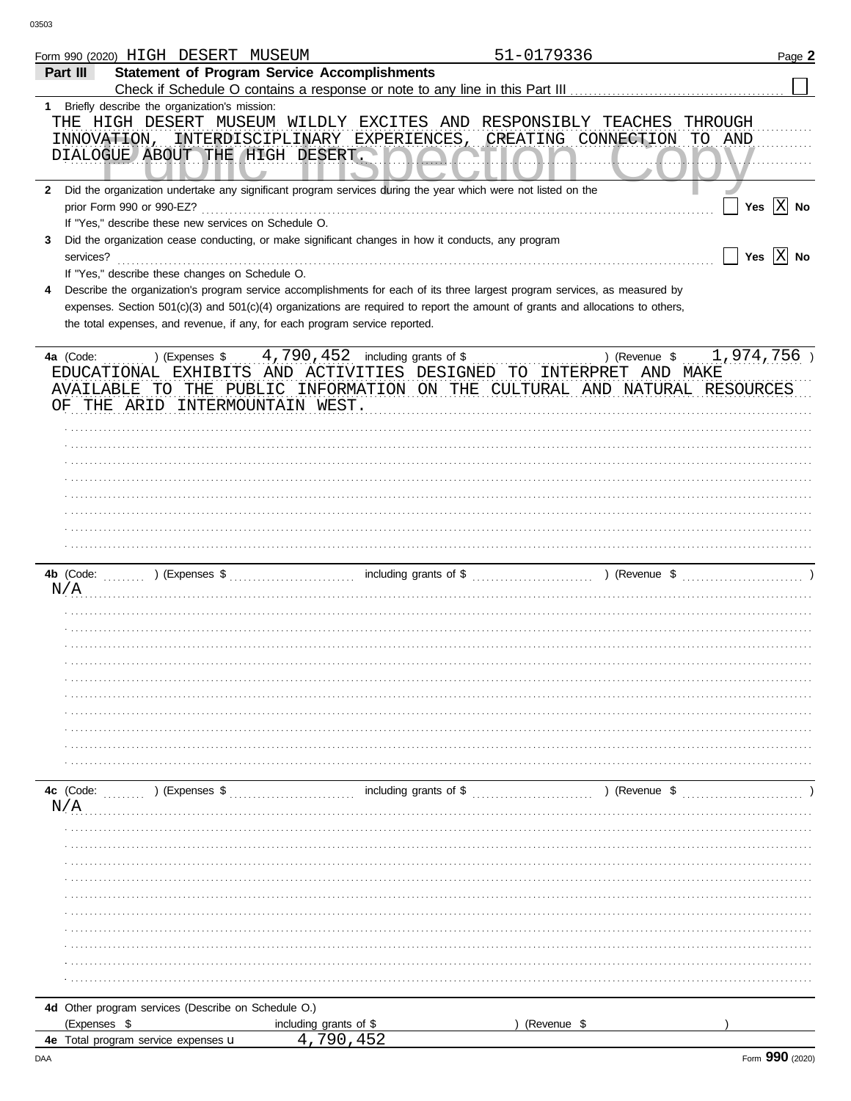| <b>Statement of Program Service Accomplishments</b><br>Part III<br>Briefly describe the organization's mission:<br>$1 \quad$<br>THE HIGH DESERT MUSEUM WILDLY EXCITES AND RESPONSIBLY<br>TEACHES<br>THROUGH<br>INTERDISCIPLINARY EXPERIENCES, CREATING CONNECTION<br>TO AND<br>INNOVATION,<br>DIALOGUE ABOUT THE HIGH DESERT.<br>2 Did the organization undertake any significant program services during the year which were not listed on the<br>Yes $ \overline{X} $ No<br>prior Form 990 or 990-EZ?<br>If "Yes," describe these new services on Schedule O.<br>Did the organization cease conducting, or make significant changes in how it conducts, any program<br>3<br>Yes $X$ No<br>services?<br>If "Yes," describe these changes on Schedule O.<br>Describe the organization's program service accomplishments for each of its three largest program services, as measured by<br>4<br>expenses. Section 501(c)(3) and 501(c)(4) organizations are required to report the amount of grants and allocations to others,<br>the total expenses, and revenue, if any, for each program service reported.<br>4,790,452<br>1,974,756<br>including grants of \$<br>) (Expenses \$<br>) (Revenue \$<br>4a (Code:<br>AND ACTIVITIES DESIGNED TO INTERPRET AND MAKE<br>EDUCATIONAL EXHIBITS<br>AVAILABLE TO THE PUBLIC<br>INFORMATION ON THE CULTURAL AND NATURAL RESOURCES<br>THE ARID INTERMOUNTAIN WEST.<br>ΟF<br>including grants of \$<br>) (Revenue \$<br>4b (Code:<br>) (Expenses $\sqrt[6]{}$ (Expenses $\sqrt[6]{}$<br>N/A<br>including grants of \$<br>4c (Code:<br>) (Expenses \$<br>) (Revenue \$<br>N/A<br>4d Other program services (Describe on Schedule O.)<br>(Expenses \$<br>(Revenue \$<br>including grants of \$<br>4,790,452<br>4e Total program service expenses u | Form 990 (2020) HIGH DESERT MUSEUM | 51-0179336 | Page 2 |
|----------------------------------------------------------------------------------------------------------------------------------------------------------------------------------------------------------------------------------------------------------------------------------------------------------------------------------------------------------------------------------------------------------------------------------------------------------------------------------------------------------------------------------------------------------------------------------------------------------------------------------------------------------------------------------------------------------------------------------------------------------------------------------------------------------------------------------------------------------------------------------------------------------------------------------------------------------------------------------------------------------------------------------------------------------------------------------------------------------------------------------------------------------------------------------------------------------------------------------------------------------------------------------------------------------------------------------------------------------------------------------------------------------------------------------------------------------------------------------------------------------------------------------------------------------------------------------------------------------------------------------------------------------------------------------------------------------------------------------------------------------------------------------------|------------------------------------|------------|--------|
|                                                                                                                                                                                                                                                                                                                                                                                                                                                                                                                                                                                                                                                                                                                                                                                                                                                                                                                                                                                                                                                                                                                                                                                                                                                                                                                                                                                                                                                                                                                                                                                                                                                                                                                                                                                        |                                    |            |        |
|                                                                                                                                                                                                                                                                                                                                                                                                                                                                                                                                                                                                                                                                                                                                                                                                                                                                                                                                                                                                                                                                                                                                                                                                                                                                                                                                                                                                                                                                                                                                                                                                                                                                                                                                                                                        |                                    |            |        |
|                                                                                                                                                                                                                                                                                                                                                                                                                                                                                                                                                                                                                                                                                                                                                                                                                                                                                                                                                                                                                                                                                                                                                                                                                                                                                                                                                                                                                                                                                                                                                                                                                                                                                                                                                                                        |                                    |            |        |
|                                                                                                                                                                                                                                                                                                                                                                                                                                                                                                                                                                                                                                                                                                                                                                                                                                                                                                                                                                                                                                                                                                                                                                                                                                                                                                                                                                                                                                                                                                                                                                                                                                                                                                                                                                                        |                                    |            |        |
|                                                                                                                                                                                                                                                                                                                                                                                                                                                                                                                                                                                                                                                                                                                                                                                                                                                                                                                                                                                                                                                                                                                                                                                                                                                                                                                                                                                                                                                                                                                                                                                                                                                                                                                                                                                        |                                    |            |        |
|                                                                                                                                                                                                                                                                                                                                                                                                                                                                                                                                                                                                                                                                                                                                                                                                                                                                                                                                                                                                                                                                                                                                                                                                                                                                                                                                                                                                                                                                                                                                                                                                                                                                                                                                                                                        |                                    |            |        |
|                                                                                                                                                                                                                                                                                                                                                                                                                                                                                                                                                                                                                                                                                                                                                                                                                                                                                                                                                                                                                                                                                                                                                                                                                                                                                                                                                                                                                                                                                                                                                                                                                                                                                                                                                                                        |                                    |            |        |
|                                                                                                                                                                                                                                                                                                                                                                                                                                                                                                                                                                                                                                                                                                                                                                                                                                                                                                                                                                                                                                                                                                                                                                                                                                                                                                                                                                                                                                                                                                                                                                                                                                                                                                                                                                                        |                                    |            |        |
|                                                                                                                                                                                                                                                                                                                                                                                                                                                                                                                                                                                                                                                                                                                                                                                                                                                                                                                                                                                                                                                                                                                                                                                                                                                                                                                                                                                                                                                                                                                                                                                                                                                                                                                                                                                        |                                    |            |        |
|                                                                                                                                                                                                                                                                                                                                                                                                                                                                                                                                                                                                                                                                                                                                                                                                                                                                                                                                                                                                                                                                                                                                                                                                                                                                                                                                                                                                                                                                                                                                                                                                                                                                                                                                                                                        |                                    |            |        |
|                                                                                                                                                                                                                                                                                                                                                                                                                                                                                                                                                                                                                                                                                                                                                                                                                                                                                                                                                                                                                                                                                                                                                                                                                                                                                                                                                                                                                                                                                                                                                                                                                                                                                                                                                                                        |                                    |            |        |
|                                                                                                                                                                                                                                                                                                                                                                                                                                                                                                                                                                                                                                                                                                                                                                                                                                                                                                                                                                                                                                                                                                                                                                                                                                                                                                                                                                                                                                                                                                                                                                                                                                                                                                                                                                                        |                                    |            |        |
|                                                                                                                                                                                                                                                                                                                                                                                                                                                                                                                                                                                                                                                                                                                                                                                                                                                                                                                                                                                                                                                                                                                                                                                                                                                                                                                                                                                                                                                                                                                                                                                                                                                                                                                                                                                        |                                    |            |        |
|                                                                                                                                                                                                                                                                                                                                                                                                                                                                                                                                                                                                                                                                                                                                                                                                                                                                                                                                                                                                                                                                                                                                                                                                                                                                                                                                                                                                                                                                                                                                                                                                                                                                                                                                                                                        |                                    |            |        |
|                                                                                                                                                                                                                                                                                                                                                                                                                                                                                                                                                                                                                                                                                                                                                                                                                                                                                                                                                                                                                                                                                                                                                                                                                                                                                                                                                                                                                                                                                                                                                                                                                                                                                                                                                                                        |                                    |            |        |
|                                                                                                                                                                                                                                                                                                                                                                                                                                                                                                                                                                                                                                                                                                                                                                                                                                                                                                                                                                                                                                                                                                                                                                                                                                                                                                                                                                                                                                                                                                                                                                                                                                                                                                                                                                                        |                                    |            |        |
|                                                                                                                                                                                                                                                                                                                                                                                                                                                                                                                                                                                                                                                                                                                                                                                                                                                                                                                                                                                                                                                                                                                                                                                                                                                                                                                                                                                                                                                                                                                                                                                                                                                                                                                                                                                        |                                    |            |        |
|                                                                                                                                                                                                                                                                                                                                                                                                                                                                                                                                                                                                                                                                                                                                                                                                                                                                                                                                                                                                                                                                                                                                                                                                                                                                                                                                                                                                                                                                                                                                                                                                                                                                                                                                                                                        |                                    |            |        |
|                                                                                                                                                                                                                                                                                                                                                                                                                                                                                                                                                                                                                                                                                                                                                                                                                                                                                                                                                                                                                                                                                                                                                                                                                                                                                                                                                                                                                                                                                                                                                                                                                                                                                                                                                                                        |                                    |            |        |
|                                                                                                                                                                                                                                                                                                                                                                                                                                                                                                                                                                                                                                                                                                                                                                                                                                                                                                                                                                                                                                                                                                                                                                                                                                                                                                                                                                                                                                                                                                                                                                                                                                                                                                                                                                                        |                                    |            |        |
|                                                                                                                                                                                                                                                                                                                                                                                                                                                                                                                                                                                                                                                                                                                                                                                                                                                                                                                                                                                                                                                                                                                                                                                                                                                                                                                                                                                                                                                                                                                                                                                                                                                                                                                                                                                        |                                    |            |        |
|                                                                                                                                                                                                                                                                                                                                                                                                                                                                                                                                                                                                                                                                                                                                                                                                                                                                                                                                                                                                                                                                                                                                                                                                                                                                                                                                                                                                                                                                                                                                                                                                                                                                                                                                                                                        |                                    |            |        |
|                                                                                                                                                                                                                                                                                                                                                                                                                                                                                                                                                                                                                                                                                                                                                                                                                                                                                                                                                                                                                                                                                                                                                                                                                                                                                                                                                                                                                                                                                                                                                                                                                                                                                                                                                                                        |                                    |            |        |
|                                                                                                                                                                                                                                                                                                                                                                                                                                                                                                                                                                                                                                                                                                                                                                                                                                                                                                                                                                                                                                                                                                                                                                                                                                                                                                                                                                                                                                                                                                                                                                                                                                                                                                                                                                                        |                                    |            |        |
|                                                                                                                                                                                                                                                                                                                                                                                                                                                                                                                                                                                                                                                                                                                                                                                                                                                                                                                                                                                                                                                                                                                                                                                                                                                                                                                                                                                                                                                                                                                                                                                                                                                                                                                                                                                        |                                    |            |        |
|                                                                                                                                                                                                                                                                                                                                                                                                                                                                                                                                                                                                                                                                                                                                                                                                                                                                                                                                                                                                                                                                                                                                                                                                                                                                                                                                                                                                                                                                                                                                                                                                                                                                                                                                                                                        |                                    |            |        |
|                                                                                                                                                                                                                                                                                                                                                                                                                                                                                                                                                                                                                                                                                                                                                                                                                                                                                                                                                                                                                                                                                                                                                                                                                                                                                                                                                                                                                                                                                                                                                                                                                                                                                                                                                                                        |                                    |            |        |
|                                                                                                                                                                                                                                                                                                                                                                                                                                                                                                                                                                                                                                                                                                                                                                                                                                                                                                                                                                                                                                                                                                                                                                                                                                                                                                                                                                                                                                                                                                                                                                                                                                                                                                                                                                                        |                                    |            |        |
|                                                                                                                                                                                                                                                                                                                                                                                                                                                                                                                                                                                                                                                                                                                                                                                                                                                                                                                                                                                                                                                                                                                                                                                                                                                                                                                                                                                                                                                                                                                                                                                                                                                                                                                                                                                        |                                    |            |        |
|                                                                                                                                                                                                                                                                                                                                                                                                                                                                                                                                                                                                                                                                                                                                                                                                                                                                                                                                                                                                                                                                                                                                                                                                                                                                                                                                                                                                                                                                                                                                                                                                                                                                                                                                                                                        |                                    |            |        |
|                                                                                                                                                                                                                                                                                                                                                                                                                                                                                                                                                                                                                                                                                                                                                                                                                                                                                                                                                                                                                                                                                                                                                                                                                                                                                                                                                                                                                                                                                                                                                                                                                                                                                                                                                                                        |                                    |            |        |
|                                                                                                                                                                                                                                                                                                                                                                                                                                                                                                                                                                                                                                                                                                                                                                                                                                                                                                                                                                                                                                                                                                                                                                                                                                                                                                                                                                                                                                                                                                                                                                                                                                                                                                                                                                                        |                                    |            |        |
|                                                                                                                                                                                                                                                                                                                                                                                                                                                                                                                                                                                                                                                                                                                                                                                                                                                                                                                                                                                                                                                                                                                                                                                                                                                                                                                                                                                                                                                                                                                                                                                                                                                                                                                                                                                        |                                    |            |        |
|                                                                                                                                                                                                                                                                                                                                                                                                                                                                                                                                                                                                                                                                                                                                                                                                                                                                                                                                                                                                                                                                                                                                                                                                                                                                                                                                                                                                                                                                                                                                                                                                                                                                                                                                                                                        |                                    |            |        |
|                                                                                                                                                                                                                                                                                                                                                                                                                                                                                                                                                                                                                                                                                                                                                                                                                                                                                                                                                                                                                                                                                                                                                                                                                                                                                                                                                                                                                                                                                                                                                                                                                                                                                                                                                                                        |                                    |            |        |
|                                                                                                                                                                                                                                                                                                                                                                                                                                                                                                                                                                                                                                                                                                                                                                                                                                                                                                                                                                                                                                                                                                                                                                                                                                                                                                                                                                                                                                                                                                                                                                                                                                                                                                                                                                                        |                                    |            |        |
|                                                                                                                                                                                                                                                                                                                                                                                                                                                                                                                                                                                                                                                                                                                                                                                                                                                                                                                                                                                                                                                                                                                                                                                                                                                                                                                                                                                                                                                                                                                                                                                                                                                                                                                                                                                        |                                    |            |        |
|                                                                                                                                                                                                                                                                                                                                                                                                                                                                                                                                                                                                                                                                                                                                                                                                                                                                                                                                                                                                                                                                                                                                                                                                                                                                                                                                                                                                                                                                                                                                                                                                                                                                                                                                                                                        |                                    |            |        |
|                                                                                                                                                                                                                                                                                                                                                                                                                                                                                                                                                                                                                                                                                                                                                                                                                                                                                                                                                                                                                                                                                                                                                                                                                                                                                                                                                                                                                                                                                                                                                                                                                                                                                                                                                                                        |                                    |            |        |
|                                                                                                                                                                                                                                                                                                                                                                                                                                                                                                                                                                                                                                                                                                                                                                                                                                                                                                                                                                                                                                                                                                                                                                                                                                                                                                                                                                                                                                                                                                                                                                                                                                                                                                                                                                                        |                                    |            |        |
|                                                                                                                                                                                                                                                                                                                                                                                                                                                                                                                                                                                                                                                                                                                                                                                                                                                                                                                                                                                                                                                                                                                                                                                                                                                                                                                                                                                                                                                                                                                                                                                                                                                                                                                                                                                        |                                    |            |        |
|                                                                                                                                                                                                                                                                                                                                                                                                                                                                                                                                                                                                                                                                                                                                                                                                                                                                                                                                                                                                                                                                                                                                                                                                                                                                                                                                                                                                                                                                                                                                                                                                                                                                                                                                                                                        |                                    |            |        |
|                                                                                                                                                                                                                                                                                                                                                                                                                                                                                                                                                                                                                                                                                                                                                                                                                                                                                                                                                                                                                                                                                                                                                                                                                                                                                                                                                                                                                                                                                                                                                                                                                                                                                                                                                                                        |                                    |            |        |
|                                                                                                                                                                                                                                                                                                                                                                                                                                                                                                                                                                                                                                                                                                                                                                                                                                                                                                                                                                                                                                                                                                                                                                                                                                                                                                                                                                                                                                                                                                                                                                                                                                                                                                                                                                                        |                                    |            |        |
|                                                                                                                                                                                                                                                                                                                                                                                                                                                                                                                                                                                                                                                                                                                                                                                                                                                                                                                                                                                                                                                                                                                                                                                                                                                                                                                                                                                                                                                                                                                                                                                                                                                                                                                                                                                        |                                    |            |        |
|                                                                                                                                                                                                                                                                                                                                                                                                                                                                                                                                                                                                                                                                                                                                                                                                                                                                                                                                                                                                                                                                                                                                                                                                                                                                                                                                                                                                                                                                                                                                                                                                                                                                                                                                                                                        |                                    |            |        |
|                                                                                                                                                                                                                                                                                                                                                                                                                                                                                                                                                                                                                                                                                                                                                                                                                                                                                                                                                                                                                                                                                                                                                                                                                                                                                                                                                                                                                                                                                                                                                                                                                                                                                                                                                                                        |                                    |            |        |
|                                                                                                                                                                                                                                                                                                                                                                                                                                                                                                                                                                                                                                                                                                                                                                                                                                                                                                                                                                                                                                                                                                                                                                                                                                                                                                                                                                                                                                                                                                                                                                                                                                                                                                                                                                                        |                                    |            |        |
|                                                                                                                                                                                                                                                                                                                                                                                                                                                                                                                                                                                                                                                                                                                                                                                                                                                                                                                                                                                                                                                                                                                                                                                                                                                                                                                                                                                                                                                                                                                                                                                                                                                                                                                                                                                        |                                    |            |        |
|                                                                                                                                                                                                                                                                                                                                                                                                                                                                                                                                                                                                                                                                                                                                                                                                                                                                                                                                                                                                                                                                                                                                                                                                                                                                                                                                                                                                                                                                                                                                                                                                                                                                                                                                                                                        |                                    |            |        |
|                                                                                                                                                                                                                                                                                                                                                                                                                                                                                                                                                                                                                                                                                                                                                                                                                                                                                                                                                                                                                                                                                                                                                                                                                                                                                                                                                                                                                                                                                                                                                                                                                                                                                                                                                                                        |                                    |            |        |
|                                                                                                                                                                                                                                                                                                                                                                                                                                                                                                                                                                                                                                                                                                                                                                                                                                                                                                                                                                                                                                                                                                                                                                                                                                                                                                                                                                                                                                                                                                                                                                                                                                                                                                                                                                                        |                                    |            |        |
|                                                                                                                                                                                                                                                                                                                                                                                                                                                                                                                                                                                                                                                                                                                                                                                                                                                                                                                                                                                                                                                                                                                                                                                                                                                                                                                                                                                                                                                                                                                                                                                                                                                                                                                                                                                        |                                    |            |        |
|                                                                                                                                                                                                                                                                                                                                                                                                                                                                                                                                                                                                                                                                                                                                                                                                                                                                                                                                                                                                                                                                                                                                                                                                                                                                                                                                                                                                                                                                                                                                                                                                                                                                                                                                                                                        |                                    |            |        |
|                                                                                                                                                                                                                                                                                                                                                                                                                                                                                                                                                                                                                                                                                                                                                                                                                                                                                                                                                                                                                                                                                                                                                                                                                                                                                                                                                                                                                                                                                                                                                                                                                                                                                                                                                                                        |                                    |            |        |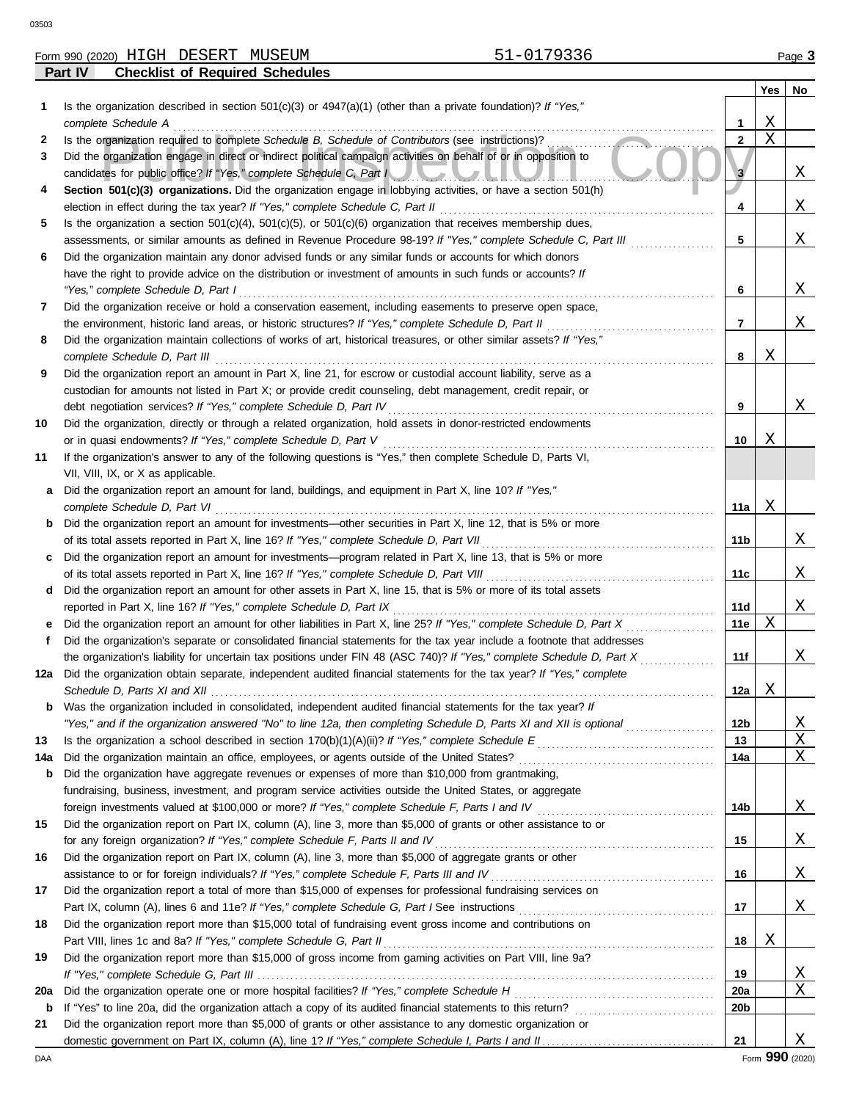| 3503 |                                                                                                                      |   |     |        |
|------|----------------------------------------------------------------------------------------------------------------------|---|-----|--------|
|      | 51-0179336<br>Form 990 (2020) HIGH DESERT<br>MUSEUM                                                                  |   |     | Page 3 |
|      | Part IV<br><b>Checklist of Required Schedules</b>                                                                    |   |     |        |
|      |                                                                                                                      |   | Yes | No     |
| 1    | Is the organization described in section 501(c)(3) or $4947(a)(1)$ (other than a private foundation)? If "Yes,"      |   |     |        |
|      | complete Schedule A                                                                                                  |   | Χ   |        |
| 2    | Is the organization required to complete Schedule B, Schedule of Contributors (see instructions)?                    | 2 | X   |        |
| 3    | Did the organization engage in direct or indirect political campaign activities on behalf of or in opposition to     |   |     |        |
|      | candidates for public office? If "Yes," complete Schedule C, Part New York Contract of the C.                        |   |     | Χ      |
| 4    | Section 501(c)(3) organizations. Did the organization engage in lobbying activities, or have a section 501(h)        |   |     |        |
|      | election in effect during the tax year? If "Yes," complete Schedule C, Part II                                       | 4 |     | X      |
| 5    | Is the organization a section $501(c)(4)$ , $501(c)(5)$ , or $501(c)(6)$ organization that receives membership dues, |   |     |        |
|      | assessments, or similar amounts as defined in Revenue Procedure 98-19? If "Yes," complete Schedule C, Part III       | 5 |     | Χ      |
| 6    | Did the organization maintain any donor advised funds or any similar funds or accounts for which donors              |   |     |        |
|      | have the right to provide advice on the distribution or investment of amounts in such funds or accounts? If          |   |     |        |
|      | "Yes," complete Schedule D, Part I                                                                                   | 6 |     | X      |
| 7    | Did the organization receive or hold a conservation easement, including easements to preserve open space,            |   |     |        |
|      | the environment, historic land areas, or historic structures? If "Yes," complete Schedule D, Part II                 |   |     | Χ      |
| 8    | Did the organization maintain collections of works of art, historical treasures, or other similar assets? If "Yes,"  |   |     |        |
|      | complete Schedule D, Part III                                                                                        | 8 | Χ   |        |
|      | Did the organization report an amount in Part X, line 21, for escrow or custodial account liability, serve as a      |   |     |        |

|    | custodian for amounts not listed in Part X; or provide credit counseling, debt management, credit repair, or |
|----|--------------------------------------------------------------------------------------------------------------|
|    | debt negotiation services? If "Yes," complete Schedule D, Part IV                                            |
| 10 | Did the organization, directly or through a related organization, hold assets in donor-restricted endowments |
|    | or in quasi endowments? If "Yes," complete Schedule D, Part V                                                |
|    | If the organization's answer to any of the following questions is "Yes," then complete Schedule D, Parts VI, |

| VII, VIII, IX, or X as applicable.                                                                                     |
|------------------------------------------------------------------------------------------------------------------------|
|                                                                                                                        |
| <b>a</b> Did the organization report an amount for land, buildings, and equipment in Part X, line 10? If "Yes,"        |
| complete Schedule D, Part VI                                                                                           |
| <b>b</b> Did the organization report an amount for investments—other securities in Part X, line 12, that is 5% or more |
| of its total assets reported in Part X, line 16? If "Yes," complete Schedule D, Part VII                               |

| of its total assets reported in Part X, line 16? If "Yes," complete Schedule D, Part VII                            | 11 <sub>b</sub> |
|---------------------------------------------------------------------------------------------------------------------|-----------------|
| c Did the organization report an amount for investments—program related in Part X, line 13, that is 5% or more      |                 |
| of its total assets reported in Part X, line 16? If "Yes," complete Schedule D, Part VIII                           | 11c             |
| d Did the organization report an amount for other assets in Part X, line 15, that is 5% or more of its total assets |                 |
| reported in Part X, line 16? If "Yes," complete Schedule D, Part IX                                                 | 11d             |

| e Did the organization report an amount for other liabilities in Part X, line 25? If "Yes," complete Schedule D, Part X |
|-------------------------------------------------------------------------------------------------------------------------|
| Did the organization's separate or consolidated financial statements for the tax year include a footnote that addresses |

| the organization's liability for uncertain tax positions under FIN 48 (ASC 740)? If "Yes," complete Schedule D, Part X  |
|-------------------------------------------------------------------------------------------------------------------------|
| 12a Did the organization obtain separate, independent audited financial statements for the tax year? If "Yes," complete |
| Schedule D, Parts XI and XII                                                                                            |
| <b>b</b> Was the organization included in consolidated, independent audited financial statements for the tax year? If   |

|    | "Yes," and if the organization answered "No" to line 12a, then completing Schedule D, Parts XI and XII is optional | 12 <sub>b</sub> |  |
|----|--------------------------------------------------------------------------------------------------------------------|-----------------|--|
| 13 | Is the organization a school described in section $170(b)(1)(A)(ii)?$ If "Yes," complete Schedule E                | 13              |  |
|    | 14a Did the organization maintain an office, employees, or agents outside of the United States?                    | 14a             |  |
|    | <b>b</b> Did the organization have aggregate revenues or expenses of more than \$10,000 from grantmaking,          |                 |  |
|    | fundraising, business, investment, and program service activities outside the United States, or aggregate          |                 |  |
|    | foreign investments valued at \$100,000 or more? If "Yes," complete Schedule F, Parts I and IV                     | 14b             |  |
| 15 | Did the organization report on Part IX, column (A), line 3, more than \$5,000 of grants or other assistance to or  |                 |  |
|    | for any foreign organization? If "Yes," complete Schedule F, Parts II and IV                                       | 15              |  |

|    | for any foreign organization? If "Yes," complete Schedule F, Parts II and IV                                   |
|----|----------------------------------------------------------------------------------------------------------------|
| 16 | Did the organization report on Part IX, column (A), line 3, more than \$5,000 of aggregate grants or other     |
|    | assistance to or for foreign individuals? If "Yes," complete Schedule F, Parts III and IV                      |
| 17 | Did the organization report a total of more than \$15,000 of expenses for professional fundraising services on |
|    | Part IX, column (A), lines 6 and 11e? If "Yes," complete Schedule G, Part I See instructions                   |

| 18 | Did the organization report more than \$15,000 total of fundraising event gross income and contributions on  |     |              |
|----|--------------------------------------------------------------------------------------------------------------|-----|--------------|
|    | Part VIII, lines 1c and 8a? If "Yes," complete Schedule G, Part II                                           |     |              |
| 19 | Did the organization report more than \$15,000 of gross income from gaming activities on Part VIII, line 9a? |     |              |
|    |                                                                                                              | 19  | X            |
|    | 20a Did the organization operate one or more hospital facilities? If "Yes," complete Schedule H              | 20a | $\mathbf{X}$ |
|    |                                                                                                              |     |              |

X

**17**

**16**

**10**

X

X

X

X

**11a**

**11e**

**11f**

**12a**

**9**

X

X

X

X

X

X X X

X

X

X

X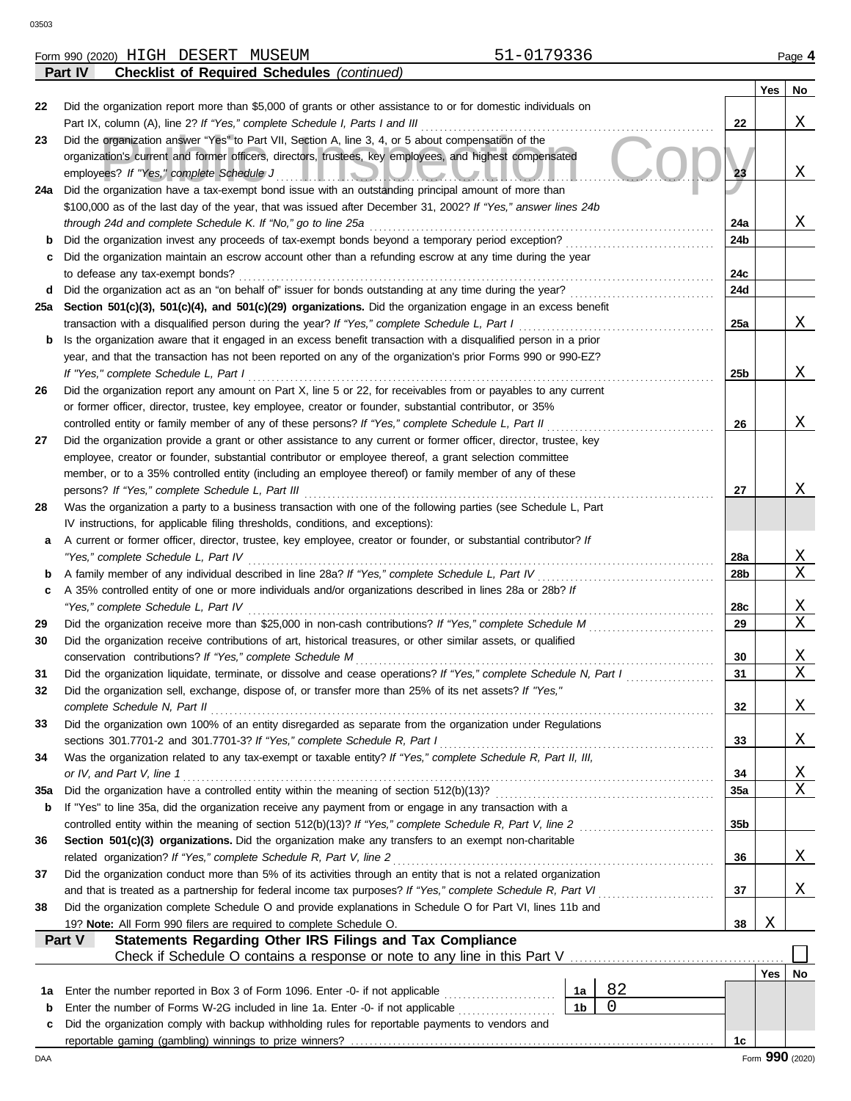|          | <b>Checklist of Required Schedules (continued)</b><br>Part IV                                                         |     |                 |                         |
|----------|-----------------------------------------------------------------------------------------------------------------------|-----|-----------------|-------------------------|
|          |                                                                                                                       |     | Yes             | No                      |
| 22       | Did the organization report more than \$5,000 of grants or other assistance to or for domestic individuals on         |     |                 |                         |
|          | Part IX, column (A), line 2? If "Yes," complete Schedule I, Parts I and III                                           | 22  |                 | Χ                       |
| 23       | Did the organization answer "Yes" to Part VII, Section A, line 3, 4, or 5 about compensation of the                   |     |                 |                         |
|          | organization's current and former officers, directors, trustees, key employees, and highest compensated               |     |                 |                         |
|          | employees? If "Yes," complete Schedule J<br><u>IMPIONO CONTINU</u>                                                    | 23  |                 | Χ                       |
| 24a      | Did the organization have a tax-exempt bond issue with an outstanding principal amount of more than                   |     |                 |                         |
|          | \$100,000 as of the last day of the year, that was issued after December 31, 2002? If "Yes," answer lines 24b         |     |                 |                         |
|          | through 24d and complete Schedule K. If "No," go to line 25a                                                          | 24a |                 | Χ                       |
| b        | Did the organization invest any proceeds of tax-exempt bonds beyond a temporary period exception?                     | 24b |                 |                         |
| c        | Did the organization maintain an escrow account other than a refunding escrow at any time during the year             |     |                 |                         |
|          | to defease any tax-exempt bonds?                                                                                      | 24c |                 |                         |
| d        | Did the organization act as an "on behalf of" issuer for bonds outstanding at any time during the year?               | 24d |                 |                         |
|          |                                                                                                                       |     |                 |                         |
| 25a      | Section 501(c)(3), 501(c)(4), and 501(c)(29) organizations. Did the organization engage in an excess benefit          |     |                 |                         |
|          | transaction with a disqualified person during the year? If "Yes," complete Schedule L, Part I                         | 25a |                 | Χ                       |
| b        | Is the organization aware that it engaged in an excess benefit transaction with a disqualified person in a prior      |     |                 |                         |
|          | year, and that the transaction has not been reported on any of the organization's prior Forms 990 or 990-EZ?          |     |                 |                         |
|          | If "Yes," complete Schedule L, Part I                                                                                 | 25b |                 | Χ                       |
| 26       | Did the organization report any amount on Part X, line 5 or 22, for receivables from or payables to any current       |     |                 |                         |
|          | or former officer, director, trustee, key employee, creator or founder, substantial contributor, or 35%               |     |                 |                         |
|          | controlled entity or family member of any of these persons? If "Yes," complete Schedule L, Part II                    | 26  |                 | Χ                       |
| 27       | Did the organization provide a grant or other assistance to any current or former officer, director, trustee, key     |     |                 |                         |
|          | employee, creator or founder, substantial contributor or employee thereof, a grant selection committee                |     |                 |                         |
|          | member, or to a 35% controlled entity (including an employee thereof) or family member of any of these                |     |                 |                         |
|          | persons? If "Yes," complete Schedule L, Part III                                                                      | 27  |                 | Χ                       |
| 28       | Was the organization a party to a business transaction with one of the following parties (see Schedule L, Part        |     |                 |                         |
|          | IV instructions, for applicable filing thresholds, conditions, and exceptions):                                       |     |                 |                         |
| а        | A current or former officer, director, trustee, key employee, creator or founder, or substantial contributor? If      |     |                 |                         |
|          | "Yes," complete Schedule L, Part IV                                                                                   | 28a |                 | $\mathbf{X}$            |
| b        | A family member of any individual described in line 28a? If "Yes," complete Schedule L, Part IV                       | 28b |                 | X                       |
| c        | A 35% controlled entity of one or more individuals and/or organizations described in lines 28a or 28b? If             |     |                 |                         |
|          | "Yes," complete Schedule L, Part IV                                                                                   | 28c |                 | Χ                       |
| 29       |                                                                                                                       | 29  |                 | Χ                       |
| 30       | Did the organization receive contributions of art, historical treasures, or other similar assets, or qualified        |     |                 |                         |
|          | conservation contributions? If "Yes," complete Schedule M                                                             | 30  |                 | Χ                       |
| 31       | Did the organization liquidate, terminate, or dissolve and cease operations? If "Yes," complete Schedule N, Part I    | 31  |                 | Χ                       |
| 32       | Did the organization sell, exchange, dispose of, or transfer more than 25% of its net assets? If "Yes,"               |     |                 |                         |
|          | complete Schedule N, Part II                                                                                          | 32  |                 | Χ                       |
| 33       | Did the organization own 100% of an entity disregarded as separate from the organization under Regulations            |     |                 |                         |
|          | sections 301.7701-2 and 301.7701-3? If "Yes," complete Schedule R, Part I                                             | 33  |                 | Χ                       |
| 34       | Was the organization related to any tax-exempt or taxable entity? If "Yes," complete Schedule R, Part II, III,        |     |                 |                         |
|          | or IV, and Part V, line 1                                                                                             | 34  |                 | $\overline{\mathrm{X}}$ |
|          |                                                                                                                       | 35a |                 | Χ                       |
| 35a<br>b | If "Yes" to line 35a, did the organization receive any payment from or engage in any transaction with a               |     |                 |                         |
|          |                                                                                                                       | 35b |                 |                         |
|          | controlled entity within the meaning of section 512(b)(13)? If "Yes," complete Schedule R, Part V, line 2             |     |                 |                         |
| 36       | Section 501(c)(3) organizations. Did the organization make any transfers to an exempt non-charitable                  |     |                 |                         |
|          | related organization? If "Yes," complete Schedule R, Part V, line 2                                                   | 36  |                 | Χ                       |
| 37       | Did the organization conduct more than 5% of its activities through an entity that is not a related organization      |     |                 |                         |
|          | and that is treated as a partnership for federal income tax purposes? If "Yes," complete Schedule R, Part VI          | 37  |                 | Χ                       |
| 38       | Did the organization complete Schedule O and provide explanations in Schedule O for Part VI, lines 11b and            |     |                 |                         |
|          | 19? Note: All Form 990 filers are required to complete Schedule O.                                                    | 38  | Χ               |                         |
|          | Statements Regarding Other IRS Filings and Tax Compliance<br>Part V                                                   |     |                 |                         |
|          |                                                                                                                       |     |                 |                         |
|          |                                                                                                                       |     | Yes             | No                      |
| 1а       | 82<br>Enter the number reported in Box 3 of Form 1096. Enter -0- if not applicable<br>1a                              |     |                 |                         |
| b        | 0<br>1 <sub>b</sub><br>Enter the number of Forms W-2G included in line 1a. Enter -0- if not applicable <i>minimum</i> |     |                 |                         |
| c        | Did the organization comply with backup withholding rules for reportable payments to vendors and                      |     |                 |                         |
|          |                                                                                                                       | 1c  |                 |                         |
| DAA      |                                                                                                                       |     | Form 990 (2020) |                         |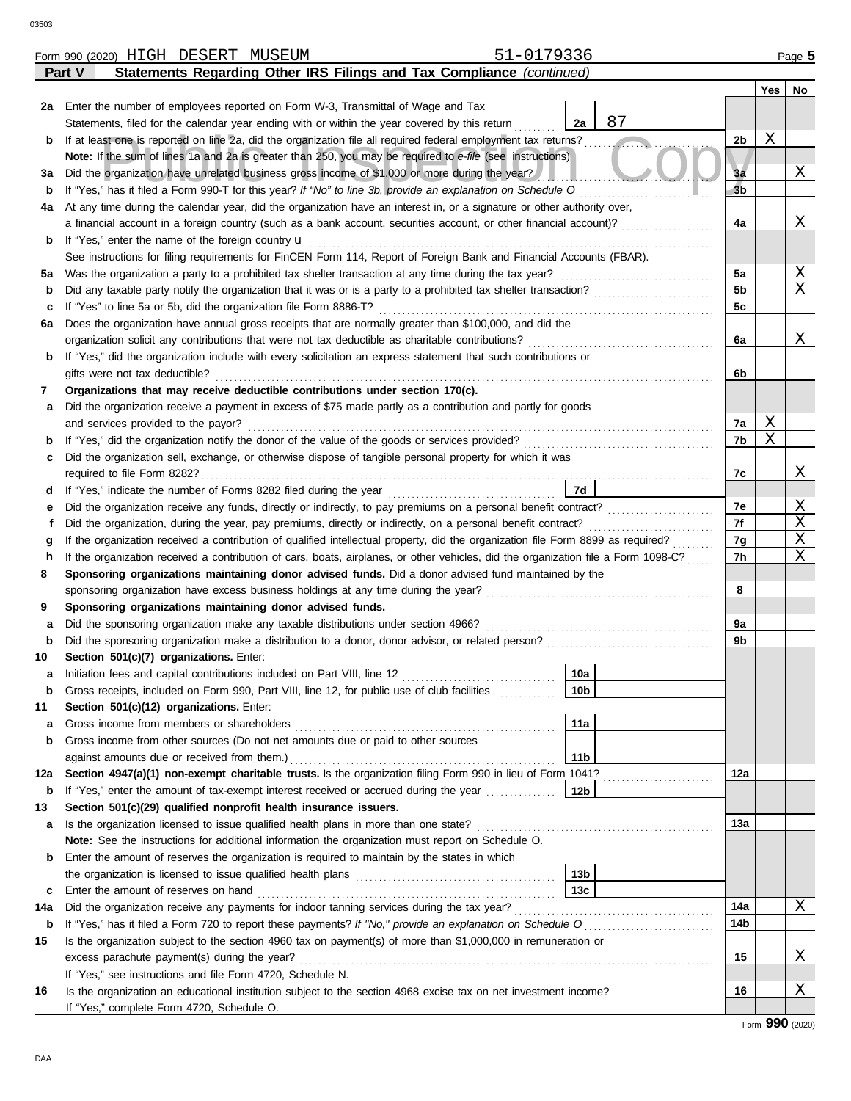|         | 51-0179336<br>Form 990 (2020) HIGH DESERT MUSEUM                                                                                                                                                                          |                 |          |     | Page 5      |
|---------|---------------------------------------------------------------------------------------------------------------------------------------------------------------------------------------------------------------------------|-----------------|----------|-----|-------------|
|         | Statements Regarding Other IRS Filings and Tax Compliance (continued)<br>Part V                                                                                                                                           |                 |          |     |             |
|         |                                                                                                                                                                                                                           |                 |          | Yes | No          |
| 2a      | Enter the number of employees reported on Form W-3, Transmittal of Wage and Tax                                                                                                                                           |                 |          |     |             |
|         | Statements, filed for the calendar year ending with or within the year covered by this return                                                                                                                             | 87<br>2a        |          |     |             |
| b       | If at least one is reported on line 2a, did the organization file all required federal employment tax returns?                                                                                                            |                 | 2b       | Χ   |             |
|         | Note: If the sum of lines 1a and 2a is greater than 250, you may be required to e-file (see instructions)                                                                                                                 |                 |          |     |             |
| За      | Did the organization have unrelated business gross income of \$1,000 or more during the year?                                                                                                                             |                 | 3a       |     | Χ           |
| b       | If "Yes," has it filed a Form 990-T for this year? If "No" to line 3b, provide an explanation on Schedule O                                                                                                               |                 | 3b       |     |             |
| 4a      | At any time during the calendar year, did the organization have an interest in, or a signature or other authority over,                                                                                                   |                 |          |     |             |
|         | a financial account in a foreign country (such as a bank account, securities account, or other financial account)?                                                                                                        |                 | 4a       |     | Χ           |
| b       | If "Yes," enter the name of the foreign country $\mathbf u$                                                                                                                                                               |                 |          |     |             |
|         | See instructions for filing requirements for FinCEN Form 114, Report of Foreign Bank and Financial Accounts (FBAR).                                                                                                       |                 |          |     | Χ           |
| 5a      | Was the organization a party to a prohibited tax shelter transaction at any time during the tax year?<br>Did any taxable party notify the organization that it was or is a party to a prohibited tax shelter transaction? |                 | 5a<br>5b |     | $\mathbf X$ |
| b       | If "Yes" to line 5a or 5b, did the organization file Form 8886-T?                                                                                                                                                         |                 | 5c       |     |             |
| c<br>6а | Does the organization have annual gross receipts that are normally greater than \$100,000, and did the                                                                                                                    |                 |          |     |             |
|         | organization solicit any contributions that were not tax deductible as charitable contributions?                                                                                                                          |                 | 6a       |     | Χ           |
| b       | If "Yes," did the organization include with every solicitation an express statement that such contributions or                                                                                                            |                 |          |     |             |
|         | gifts were not tax deductible?                                                                                                                                                                                            |                 | 6b       |     |             |
| 7       | Organizations that may receive deductible contributions under section 170(c).                                                                                                                                             |                 |          |     |             |
| а       | Did the organization receive a payment in excess of \$75 made partly as a contribution and partly for goods                                                                                                               |                 |          |     |             |
|         | and services provided to the payor?                                                                                                                                                                                       |                 | 7a       | Χ   |             |
| b       | If "Yes," did the organization notify the donor of the value of the goods or services provided?                                                                                                                           |                 | 7b       | X   |             |
| c       | Did the organization sell, exchange, or otherwise dispose of tangible personal property for which it was                                                                                                                  |                 |          |     |             |
|         |                                                                                                                                                                                                                           |                 | 7c       |     | Χ           |
| d       |                                                                                                                                                                                                                           | 7d              |          |     |             |
| е       |                                                                                                                                                                                                                           |                 | 7e       |     | Χ           |
| f       | Did the organization, during the year, pay premiums, directly or indirectly, on a personal benefit contract?                                                                                                              |                 | 7f       |     | X           |
| g       | If the organization received a contribution of qualified intellectual property, did the organization file Form 8899 as required?                                                                                          |                 | 7g       |     | Χ           |
| h       | If the organization received a contribution of cars, boats, airplanes, or other vehicles, did the organization file a Form 1098-C?                                                                                        |                 | 7h       |     | X           |
| 8       | Sponsoring organizations maintaining donor advised funds. Did a donor advised fund maintained by the                                                                                                                      |                 |          |     |             |
|         | sponsoring organization have excess business holdings at any time during the year?                                                                                                                                        |                 | 8        |     |             |
| 9       | Sponsoring organizations maintaining donor advised funds.                                                                                                                                                                 |                 |          |     |             |
| а       | Did the sponsoring organization make any taxable distributions under section 4966?                                                                                                                                        |                 | 9a       |     |             |
| b       |                                                                                                                                                                                                                           |                 | 9b       |     |             |
| 10      | Section 501(c)(7) organizations. Enter:<br>Initiation fees and capital contributions included on Part VIII, line 12 [11] [11] [11] [12] [11] [11] [12] [1                                                                 | 10a             |          |     |             |
| b       | Gross receipts, included on Form 990, Part VIII, line 12, for public use of club facilities                                                                                                                               | 10 <sub>b</sub> |          |     |             |
| 11      | Section 501(c)(12) organizations. Enter:                                                                                                                                                                                  |                 |          |     |             |
| а       | Gross income from members or shareholders                                                                                                                                                                                 | 11a             |          |     |             |
| b       | Gross income from other sources (Do not net amounts due or paid to other sources                                                                                                                                          |                 |          |     |             |
|         | against amounts due or received from them.)                                                                                                                                                                               | 11 <sub>b</sub> |          |     |             |
| 12a     | Section 4947(a)(1) non-exempt charitable trusts. Is the organization filing Form 990 in lieu of Form 1041?                                                                                                                |                 | 12a      |     |             |
| b       | If "Yes," enter the amount of tax-exempt interest received or accrued during the year                                                                                                                                     | 12b             |          |     |             |
| 13      | Section 501(c)(29) qualified nonprofit health insurance issuers.                                                                                                                                                          |                 |          |     |             |
| а       | Is the organization licensed to issue qualified health plans in more than one state?                                                                                                                                      |                 | 13a      |     |             |
|         | Note: See the instructions for additional information the organization must report on Schedule O.                                                                                                                         |                 |          |     |             |
| b       | Enter the amount of reserves the organization is required to maintain by the states in which                                                                                                                              |                 |          |     |             |
|         |                                                                                                                                                                                                                           | 13 <sub>b</sub> |          |     |             |
| c       | Enter the amount of reserves on hand                                                                                                                                                                                      | 13 <sub>c</sub> |          |     |             |
| 14a     | Did the organization receive any payments for indoor tanning services during the tax year?                                                                                                                                |                 | 14a      |     | Χ           |
| b       | If "Yes," has it filed a Form 720 to report these payments? If "No," provide an explanation on Schedule O                                                                                                                 |                 | 14b      |     |             |
| 15      | Is the organization subject to the section 4960 tax on payment(s) of more than \$1,000,000 in remuneration or                                                                                                             |                 |          |     |             |
|         | excess parachute payment(s) during the year?                                                                                                                                                                              |                 | 15       |     | Χ           |
|         | If "Yes," see instructions and file Form 4720, Schedule N.                                                                                                                                                                |                 |          |     |             |
| 16      | Is the organization an educational institution subject to the section 4968 excise tax on net investment income?                                                                                                           |                 | 16       |     | Χ           |
|         | If "Yes," complete Form 4720, Schedule O.                                                                                                                                                                                 |                 |          |     |             |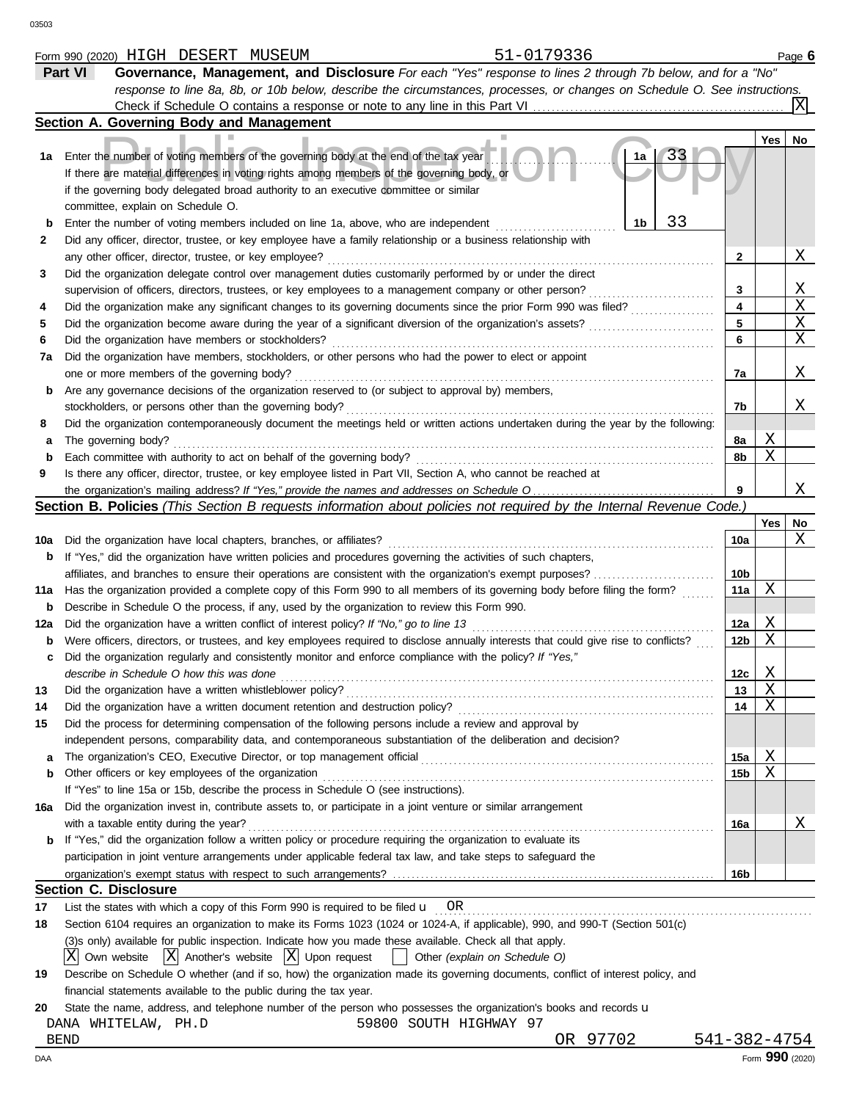|                  | Part VI<br>Governance, Management, and Disclosure For each "Yes" response to lines 2 through 7b below, and for a "No"                                                                                                                                                                 |                 |             |                 |
|------------------|---------------------------------------------------------------------------------------------------------------------------------------------------------------------------------------------------------------------------------------------------------------------------------------|-----------------|-------------|-----------------|
|                  | response to line 8a, 8b, or 10b below, describe the circumstances, processes, or changes on Schedule O. See instructions.                                                                                                                                                             |                 |             |                 |
|                  |                                                                                                                                                                                                                                                                                       |                 |             |                 |
|                  | Section A. Governing Body and Management                                                                                                                                                                                                                                              |                 |             |                 |
| 1a               | 33<br>Enter the number of voting members of the governing body at the end of the tax year<br>1a<br>If there are material differences in voting rights among members of the governing body, or<br>if the governing body delegated broad authority to an executive committee or similar |                 | Yes         | No              |
|                  | committee, explain on Schedule O.<br>33<br>1b<br>Enter the number of voting members included on line 1a, above, who are independent                                                                                                                                                   |                 |             |                 |
| $\mathbf b$<br>2 | Did any officer, director, trustee, or key employee have a family relationship or a business relationship with                                                                                                                                                                        |                 |             |                 |
|                  | any other officer, director, trustee, or key employee?                                                                                                                                                                                                                                | 2               |             | Χ               |
| 3                | Did the organization delegate control over management duties customarily performed by or under the direct                                                                                                                                                                             |                 |             |                 |
|                  | supervision of officers, directors, trustees, or key employees to a management company or other person?                                                                                                                                                                               | 3               |             | Χ               |
| 4                | Did the organization make any significant changes to its governing documents since the prior Form 990 was filed?                                                                                                                                                                      | 4               |             | X               |
| 5                | Did the organization become aware during the year of a significant diversion of the organization's assets?                                                                                                                                                                            | 5               |             | Χ               |
| 6                | Did the organization have members or stockholders?                                                                                                                                                                                                                                    | 6               |             | Χ               |
| 7а               | Did the organization have members, stockholders, or other persons who had the power to elect or appoint                                                                                                                                                                               |                 |             |                 |
|                  | one or more members of the governing body?                                                                                                                                                                                                                                            | 7a              |             | Χ               |
| b                | Are any governance decisions of the organization reserved to (or subject to approval by) members,                                                                                                                                                                                     |                 |             |                 |
|                  | stockholders, or persons other than the governing body?                                                                                                                                                                                                                               | 7b              |             | Χ               |
| 8                | Did the organization contemporaneously document the meetings held or written actions undertaken during the year by the following:                                                                                                                                                     |                 |             |                 |
| а                | The governing body?                                                                                                                                                                                                                                                                   | 8a<br>8b        | Χ<br>Χ      |                 |
| b<br>9           | Each committee with authority to act on behalf of the governing body?<br>Is there any officer, director, trustee, or key employee listed in Part VII, Section A, who cannot be reached at                                                                                             |                 |             |                 |
|                  |                                                                                                                                                                                                                                                                                       | 9               |             | Χ               |
|                  | Section B. Policies (This Section B requests information about policies not required by the Internal Revenue Code.)                                                                                                                                                                   |                 |             |                 |
|                  |                                                                                                                                                                                                                                                                                       |                 | Yes         | No              |
| 10a              | Did the organization have local chapters, branches, or affiliates?                                                                                                                                                                                                                    | 10a             |             | X               |
| b                | If "Yes," did the organization have written policies and procedures governing the activities of such chapters,                                                                                                                                                                        |                 |             |                 |
|                  | affiliates, and branches to ensure their operations are consistent with the organization's exempt purposes?                                                                                                                                                                           | 10 <sub>b</sub> |             |                 |
| 11a              | Has the organization provided a complete copy of this Form 990 to all members of its governing body before filing the form?                                                                                                                                                           | 11a             | Χ           |                 |
| b                | Describe in Schedule O the process, if any, used by the organization to review this Form 990.                                                                                                                                                                                         |                 |             |                 |
| 12a              | Did the organization have a written conflict of interest policy? If "No," go to line 13                                                                                                                                                                                               | 12a             | Χ           |                 |
| b<br>с           | Were officers, directors, or trustees, and key employees required to disclose annually interests that could give rise to conflicts?<br>Did the organization regularly and consistently monitor and enforce compliance with the policy? If "Yes,"                                      | 12b             | Χ           |                 |
|                  | describe in Schedule O how this was done                                                                                                                                                                                                                                              | 12c             | Χ           |                 |
| 13               | Did the organization have a written whistleblower policy?                                                                                                                                                                                                                             | 13              | $\mathbf X$ |                 |
| 14               | Did the organization have a written document retention and destruction policy?                                                                                                                                                                                                        | 14              | Χ           |                 |
| 15               | Did the process for determining compensation of the following persons include a review and approval by                                                                                                                                                                                |                 |             |                 |
|                  | independent persons, comparability data, and contemporaneous substantiation of the deliberation and decision?                                                                                                                                                                         |                 | Χ           |                 |
| a<br>b           | The organization's CEO, Executive Director, or top management official<br>Other officers or key employees of the organization                                                                                                                                                         | 15a<br>15b      | Χ           |                 |
|                  | If "Yes" to line 15a or 15b, describe the process in Schedule O (see instructions).                                                                                                                                                                                                   |                 |             |                 |
| 16a              | Did the organization invest in, contribute assets to, or participate in a joint venture or similar arrangement                                                                                                                                                                        |                 |             |                 |
|                  | with a taxable entity during the year?                                                                                                                                                                                                                                                | 16a             |             | Χ               |
| b                | If "Yes," did the organization follow a written policy or procedure requiring the organization to evaluate its                                                                                                                                                                        |                 |             |                 |
|                  | participation in joint venture arrangements under applicable federal tax law, and take steps to safeguard the                                                                                                                                                                         |                 |             |                 |
|                  |                                                                                                                                                                                                                                                                                       | 16b             |             |                 |
|                  | <b>Section C. Disclosure</b>                                                                                                                                                                                                                                                          |                 |             |                 |
| 17               | List the states with which a copy of this Form 990 is required to be filed $\mathbf{u}$ OR                                                                                                                                                                                            |                 |             |                 |
| 18               | Section 6104 requires an organization to make its Forms 1023 (1024 or 1024-A, if applicable), 990, and 990-T (Section 501(c)                                                                                                                                                          |                 |             |                 |
|                  | (3)s only) available for public inspection. Indicate how you made these available. Check all that apply.<br>Own website $ X $ Another's website $ X $ Upon request<br>ΧI<br>Other (explain on Schedule O)                                                                             |                 |             |                 |
| 19               | Describe on Schedule O whether (and if so, how) the organization made its governing documents, conflict of interest policy, and                                                                                                                                                       |                 |             |                 |
|                  | financial statements available to the public during the tax year.                                                                                                                                                                                                                     |                 |             |                 |
| 20               | State the name, address, and telephone number of the person who possesses the organization's books and records u                                                                                                                                                                      |                 |             |                 |
|                  | 59800 SOUTH HIGHWAY 97<br>DANA WHITELAW, PH.D                                                                                                                                                                                                                                         |                 |             |                 |
|                  | OR 97702<br><b>BEND</b>                                                                                                                                                                                                                                                               | 541-382-4754    |             |                 |
| DAA              |                                                                                                                                                                                                                                                                                       |                 |             | Form 990 (2020) |

Form 990 (2020) Page **6** HIGH DESERT MUSEUM 51-0179336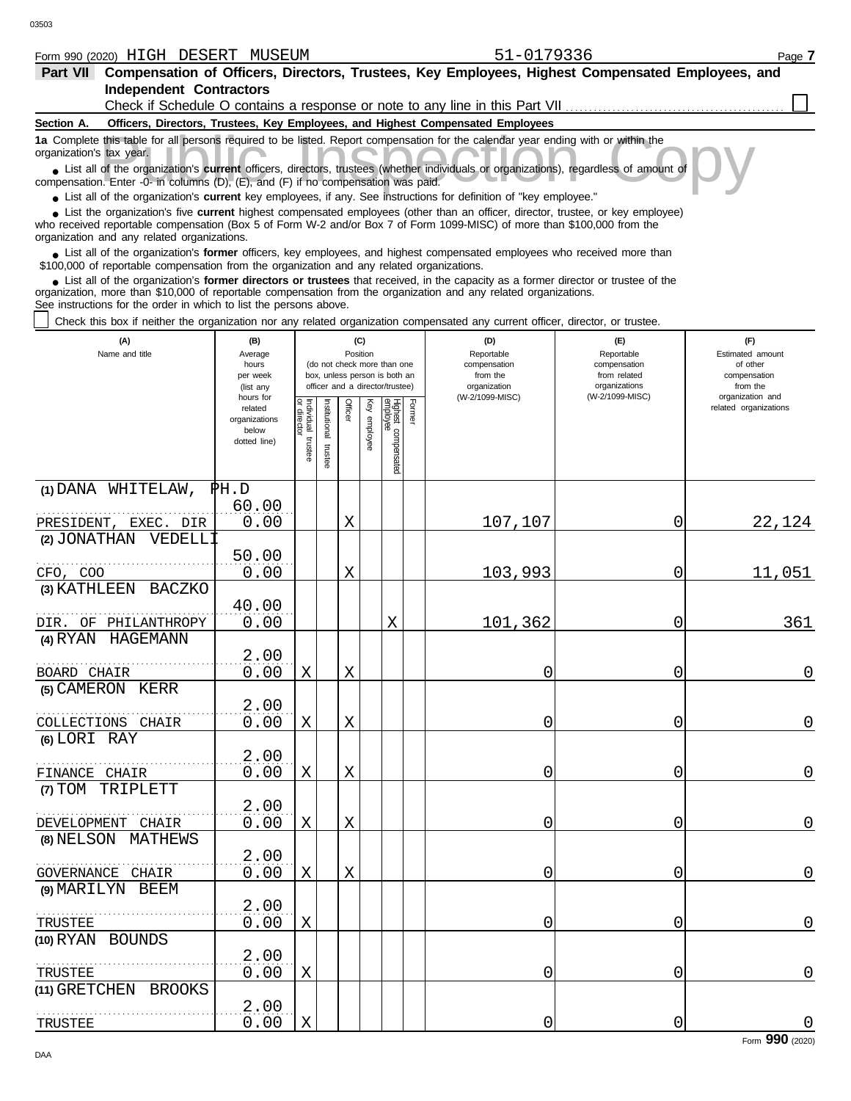|  | Form | 990 (2020) | T T T T T T<br>∟ت ـ<br>---- | חמהימ<br>DESERT | <b>MUSEUM</b> | $\overline{\phantom{a}}$<br>ں رے ر | Page |
|--|------|------------|-----------------------------|-----------------|---------------|------------------------------------|------|
|--|------|------------|-----------------------------|-----------------|---------------|------------------------------------|------|

|  | 51-0179336 |  |
|--|------------|--|
|  |            |  |

| <b>Part VII</b>                                                                                                                                                                                                                                                                                                               |         |                 | Compensation of Officers, Directors, Trustees, Key Employees, Highest Compensated Employees, and |            |                         |  |  |  |  |  |  |  |
|-------------------------------------------------------------------------------------------------------------------------------------------------------------------------------------------------------------------------------------------------------------------------------------------------------------------------------|---------|-----------------|--------------------------------------------------------------------------------------------------|------------|-------------------------|--|--|--|--|--|--|--|
| <b>Independent Contractors</b>                                                                                                                                                                                                                                                                                                |         |                 |                                                                                                  |            |                         |  |  |  |  |  |  |  |
|                                                                                                                                                                                                                                                                                                                               |         |                 | Check if Schedule O contains a response or note to any line in this Part VII                     |            |                         |  |  |  |  |  |  |  |
| Section A.                                                                                                                                                                                                                                                                                                                    |         |                 | Officers, Directors, Trustees, Key Employees, and Highest Compensated Employees                  |            |                         |  |  |  |  |  |  |  |
| 1a Complete this table for all persons required to be listed. Report compensation for the calendar year ending with or within the<br>organization's tax year.                                                                                                                                                                 |         |                 |                                                                                                  |            |                         |  |  |  |  |  |  |  |
| • List all of the organization's current officers, directors, trustees (whether individuals or organizations), regardless of amount of<br>compensation. Enter -0- in columns (D), (E), and (F) if no compensation was paid.                                                                                                   |         |                 |                                                                                                  |            |                         |  |  |  |  |  |  |  |
| • List all of the organization's current key employees, if any. See instructions for definition of "key employee."                                                                                                                                                                                                            |         |                 |                                                                                                  |            |                         |  |  |  |  |  |  |  |
| List the organization's five <b>current</b> highest compensated employees (other than an officer, director, trustee, or key employee)<br>who received reportable compensation (Box 5 of Form W-2 and/or Box 7 of Form 1099-MISC) of more than \$100,000 from the<br>organization and any related organizations.               |         |                 |                                                                                                  |            |                         |  |  |  |  |  |  |  |
| List all of the organization's former officers, key employees, and highest compensated employees who received more than<br>\$100,000 of reportable compensation from the organization and any related organizations.                                                                                                          |         |                 |                                                                                                  |            |                         |  |  |  |  |  |  |  |
| • List all of the organization's former directors or trustees that received, in the capacity as a former director or trustee of the<br>organization, more than \$10,000 of reportable compensation from the organization and any related organizations.<br>See instructions for the order in which to list the persons above. |         |                 |                                                                                                  |            |                         |  |  |  |  |  |  |  |
| Check this box if neither the organization nor any related organization compensated any current officer, director, or trustee.                                                                                                                                                                                                |         |                 |                                                                                                  |            |                         |  |  |  |  |  |  |  |
| (A)<br>Name and title                                                                                                                                                                                                                                                                                                         | (B)     | (C)<br>Position | (D)                                                                                              | (F)        | (F)<br>Estimated amount |  |  |  |  |  |  |  |
|                                                                                                                                                                                                                                                                                                                               | Average |                 | Reportable                                                                                       | Reportable |                         |  |  |  |  |  |  |  |

| Name and title                    | Average<br>hours<br>per week<br>(list any                      |                                   |                      | Position |              | (do not check more than one<br>box, unless person is both an<br>officer and a director/trustee) |        | Reportable<br>compensation<br>from the<br>organization<br>(W-2/1099-MISC) | Reportable<br>compensation<br>from related<br>organizations<br>(W-2/1099-MISC) | Estimated amount<br>of other<br>compensation<br>from the<br>organization and |
|-----------------------------------|----------------------------------------------------------------|-----------------------------------|----------------------|----------|--------------|-------------------------------------------------------------------------------------------------|--------|---------------------------------------------------------------------------|--------------------------------------------------------------------------------|------------------------------------------------------------------------------|
|                                   | hours for<br>related<br>organizations<br>below<br>dotted line) | Individual trustee<br>or director | nstitutional trustee | Officer  | Key employee | Highest compensated<br>employee                                                                 | Former |                                                                           |                                                                                | related organizations                                                        |
| (1) DANA WHITELAW,                | $\mathbb{P} H.D$                                               |                                   |                      |          |              |                                                                                                 |        |                                                                           |                                                                                |                                                                              |
|                                   | 60.00                                                          |                                   |                      |          |              |                                                                                                 |        |                                                                           |                                                                                |                                                                              |
| PRESIDENT, EXEC. DIR              | 0.00                                                           |                                   |                      | $\rm X$  |              |                                                                                                 |        | 107,107                                                                   | 0                                                                              | 22,124                                                                       |
| (2) JONATHAN VEDELL1              |                                                                |                                   |                      |          |              |                                                                                                 |        |                                                                           |                                                                                |                                                                              |
| CFO, COO                          | 50.00<br>0.00                                                  |                                   |                      | X        |              |                                                                                                 |        | 103,993                                                                   | 0                                                                              | 11,051                                                                       |
| (3) KATHLEEN BACZKO               |                                                                |                                   |                      |          |              |                                                                                                 |        |                                                                           |                                                                                |                                                                              |
|                                   | 40.00                                                          |                                   |                      |          |              |                                                                                                 |        |                                                                           |                                                                                |                                                                              |
| DIR. OF PHILANTHROPY              | 0.00                                                           |                                   |                      |          |              | $\rm X$                                                                                         |        | 101,362                                                                   | 0                                                                              | 361                                                                          |
| (4) RYAN HAGEMANN                 |                                                                |                                   |                      |          |              |                                                                                                 |        |                                                                           |                                                                                |                                                                              |
|                                   | 2.00                                                           |                                   |                      |          |              |                                                                                                 |        |                                                                           |                                                                                |                                                                              |
| BOARD CHAIR                       | 0.00                                                           | $\mathbf X$                       |                      | X        |              |                                                                                                 |        | 0                                                                         | 0                                                                              | 0                                                                            |
| (5) CAMERON KERR                  |                                                                |                                   |                      |          |              |                                                                                                 |        |                                                                           |                                                                                |                                                                              |
|                                   | 2.00                                                           | X                                 |                      | X        |              |                                                                                                 |        |                                                                           |                                                                                | 0                                                                            |
| COLLECTIONS CHAIR<br>(6) LORI RAY | 0.00                                                           |                                   |                      |          |              |                                                                                                 |        | 0                                                                         | 0                                                                              |                                                                              |
|                                   | 2.00                                                           |                                   |                      |          |              |                                                                                                 |        |                                                                           |                                                                                |                                                                              |
| FINANCE CHAIR                     | 0.00                                                           | $\mathbf X$                       |                      | X        |              |                                                                                                 |        | 0                                                                         | 0                                                                              | $\mathsf{O}$                                                                 |
| (7) TOM TRIPLETT                  |                                                                |                                   |                      |          |              |                                                                                                 |        |                                                                           |                                                                                |                                                                              |
| DEVELOPMENT CHAIR                 | 2.00<br>0.00                                                   | $\mathbf X$                       |                      | $\rm X$  |              |                                                                                                 |        | 0                                                                         | 0                                                                              | $\overline{0}$                                                               |
| (8) NELSON MATHEWS                |                                                                |                                   |                      |          |              |                                                                                                 |        |                                                                           |                                                                                |                                                                              |
| GOVERNANCE CHAIR                  | 2.00<br>0.00                                                   | $\mathbf X$                       |                      | X        |              |                                                                                                 |        | 0                                                                         | 0                                                                              | 0                                                                            |
| (9) MARILYN BEEM                  |                                                                |                                   |                      |          |              |                                                                                                 |        |                                                                           |                                                                                |                                                                              |
| TRUSTEE                           | 2.00<br>0.00                                                   | X                                 |                      |          |              |                                                                                                 |        | 0                                                                         | 0                                                                              | $\overline{0}$                                                               |
| (10) RYAN BOUNDS                  |                                                                |                                   |                      |          |              |                                                                                                 |        |                                                                           |                                                                                |                                                                              |
|                                   | 2.00                                                           |                                   |                      |          |              |                                                                                                 |        |                                                                           |                                                                                |                                                                              |
| TRUSTEE                           | 0.00                                                           | $\mathbf X$                       |                      |          |              |                                                                                                 |        | 0                                                                         | 0                                                                              | $\mathsf{O}$                                                                 |
| (11) GRETCHEN BROOKS              |                                                                |                                   |                      |          |              |                                                                                                 |        |                                                                           |                                                                                |                                                                              |
|                                   | 2.00                                                           |                                   |                      |          |              |                                                                                                 |        |                                                                           |                                                                                |                                                                              |
| TRUSTEE                           | 0.00                                                           | $\mathbf X$                       |                      |          |              |                                                                                                 |        | 0                                                                         | 0                                                                              | $\boldsymbol{0}$                                                             |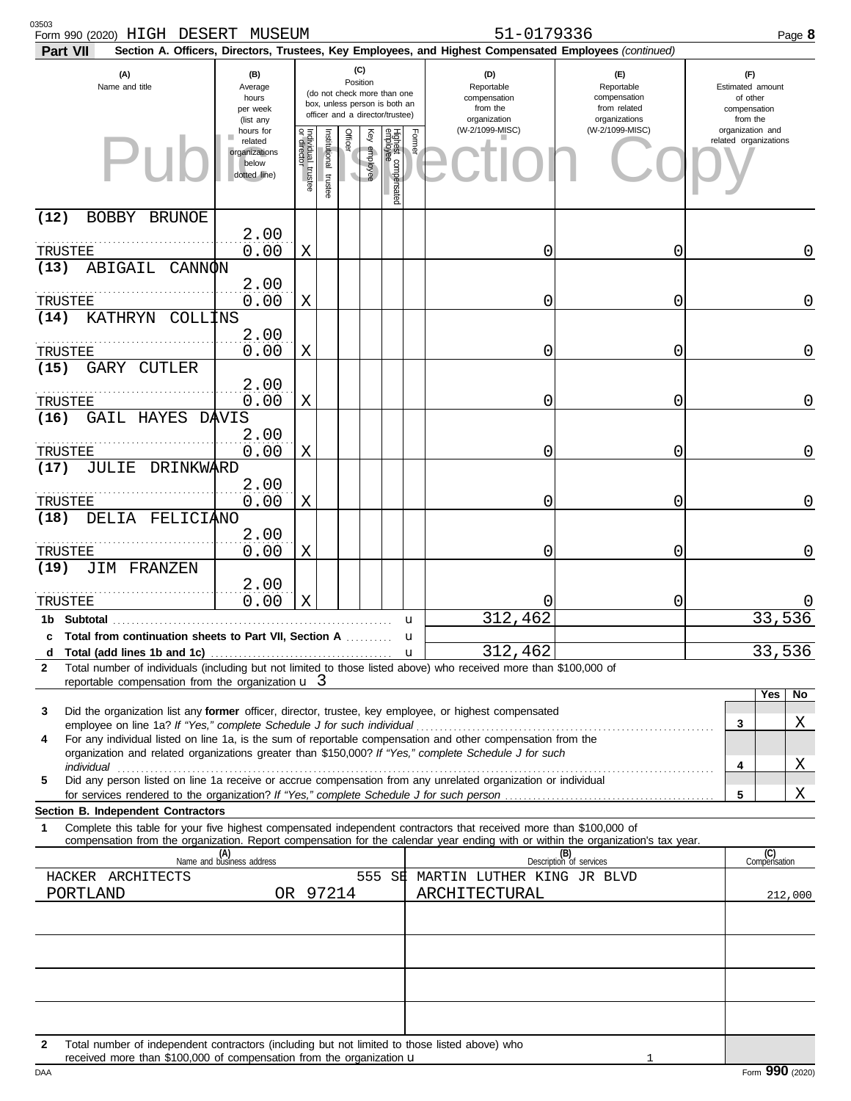| 03503<br>Form 990 (2020) HIGH DESERT MUSEUM<br>Part VII                                                                                                                                                                                                                                                                                 |                                                                |                                      |                                                                                                 |                 |                 |                                                               |                                                                    | 51-0179336<br>Section A. Officers, Directors, Trustees, Key Employees, and Highest Compensated Employees (continued) |                                |                                           | Page 8              |
|-----------------------------------------------------------------------------------------------------------------------------------------------------------------------------------------------------------------------------------------------------------------------------------------------------------------------------------------|----------------------------------------------------------------|--------------------------------------|-------------------------------------------------------------------------------------------------|-----------------|-----------------|---------------------------------------------------------------|--------------------------------------------------------------------|----------------------------------------------------------------------------------------------------------------------|--------------------------------|-------------------------------------------|---------------------|
| (A)<br>Name and title                                                                                                                                                                                                                                                                                                                   | (B)<br>Average<br>hours<br>per week<br>(list any               |                                      | (do not check more than one<br>box, unless person is both an<br>officer and a director/trustee) | (C)<br>Position |                 | (D)<br>Reportable<br>compensation<br>from the<br>organization | (E)<br>Reportable<br>compensation<br>from related<br>organizations | (F)<br>Estimated amount<br>of other<br>compensation<br>from the                                                      |                                |                                           |                     |
|                                                                                                                                                                                                                                                                                                                                         | hours for<br>related<br>organizations<br>below<br>dotted line) | Individual<br>or director<br>trustee | Institutional trustee                                                                           | <b>Officer</b>  | Ķey<br>employee | Highest cor<br>compensated                                    | Former                                                             | (W-2/1099-MISC)                                                                                                      | (W-2/1099-MISC)                | organization and<br>related organizations |                     |
| (12)<br>BOBBY BRUNOE                                                                                                                                                                                                                                                                                                                    |                                                                |                                      |                                                                                                 |                 |                 |                                                               |                                                                    |                                                                                                                      |                                |                                           |                     |
| TRUSTEE<br>(13)<br>ABIGAIL<br><b>CANNON</b>                                                                                                                                                                                                                                                                                             | 2.00<br>0.00                                                   | X                                    |                                                                                                 |                 |                 |                                                               |                                                                    | 0                                                                                                                    | 0                              |                                           | 0                   |
| TRUSTEE                                                                                                                                                                                                                                                                                                                                 | 2.00<br>0.00                                                   | X                                    |                                                                                                 |                 |                 |                                                               |                                                                    | 0                                                                                                                    | 0                              |                                           | 0                   |
| KATHRYN<br>COLLINS<br>(14)                                                                                                                                                                                                                                                                                                              |                                                                |                                      |                                                                                                 |                 |                 |                                                               |                                                                    |                                                                                                                      |                                |                                           |                     |
| TRUSTEE<br>GARY CUTLER<br>(15)                                                                                                                                                                                                                                                                                                          | 2.00<br>0.00                                                   | X                                    |                                                                                                 |                 |                 |                                                               |                                                                    | 0                                                                                                                    | 0                              |                                           | 0                   |
| TRUSTEE                                                                                                                                                                                                                                                                                                                                 | 2.00<br>0.00                                                   | $\mathbf X$                          |                                                                                                 |                 |                 |                                                               |                                                                    | 0                                                                                                                    | 0                              |                                           | 0                   |
| (16)<br>GAIL HAYES DAVIS                                                                                                                                                                                                                                                                                                                |                                                                |                                      |                                                                                                 |                 |                 |                                                               |                                                                    |                                                                                                                      |                                |                                           |                     |
| TRUSTEE                                                                                                                                                                                                                                                                                                                                 | 2.00<br>0.00                                                   | $\mathbf X$                          |                                                                                                 |                 |                 |                                                               |                                                                    | 0                                                                                                                    | 0                              |                                           | 0                   |
| DRINKWARD<br>JULIE<br>(17)<br>TRUSTEE                                                                                                                                                                                                                                                                                                   | 2.00<br>0.00                                                   | Χ                                    |                                                                                                 |                 |                 |                                                               |                                                                    | 0                                                                                                                    | 0                              |                                           | 0                   |
| DELIA<br>FELICIANO<br>(18)                                                                                                                                                                                                                                                                                                              | 2.00                                                           |                                      |                                                                                                 |                 |                 |                                                               |                                                                    |                                                                                                                      |                                |                                           |                     |
| TRUSTEE<br>JIM FRANZEN<br>(19)                                                                                                                                                                                                                                                                                                          | 0.00                                                           | X                                    |                                                                                                 |                 |                 |                                                               |                                                                    | 0                                                                                                                    | 0                              |                                           | 0                   |
| TRUSTEE                                                                                                                                                                                                                                                                                                                                 | 2.00<br>0.00                                                   | X                                    |                                                                                                 |                 |                 |                                                               |                                                                    |                                                                                                                      | 0                              |                                           |                     |
| 1b Subtotal                                                                                                                                                                                                                                                                                                                             |                                                                |                                      |                                                                                                 |                 |                 | u                                                             |                                                                    | 312,462                                                                                                              |                                |                                           | 33,536              |
| c Total from continuation sheets to Part VII, Section A                                                                                                                                                                                                                                                                                 |                                                                |                                      |                                                                                                 |                 |                 | u<br>$\mathbf u$                                              |                                                                    | 312,462                                                                                                              |                                |                                           | 33,536              |
| Total number of individuals (including but not limited to those listed above) who received more than \$100,000 of<br>$\mathbf{2}$                                                                                                                                                                                                       |                                                                |                                      |                                                                                                 |                 |                 |                                                               |                                                                    |                                                                                                                      |                                |                                           |                     |
| reportable compensation from the organization $\mathbf{u}$ 3                                                                                                                                                                                                                                                                            |                                                                |                                      |                                                                                                 |                 |                 |                                                               |                                                                    |                                                                                                                      |                                |                                           | Yes<br>No           |
| Did the organization list any former officer, director, trustee, key employee, or highest compensated<br>3                                                                                                                                                                                                                              |                                                                |                                      |                                                                                                 |                 |                 |                                                               |                                                                    |                                                                                                                      |                                |                                           |                     |
| For any individual listed on line 1a, is the sum of reportable compensation and other compensation from the<br>4                                                                                                                                                                                                                        |                                                                |                                      |                                                                                                 |                 |                 |                                                               |                                                                    |                                                                                                                      |                                | 3                                         | Χ                   |
| organization and related organizations greater than \$150,000? If "Yes," complete Schedule J for such<br>individual with a construction of the construction of the construction of the construction of the construction of the construction of the construction of the construction of the construction of the construction of the cons |                                                                |                                      |                                                                                                 |                 |                 |                                                               |                                                                    |                                                                                                                      |                                | 4                                         | Χ                   |
| Did any person listed on line 1a receive or accrue compensation from any unrelated organization or individual<br>5                                                                                                                                                                                                                      |                                                                |                                      |                                                                                                 |                 |                 |                                                               |                                                                    |                                                                                                                      |                                | 5                                         | Χ                   |
| Section B. Independent Contractors                                                                                                                                                                                                                                                                                                      |                                                                |                                      |                                                                                                 |                 |                 |                                                               |                                                                    |                                                                                                                      |                                |                                           |                     |
| Complete this table for your five highest compensated independent contractors that received more than \$100,000 of<br>1<br>compensation from the organization. Report compensation for the calendar year ending with or within the organization's tax year.                                                                             |                                                                |                                      |                                                                                                 |                 |                 |                                                               |                                                                    |                                                                                                                      |                                |                                           |                     |
|                                                                                                                                                                                                                                                                                                                                         | (A)<br>Name and business address                               |                                      |                                                                                                 |                 | 555 SE          |                                                               |                                                                    |                                                                                                                      | (B)<br>Description of services |                                           | (C)<br>Compensation |
| HACKER ARCHITECTS<br>PORTLAND                                                                                                                                                                                                                                                                                                           |                                                                |                                      | OR 97214                                                                                        |                 |                 |                                                               |                                                                    | MARTIN LUTHER KING JR BLVD<br>ARCHITECTURAL                                                                          |                                |                                           | 212,000             |
|                                                                                                                                                                                                                                                                                                                                         |                                                                |                                      |                                                                                                 |                 |                 |                                                               |                                                                    |                                                                                                                      |                                |                                           |                     |
|                                                                                                                                                                                                                                                                                                                                         |                                                                |                                      |                                                                                                 |                 |                 |                                                               |                                                                    |                                                                                                                      |                                |                                           |                     |
|                                                                                                                                                                                                                                                                                                                                         |                                                                |                                      |                                                                                                 |                 |                 |                                                               |                                                                    |                                                                                                                      |                                |                                           |                     |
| Total number of independent contractors (including but not limited to those listed above) who<br>2<br>received more than \$100,000 of compensation from the organization u                                                                                                                                                              |                                                                |                                      |                                                                                                 |                 |                 |                                                               |                                                                    |                                                                                                                      |                                |                                           |                     |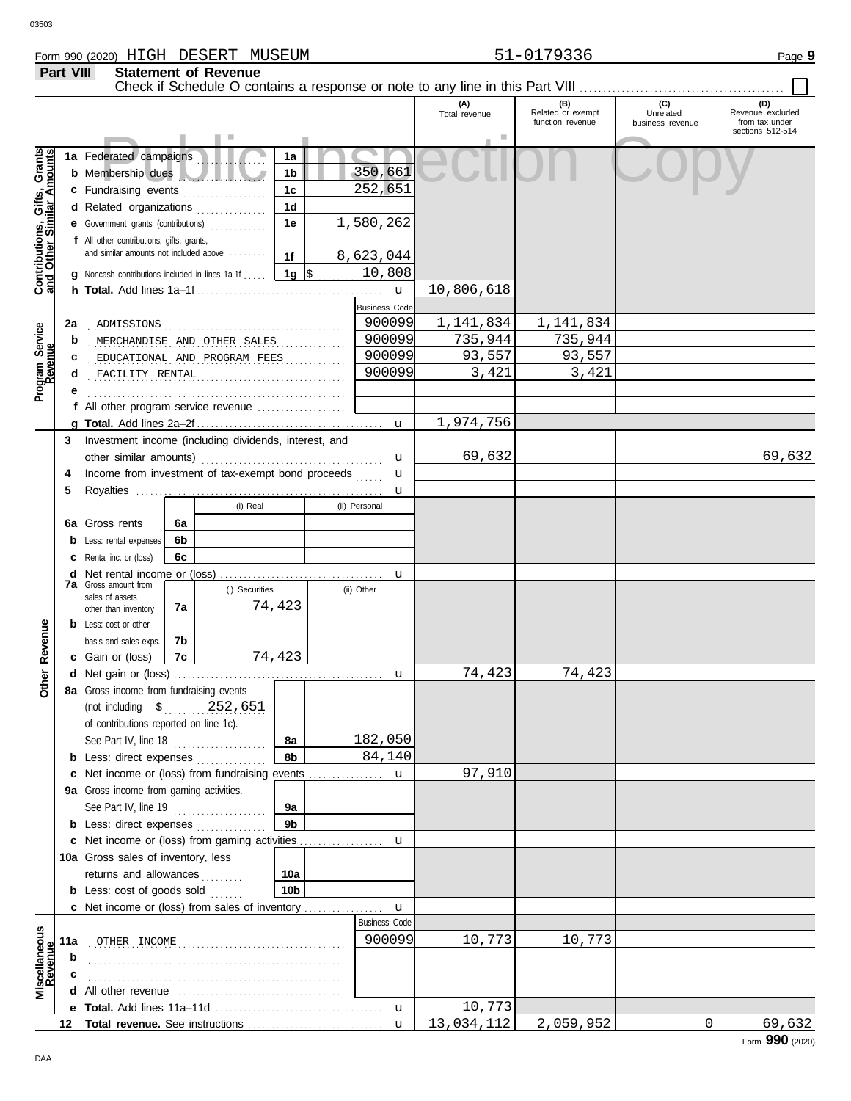**Part VIII Statement of Revenue**

Check if Schedule O contains a response or note to any line in this Part VIII . . . . . . . . . . . . . . . . . . . . . . . . . . . . . . . . . . . . . . . . . . . .

 $\Box$ 

|                                                                  |                                               |                                                                                 |                                                                                                                                                                                                                                    |                              |                      |            |                      | (A)<br>Total revenue | (B)<br>Related or exempt | (C)<br>Unrelated | (D)<br>Revenue excluded            |
|------------------------------------------------------------------|-----------------------------------------------|---------------------------------------------------------------------------------|------------------------------------------------------------------------------------------------------------------------------------------------------------------------------------------------------------------------------------|------------------------------|----------------------|------------|----------------------|----------------------|--------------------------|------------------|------------------------------------|
|                                                                  |                                               |                                                                                 |                                                                                                                                                                                                                                    |                              |                      |            |                      |                      | function revenue         | business revenue | from tax under<br>sections 512-514 |
|                                                                  |                                               |                                                                                 |                                                                                                                                                                                                                                    |                              |                      |            |                      |                      |                          |                  |                                    |
| <b>Contributions, Gifts, Grants</b><br>and Other Similar Amounts |                                               | 1a Federated campaigns                                                          |                                                                                                                                                                                                                                    |                              | 1a                   |            |                      |                      |                          |                  |                                    |
|                                                                  |                                               | b Membership dues                                                               |                                                                                                                                                                                                                                    |                              | 1b                   |            | 350,661              |                      |                          |                  |                                    |
|                                                                  |                                               | c Fundraising events                                                            |                                                                                                                                                                                                                                    |                              | 1 <sub>c</sub>       |            | 252,651              |                      |                          |                  |                                    |
|                                                                  |                                               | d Related organizations                                                         |                                                                                                                                                                                                                                    |                              | 1 <sub>d</sub>       |            |                      |                      |                          |                  |                                    |
|                                                                  |                                               | e Government grants (contributions)                                             |                                                                                                                                                                                                                                    |                              | 1e                   |            | 1,580,262            |                      |                          |                  |                                    |
|                                                                  |                                               | f All other contributions, gifts, grants,                                       |                                                                                                                                                                                                                                    |                              |                      |            |                      |                      |                          |                  |                                    |
|                                                                  |                                               | and similar amounts not included above                                          |                                                                                                                                                                                                                                    |                              | 1f                   |            | 8,623,044            |                      |                          |                  |                                    |
|                                                                  |                                               | <b>g</b> Noncash contributions included in lines $1a-1f$ $\vert 1g \vert$ \$    |                                                                                                                                                                                                                                    |                              |                      |            | 10,808               |                      |                          |                  |                                    |
|                                                                  |                                               |                                                                                 |                                                                                                                                                                                                                                    |                              |                      |            | $\mathbf{u}$         | 10,806,618           |                          |                  |                                    |
|                                                                  |                                               |                                                                                 |                                                                                                                                                                                                                                    |                              |                      |            | <b>Business Code</b> |                      |                          |                  |                                    |
| Program Service<br>Revenue                                       | 2a                                            | ADMISSIONS                                                                      |                                                                                                                                                                                                                                    |                              |                      |            | 900099               | 1,141,834            | 1,141,834                |                  |                                    |
|                                                                  | b                                             |                                                                                 |                                                                                                                                                                                                                                    | MERCHANDISE AND OTHER SALES  |                      | .          | 900099               | 735,944              | 735,944                  |                  |                                    |
|                                                                  | c                                             |                                                                                 |                                                                                                                                                                                                                                    | EDUCATIONAL AND PROGRAM FEES |                      |            | 900099<br>900099     | 93,557               | 93,557<br>3,421          |                  |                                    |
|                                                                  | d                                             | FACILITY RENTAL                                                                 |                                                                                                                                                                                                                                    |                              |                      |            |                      | 3,421                |                          |                  |                                    |
|                                                                  |                                               |                                                                                 |                                                                                                                                                                                                                                    |                              |                      |            |                      |                      |                          |                  |                                    |
|                                                                  |                                               |                                                                                 |                                                                                                                                                                                                                                    |                              |                      |            | $\mathbf{u}$         | 1,974,756            |                          |                  |                                    |
|                                                                  | 3                                             | Investment income (including dividends, interest, and                           |                                                                                                                                                                                                                                    |                              |                      |            |                      |                      |                          |                  |                                    |
|                                                                  |                                               |                                                                                 |                                                                                                                                                                                                                                    |                              |                      |            | u                    | 69,632               |                          |                  | 69,632                             |
|                                                                  | 4                                             | Income from investment of tax-exempt bond proceeds                              |                                                                                                                                                                                                                                    |                              |                      |            | u                    |                      |                          |                  |                                    |
|                                                                  | 5                                             |                                                                                 |                                                                                                                                                                                                                                    |                              |                      |            | u                    |                      |                          |                  |                                    |
|                                                                  |                                               |                                                                                 |                                                                                                                                                                                                                                    | (i) Real                     |                      |            | (ii) Personal        |                      |                          |                  |                                    |
|                                                                  |                                               | 6a Gross rents                                                                  | 6a                                                                                                                                                                                                                                 |                              |                      |            |                      |                      |                          |                  |                                    |
|                                                                  |                                               | <b>b</b> Less: rental expenses                                                  | 6b                                                                                                                                                                                                                                 |                              |                      |            |                      |                      |                          |                  |                                    |
|                                                                  |                                               | <b>c</b> Rental inc. or (loss)                                                  | 6c                                                                                                                                                                                                                                 |                              |                      |            |                      |                      |                          |                  |                                    |
|                                                                  | <b>7a</b> Gross amount from<br>(i) Securities |                                                                                 |                                                                                                                                                                                                                                    |                              | u                    |            |                      |                      |                          |                  |                                    |
|                                                                  |                                               | sales of assets                                                                 |                                                                                                                                                                                                                                    |                              |                      | (ii) Other |                      |                      |                          |                  |                                    |
|                                                                  |                                               | other than inventory                                                            | 7a                                                                                                                                                                                                                                 |                              | 74,423               |            |                      |                      |                          |                  |                                    |
|                                                                  |                                               | <b>b</b> Less: cost or other                                                    |                                                                                                                                                                                                                                    |                              |                      |            |                      |                      |                          |                  |                                    |
| Revenue                                                          |                                               | basis and sales exps.                                                           | 7b                                                                                                                                                                                                                                 |                              |                      |            |                      |                      |                          |                  |                                    |
|                                                                  |                                               | c Gain or (loss)                                                                | 7c                                                                                                                                                                                                                                 |                              | 74,423               |            |                      |                      |                          |                  |                                    |
| Other                                                            |                                               |                                                                                 |                                                                                                                                                                                                                                    |                              |                      |            | u                    | 74,423               | 74,423                   |                  |                                    |
|                                                                  |                                               | 8a Gross income from fundraising events                                         |                                                                                                                                                                                                                                    |                              |                      |            |                      |                      |                          |                  |                                    |
|                                                                  |                                               | (not including \$ 252,651                                                       |                                                                                                                                                                                                                                    |                              |                      |            |                      |                      |                          |                  |                                    |
|                                                                  |                                               | of contributions reported on line 1c).                                          |                                                                                                                                                                                                                                    |                              |                      |            |                      |                      |                          |                  |                                    |
|                                                                  |                                               | See Part IV, line 18                                                            |                                                                                                                                                                                                                                    |                              | 8а                   |            | 182,050              |                      |                          |                  |                                    |
|                                                                  |                                               | <b>b</b> Less: direct expenses                                                  |                                                                                                                                                                                                                                    |                              | 8b                   |            | 84,140               |                      |                          |                  |                                    |
|                                                                  |                                               | c Net income or (loss) from fundraising events                                  |                                                                                                                                                                                                                                    |                              |                      |            | u                    | 97,910               |                          |                  |                                    |
|                                                                  |                                               | 9a Gross income from gaming activities.                                         |                                                                                                                                                                                                                                    |                              |                      |            |                      |                      |                          |                  |                                    |
|                                                                  |                                               | See Part IV, line 19                                                            |                                                                                                                                                                                                                                    |                              | 9а<br>9 <sub>b</sub> |            |                      |                      |                          |                  |                                    |
|                                                                  |                                               | <b>b</b> Less: direct expenses<br>c Net income or (loss) from gaming activities |                                                                                                                                                                                                                                    |                              |                      |            |                      |                      |                          |                  |                                    |
|                                                                  |                                               | 10a Gross sales of inventory, less                                              |                                                                                                                                                                                                                                    |                              |                      |            | u                    |                      |                          |                  |                                    |
|                                                                  |                                               | returns and allowances                                                          |                                                                                                                                                                                                                                    |                              | 10a                  |            |                      |                      |                          |                  |                                    |
|                                                                  |                                               | <b>b</b> Less: cost of goods sold                                               |                                                                                                                                                                                                                                    |                              | 10 <sub>b</sub>      |            |                      |                      |                          |                  |                                    |
|                                                                  |                                               | c Net income or (loss) from sales of inventory                                  |                                                                                                                                                                                                                                    |                              |                      |            | $\mathbf{u}$         |                      |                          |                  |                                    |
|                                                                  |                                               |                                                                                 |                                                                                                                                                                                                                                    |                              |                      |            | <b>Business Code</b> |                      |                          |                  |                                    |
|                                                                  | 11a                                           | OTHER INCOME                                                                    |                                                                                                                                                                                                                                    |                              |                      |            | 900099               | 10,773               | 10,773                   |                  |                                    |
| Miscellaneous<br>Revenue                                         | b                                             |                                                                                 |                                                                                                                                                                                                                                    |                              |                      |            |                      |                      |                          |                  |                                    |
|                                                                  |                                               |                                                                                 |                                                                                                                                                                                                                                    |                              |                      |            |                      |                      |                          |                  |                                    |
|                                                                  |                                               |                                                                                 | All other revenue <i>containance</i> and the container and the container and the container and the container and the container and the container and the container and the container and the container and container and container |                              |                      |            |                      |                      |                          |                  |                                    |
|                                                                  |                                               |                                                                                 |                                                                                                                                                                                                                                    |                              |                      |            | $\mathbf{u}$         | 10,773               |                          |                  |                                    |
|                                                                  |                                               |                                                                                 |                                                                                                                                                                                                                                    |                              |                      |            | $\mathbf{u}$         | 13,034,112           | 2,059,952                | 0                | 69,632                             |

Form **990** (2020)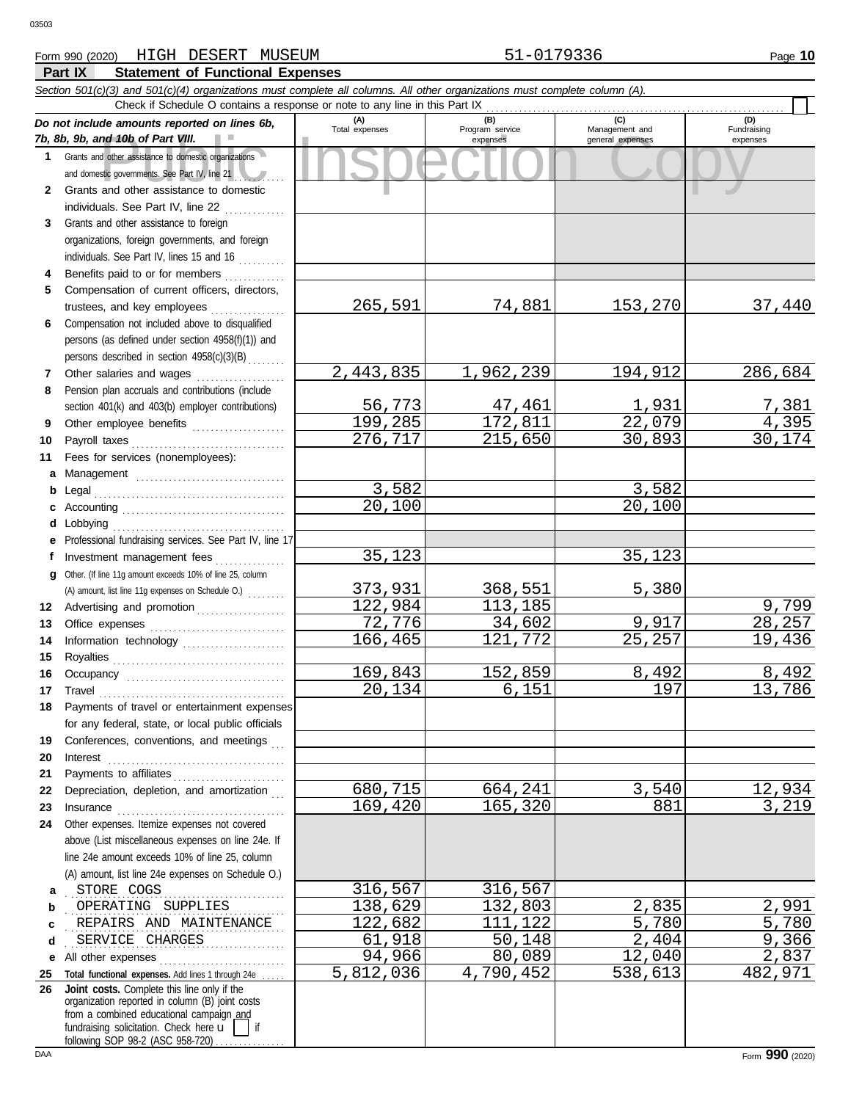### **Part IX Statement of Functional Expenses** Form 990 (2020) Page **10** HIGH DESERT MUSEUM 51-0179336

#### nd 10b of Part VIII.<br>
dother assistance to domestic organizations<br>
and other assistance to domestic<br>
and other assistance to domestic *Section 501(c)(3) and 501(c)(4) organizations must complete all columns. All other organizations must complete column (A). Do not include amounts reported on lines 6b, 7b, 8b, 9b, and 10b of Part VIII.* **1 2 3 4 5 6 7 8 9 10 11 a** Management ................................. **b** Legal . . . . . . . . . . . . . . . . . . . . . . . . . . . . . . . . . . . . . . . . . **c** Accounting . . . . . . . . . . . . . . . . . . . . . . . . . . . . . . . . . . . **d** Lobbying . . . . . . . . . . . . . . . . . . . . . . . . . . . . . . . . . . . . . **e** Professional fundraising services. See Part IV, line 17 **f g** Other. (If line 11g amount exceeds 10% of line 25, column **12** Advertising and promotion . . . . . . . . . . . . . . . . . **13 14 15 16 17 18 19 20 21 22** Depreciation, depletion, and amortization . . . **23 24 a** . . . . . . . . . . . . . . . . . . . . . . . . . . . . . . . . . . . . . . . . . . . . . . . STORE COGS 316,567 316,567 **b c** REPAIRS AND MAINTENANCE 22,682 111,122 5,780 5,780 **d** . . . . . . . . . . . . . . . . . . . . . . . . . . . . . . . . . . . . . . . . . . . . . . . SERVICE CHARGES 61,918 50,148 2,404 9,366 **e** All other expenses . . . . . . . . . . . . . . . . . . . . . . . . . . . **25 Total functional expenses.** Add lines 1 through 24e . . . . . **26** Grants and other assistance to domestic organizations and domestic governments. See Part IV, line 21 Grants and other assistance to domestic individuals. See Part IV, line 22 .............. Grants and other assistance to foreign organizations, foreign governments, and foreign individuals. See Part IV, lines 15 and 16 Benefits paid to or for members ............. Compensation of current officers, directors, trustees, and key employees . . . . . . . . . . . . . . . . Compensation not included above to disqualified persons (as defined under section 4958(f)(1)) and persons described in section 4958(c)(3)(B) . . . . . . . . Other salaries and wages .................... Pension plan accruals and contributions (include section 401(k) and 403(b) employer contributions) Other employee benefits ..................... Payroll taxes . . . . . . . . . . . . . . . . . . . . . . . . . . . . . . . . . Fees for services (nonemployees): Investment management fees ............... Office expenses ............................... Information technology ..................... Royalties . . . . . . . . . . . . . . . . . . . . . . . . . . . . . . . . . . . . . Occupancy . . . . . . . . . . . . . . . . . . . . . . . . . . . . . . . . . . Travel . . . . . . . . . . . . . . . . . . . . . . . . . . . . . . . . . . . . . . . . Payments of travel or entertainment expenses for any federal, state, or local public officials Conferences, conventions, and meetings Interest . . . . . . . . . . . . . . . . . . . . . . . . . . . . . . . . . . . . . . Payments to affiliates . . . . . . . . . . . . . . . . . . . . . . . . Insurance . . . . . . . . . . . . . . . . . . . . . . . . . . . . . . . . . . . . Other expenses. Itemize expenses not covered above (List miscellaneous expenses on line 24e. If line 24e amount exceeds 10% of line 25, column (A) amount, list line 24e expenses on Schedule O.) fundraising solicitation. Check here  $\mathbf{u}$  | if organization reported in column (B) joint costs from a combined educational campaign and following SOP 98-2 (ASC 958-720) **(A) (B) (C) (D)** Management and expenses and general expenses (D)<br>Fundraising expenses . OPERATING SUPPLIES 138,629 132,803 2,835 2,991 Check if Schedule O contains a response or note to any line in this Part IX **Joint costs.** Complete this line only if the (A) amount, list line 11g expenses on Schedule O.) . . . . . . . . 265,591 74,881 153,270 37,440 2,443,835 1,962,239 194,912 286,684 <u>56,773 47,461 1,931 7,381</u><br>99,285 172,811 22,079 4,395 199,285 172,811 22,079 4,395<br>276,717 215,650 30,893 30,174 276,717 3,582<br>0,100 3,582<br>20,100 20,100 20,100 35,123 35,123 <u>373,931 368,551 5,380</u><br>122,984 113,185 22,984 113,185 9,917 9,799<br>72,776 34,602 9,917 28,257 121,772 9,917 28,257<br>121,772 25,257 19,436 166,465 169,843 152,859 8,492 8,492<br>20.134 6.151 197 13.786 13,786 680,715 664,241 3,540 12,934 165,320 94,966 80,089 12,040 2,837<br>5,812,036 4,790,452 538,613 482,971 4,790,452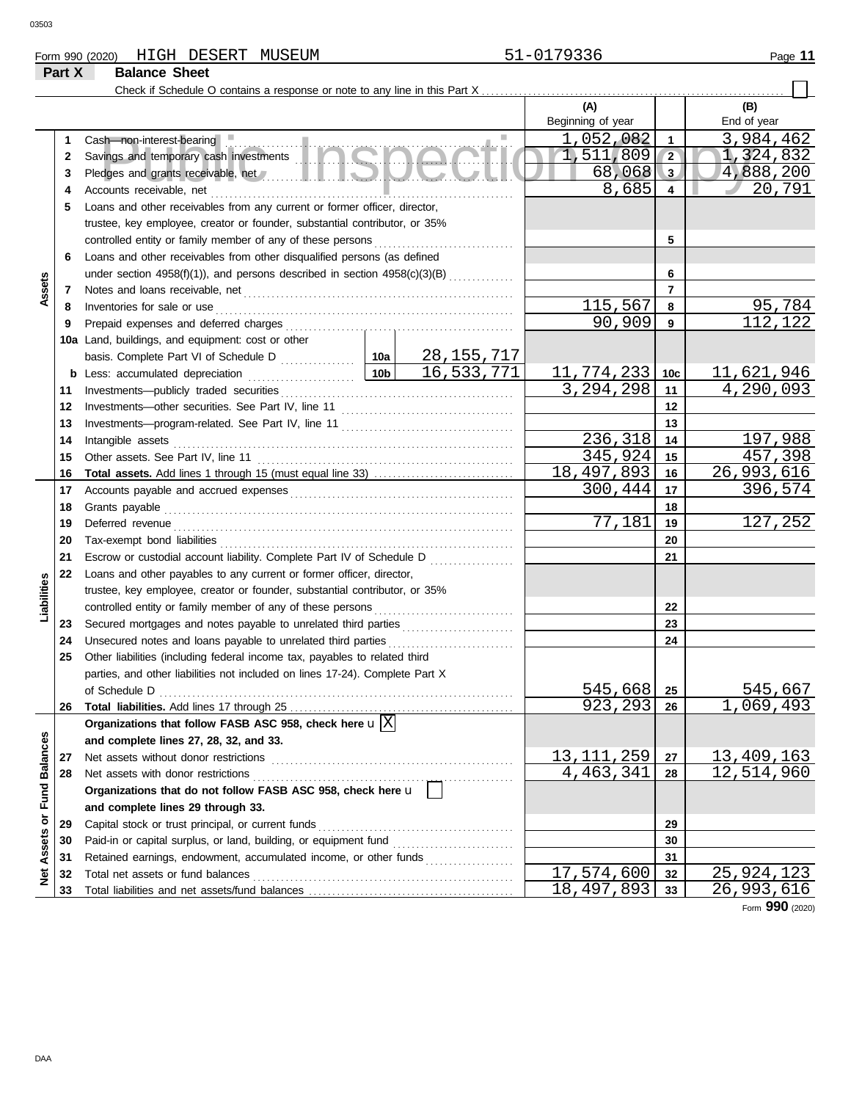# Form 990 (2020) HIGH DESERT MUSEUM **51-0179336** Page 11

# **Part X Balance Sheet**

Check if Schedule O contains a response or note to any line in this Part X . . . . . . . . . . . . . . . . . . . . . . . . . . . . . . . . . . . . . . . . . . . . . . . . . . . . . . . . . . . . . . . . .

|                             |    |                                                                              |                 |                                           | (A)                     |                | (B)             |
|-----------------------------|----|------------------------------------------------------------------------------|-----------------|-------------------------------------------|-------------------------|----------------|-----------------|
|                             |    |                                                                              |                 |                                           | Beginning of year       |                | End of year     |
|                             | 1  | Cash-non-interest-bearing                                                    |                 |                                           | 1,052,082               | $\mathbf{1}$   | 3,984,462       |
|                             | 2  |                                                                              |                 |                                           | 1,511,809               | $\sqrt{2}$     | 1,324,832       |
|                             | 3  |                                                                              |                 |                                           | 68,068                  | 3              | 4,888,200       |
|                             | 4  | Accounts receivable, net                                                     |                 |                                           | 8,685                   | $\overline{4}$ | 20,791          |
|                             | 5  | Loans and other receivables from any current or former officer, director,    |                 |                                           |                         |                |                 |
|                             |    | trustee, key employee, creator or founder, substantial contributor, or 35%   |                 |                                           |                         |                |                 |
|                             |    | controlled entity or family member of any of these persons                   |                 |                                           |                         | 5              |                 |
|                             | 6  | Loans and other receivables from other disqualified persons (as defined      |                 |                                           |                         |                |                 |
|                             |    | under section 4958(f)(1)), and persons described in section 4958(c)(3)(B)    |                 |                                           |                         | 6              |                 |
| Assets                      | 7  |                                                                              |                 |                                           |                         | $\overline{7}$ |                 |
|                             | 8  | Inventories for sale or use                                                  |                 |                                           | 115,567                 | 8              | 95,784          |
|                             | 9  | Prepaid expenses and deferred charges                                        |                 |                                           | 90,909                  | 9              | 112,122         |
|                             |    | 10a Land, buildings, and equipment: cost or other                            |                 |                                           |                         |                |                 |
|                             |    |                                                                              |                 | <u>28,155,717</u>                         |                         |                |                 |
|                             |    | <b>b</b> Less: accumulated depreciation                                      | 10 <sub>b</sub> | 16,533,771                                | 11,774,233              | 10c            | 11,621,946      |
|                             | 11 | Investments-publicly traded securities                                       |                 |                                           | 3,294,298               | 11             | 4,290,093       |
|                             | 12 | Investments-other securities. See Part IV, line 11                           |                 |                                           |                         | 12             |                 |
|                             | 13 |                                                                              |                 |                                           |                         | 13             |                 |
|                             | 14 | Intangible assets                                                            |                 |                                           | 236,318                 | 14             | 197,988         |
|                             | 15 | Other assets. See Part IV, line 11                                           |                 |                                           | 345,924                 | 15             | 457,398         |
|                             | 16 |                                                                              |                 |                                           | 18,497,893              | 16             | 26,993,616      |
|                             | 17 |                                                                              |                 |                                           | 300,444                 | 17             | 396,574         |
|                             | 18 | Grants payable                                                               |                 |                                           |                         | 18             |                 |
|                             | 19 | Deferred revenue                                                             |                 |                                           | 77,181                  | 19             | 127,252         |
|                             | 20 |                                                                              |                 |                                           |                         | 20             |                 |
|                             | 21 | Escrow or custodial account liability. Complete Part IV of Schedule D        |                 | 21                                        |                         |                |                 |
|                             | 22 | Loans and other payables to any current or former officer, director,         |                 | <u> 1999 - Johann Stoff, amerikansk f</u> |                         |                |                 |
|                             |    | trustee, key employee, creator or founder, substantial contributor, or 35%   |                 |                                           |                         |                |                 |
| Liabilities                 |    | controlled entity or family member of any of these persons                   |                 |                                           |                         | 22             |                 |
|                             | 23 |                                                                              |                 |                                           |                         | 23             |                 |
|                             | 24 | Unsecured notes and loans payable to unrelated third parties                 |                 |                                           |                         | 24             |                 |
|                             | 25 | Other liabilities (including federal income tax, payables to related third   |                 |                                           |                         |                |                 |
|                             |    | parties, and other liabilities not included on lines 17-24). Complete Part X |                 |                                           |                         |                |                 |
|                             |    | of Schedule D                                                                |                 |                                           | 545,668                 | 25             | 545,667         |
|                             | 26 |                                                                              |                 |                                           | 923,293                 | 26             | 1,069,493       |
|                             |    | Organizations that follow FASB ASC 958, check here $\mathbf{u} \times$       |                 |                                           |                         |                |                 |
|                             |    | and complete lines 27, 28, 32, and 33.                                       |                 |                                           |                         |                |                 |
|                             | 27 | Net assets without donor restrictions                                        |                 |                                           | 13, 111, 259            | 27             | 13,409,163      |
|                             | 28 | Net assets with donor restrictions                                           |                 |                                           | 4,463,341               | 28             | 12,514,960      |
|                             |    | Organizations that do not follow FASB ASC 958, check here u                  |                 |                                           |                         |                |                 |
|                             |    | and complete lines 29 through 33.                                            |                 |                                           |                         |                |                 |
|                             | 29 | Capital stock or trust principal, or current funds                           |                 |                                           |                         | 29             |                 |
| Net Assets or Fund Balances | 30 | Paid-in or capital surplus, or land, building, or equipment fund             |                 |                                           | 30                      |                |                 |
|                             | 31 | Retained earnings, endowment, accumulated income, or other funds             |                 |                                           | 31                      |                |                 |
|                             | 32 | Total net assets or fund balances                                            |                 |                                           | $\overline{17,574,600}$ | 32             | 25,924,123      |
|                             | 33 |                                                                              |                 |                                           | 18,497,893              | 33             | 26,993,616      |
|                             |    |                                                                              |                 |                                           |                         |                | Form 990 (2020) |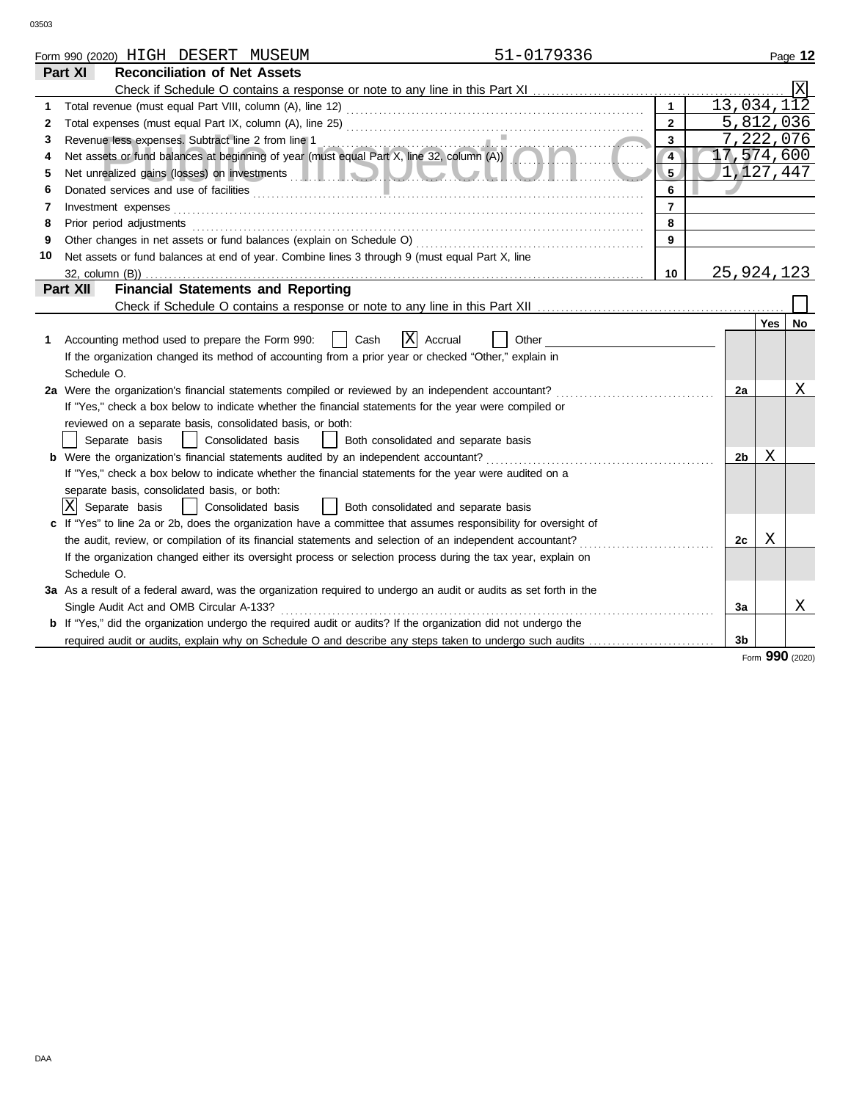|    | 51-0179336<br>Form 990 (2020) HIGH DESERT MUSEUM                                                                                                                                                                                     |                |                         |     | Page 12   |
|----|--------------------------------------------------------------------------------------------------------------------------------------------------------------------------------------------------------------------------------------|----------------|-------------------------|-----|-----------|
|    | Part XI<br><b>Reconciliation of Net Assets</b>                                                                                                                                                                                       |                |                         |     |           |
|    |                                                                                                                                                                                                                                      |                |                         |     |           |
|    |                                                                                                                                                                                                                                      | $\mathbf{1}$   | $13,034,1\overline{12}$ |     |           |
| 2  |                                                                                                                                                                                                                                      | $\overline{2}$ | 5,812,036               |     |           |
| 3  | Revenue less expenses. Subtract line 2 from line 1                                                                                                                                                                                   | $\overline{3}$ | 7, 222, 076             |     |           |
| 4  | Revenue less expenses. Subtract line 2 from line 1<br>Net assets or fund balances at beginning of year (must equal Part X, line 32, column (A))                                                                                      | $\overline{4}$ | 17,574,600              |     |           |
| 5  | Net unrealized gains (losses) on investments <b>and the contract of the contract of the contract of the contract of the contract of the contract of the contract of the contract of the contract of the contract of the contract</b> | 5.             | /1,127,447              |     |           |
| 6  |                                                                                                                                                                                                                                      | 6              |                         |     |           |
| 7  | Investment expenses                                                                                                                                                                                                                  | $\overline{7}$ |                         |     |           |
| 8  | Prior period adjustments                                                                                                                                                                                                             | 8              |                         |     |           |
| 9  |                                                                                                                                                                                                                                      | 9              |                         |     |           |
| 10 | Net assets or fund balances at end of year. Combine lines 3 through 9 (must equal Part X, line                                                                                                                                       |                |                         |     |           |
|    |                                                                                                                                                                                                                                      | 10             | 25, 924, 123            |     |           |
|    | <b>Financial Statements and Reporting</b><br>Part XII                                                                                                                                                                                |                |                         |     |           |
|    |                                                                                                                                                                                                                                      |                |                         |     |           |
|    |                                                                                                                                                                                                                                      |                |                         | Yes | <b>No</b> |
| 1  | X Accrual<br>Accounting method used to prepare the Form 990:<br>Cash<br>Other                                                                                                                                                        |                |                         |     |           |
|    | If the organization changed its method of accounting from a prior year or checked "Other," explain in                                                                                                                                |                |                         |     |           |
|    | Schedule O.                                                                                                                                                                                                                          |                |                         |     |           |
|    | 2a Were the organization's financial statements compiled or reviewed by an independent accountant?                                                                                                                                   |                | 2a                      |     | Χ         |
|    | If "Yes," check a box below to indicate whether the financial statements for the year were compiled or                                                                                                                               |                |                         |     |           |
|    | reviewed on a separate basis, consolidated basis, or both:                                                                                                                                                                           |                |                         |     |           |
|    | Consolidated basis<br>Separate basis<br>Both consolidated and separate basis                                                                                                                                                         |                |                         |     |           |
|    | <b>b</b> Were the organization's financial statements audited by an independent accountant?                                                                                                                                          |                | 2b                      | Χ   |           |
|    | If "Yes," check a box below to indicate whether the financial statements for the year were audited on a                                                                                                                              |                |                         |     |           |
|    | separate basis, consolidated basis, or both:                                                                                                                                                                                         |                |                         |     |           |
|    | ΙXΙ<br>Consolidated basis<br>Separate basis<br>Both consolidated and separate basis                                                                                                                                                  |                |                         |     |           |
|    | c If "Yes" to line 2a or 2b, does the organization have a committee that assumes responsibility for oversight of                                                                                                                     |                |                         |     |           |
|    | the audit, review, or compilation of its financial statements and selection of an independent accountant?                                                                                                                            |                | 2c                      | X   |           |
|    | If the organization changed either its oversight process or selection process during the tax year, explain on                                                                                                                        |                |                         |     |           |
|    | Schedule O.                                                                                                                                                                                                                          |                |                         |     |           |
|    | 3a As a result of a federal award, was the organization required to undergo an audit or audits as set forth in the                                                                                                                   |                |                         |     |           |
|    | Single Audit Act and OMB Circular A-133?                                                                                                                                                                                             |                | За                      |     | Χ         |
|    | <b>b</b> If "Yes," did the organization undergo the required audit or audits? If the organization did not undergo the                                                                                                                |                |                         |     |           |
|    |                                                                                                                                                                                                                                      |                | 3b                      |     |           |
|    |                                                                                                                                                                                                                                      |                |                         |     |           |

Form **990** (2020)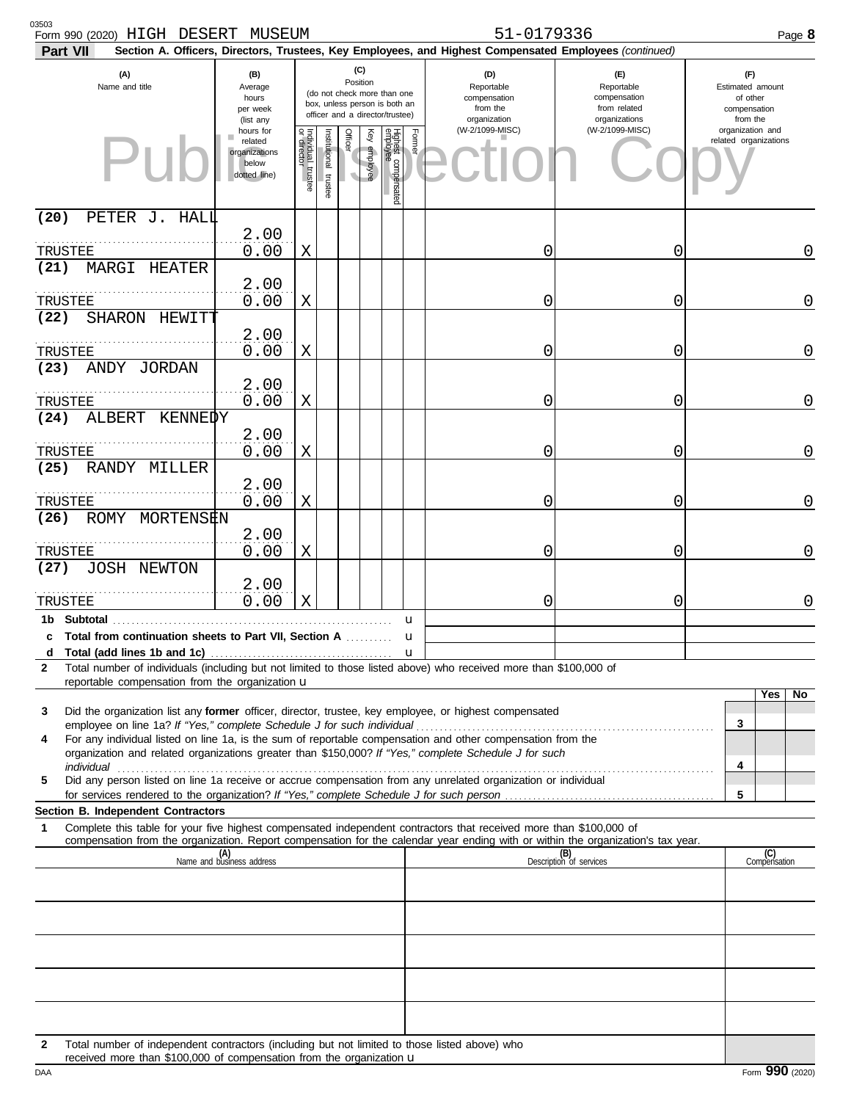| 03503<br>Form 990 (2020) HIGH DESERT MUSEUM<br>Part VII                                                                                                                                                                                                     |                                                                |                                   |                       |                 |              |                                                                                                 |                                                                                                                                     | 51-0179336<br>Section A. Officers, Directors, Trustees, Key Employees, and Highest Compensated Employees (continued) |                                | Page 8                                                          |
|-------------------------------------------------------------------------------------------------------------------------------------------------------------------------------------------------------------------------------------------------------------|----------------------------------------------------------------|-----------------------------------|-----------------------|-----------------|--------------|-------------------------------------------------------------------------------------------------|-------------------------------------------------------------------------------------------------------------------------------------|----------------------------------------------------------------------------------------------------------------------|--------------------------------|-----------------------------------------------------------------|
| (A)<br>Name and title                                                                                                                                                                                                                                       | (B)<br>Average<br>hours<br>per week<br>(list any               |                                   |                       | (C)<br>Position |              | (do not check more than one<br>box, unless person is both an<br>officer and a director/trustee) | (D)<br>(E)<br>Reportable<br>Reportable<br>compensation<br>compensation<br>from the<br>from related<br>organizations<br>organization |                                                                                                                      |                                | (F)<br>Estimated amount<br>of other<br>compensation<br>from the |
|                                                                                                                                                                                                                                                             | hours for<br>related<br>organizations<br>below<br>dotted line) | Individual trustee<br>or director | Institutional trustee | <b>Officer</b>  | Key employee | <b>Highest</b> ac<br>compensated<br>e                                                           | Former                                                                                                                              | (W-2/1099-MISC)                                                                                                      | (W-2/1099-MISC)                | organization and<br>related organizations                       |
| (20)<br>PETER J. HALL                                                                                                                                                                                                                                       | 2.00                                                           |                                   |                       |                 |              |                                                                                                 |                                                                                                                                     |                                                                                                                      |                                |                                                                 |
| TRUSTEE                                                                                                                                                                                                                                                     | 0.00                                                           | Χ                                 |                       |                 |              |                                                                                                 |                                                                                                                                     | 0                                                                                                                    | 0                              | 0                                                               |
| MARGI HEATER<br>(21)<br>TRUSTEE                                                                                                                                                                                                                             | 2.00<br>0.00                                                   | Χ                                 |                       |                 |              |                                                                                                 |                                                                                                                                     | 0                                                                                                                    | 0                              | 0                                                               |
| (22)<br>SHARON HEWITT                                                                                                                                                                                                                                       |                                                                |                                   |                       |                 |              |                                                                                                 |                                                                                                                                     |                                                                                                                      |                                |                                                                 |
| TRUSTEE<br>ANDY JORDAN<br>(23)                                                                                                                                                                                                                              | 2.00<br>0.00                                                   | Χ                                 |                       |                 |              |                                                                                                 |                                                                                                                                     | 0                                                                                                                    | 0                              | 0                                                               |
| TRUSTEE                                                                                                                                                                                                                                                     | 2.00<br>0.00                                                   | Χ                                 |                       |                 |              |                                                                                                 |                                                                                                                                     | 0                                                                                                                    | 0                              | 0                                                               |
| ALBERT KENNEDY<br>(24)                                                                                                                                                                                                                                      |                                                                |                                   |                       |                 |              |                                                                                                 |                                                                                                                                     |                                                                                                                      |                                |                                                                 |
| TRUSTEE                                                                                                                                                                                                                                                     | 2.00<br>0.00                                                   | Χ                                 |                       |                 |              |                                                                                                 |                                                                                                                                     | 0                                                                                                                    | 0                              | 0                                                               |
| RANDY MILLER<br>(25)                                                                                                                                                                                                                                        | 2.00                                                           |                                   |                       |                 |              |                                                                                                 |                                                                                                                                     |                                                                                                                      |                                |                                                                 |
| TRUSTEE<br>ROMY MORTENSEN<br>(26)                                                                                                                                                                                                                           | 0.00                                                           | Χ                                 |                       |                 |              |                                                                                                 |                                                                                                                                     | 0                                                                                                                    | 0                              | 0                                                               |
|                                                                                                                                                                                                                                                             | 2.00                                                           |                                   |                       |                 |              |                                                                                                 |                                                                                                                                     |                                                                                                                      |                                |                                                                 |
| TRUSTEE<br><b>JOSH NEWTON</b><br>(27)                                                                                                                                                                                                                       | 0.00<br>2.00                                                   | Χ                                 |                       |                 |              |                                                                                                 |                                                                                                                                     | 0                                                                                                                    | 0                              | 0                                                               |
| TRUSTEE                                                                                                                                                                                                                                                     | 0.00                                                           | Χ                                 |                       |                 |              |                                                                                                 |                                                                                                                                     | 0                                                                                                                    | 0                              | 0                                                               |
| c Total from continuation sheets to Part VII, Section A                                                                                                                                                                                                     |                                                                |                                   |                       |                 |              | u<br>u                                                                                          |                                                                                                                                     |                                                                                                                      |                                |                                                                 |
| d                                                                                                                                                                                                                                                           |                                                                |                                   |                       |                 |              | u                                                                                               |                                                                                                                                     |                                                                                                                      |                                |                                                                 |
| Total number of individuals (including but not limited to those listed above) who received more than \$100,000 of<br>2<br>reportable compensation from the organization u                                                                                   |                                                                |                                   |                       |                 |              |                                                                                                 |                                                                                                                                     |                                                                                                                      |                                |                                                                 |
| Did the organization list any former officer, director, trustee, key employee, or highest compensated<br>3                                                                                                                                                  |                                                                |                                   |                       |                 |              |                                                                                                 |                                                                                                                                     |                                                                                                                      |                                | Yes<br>No                                                       |
| For any individual listed on line 1a, is the sum of reportable compensation and other compensation from the<br>4                                                                                                                                            |                                                                |                                   |                       |                 |              |                                                                                                 |                                                                                                                                     |                                                                                                                      |                                | 3                                                               |
| organization and related organizations greater than \$150,000? If "Yes," complete Schedule J for such                                                                                                                                                       |                                                                |                                   |                       |                 |              |                                                                                                 |                                                                                                                                     |                                                                                                                      |                                | 4                                                               |
| Did any person listed on line 1a receive or accrue compensation from any unrelated organization or individual<br>5                                                                                                                                          |                                                                |                                   |                       |                 |              |                                                                                                 |                                                                                                                                     |                                                                                                                      |                                | 5                                                               |
| Section B. Independent Contractors                                                                                                                                                                                                                          |                                                                |                                   |                       |                 |              |                                                                                                 |                                                                                                                                     |                                                                                                                      |                                |                                                                 |
| Complete this table for your five highest compensated independent contractors that received more than \$100,000 of<br>1<br>compensation from the organization. Report compensation for the calendar year ending with or within the organization's tax year. |                                                                |                                   |                       |                 |              |                                                                                                 |                                                                                                                                     |                                                                                                                      |                                |                                                                 |
|                                                                                                                                                                                                                                                             | (A)<br>Name and business address                               |                                   |                       |                 |              |                                                                                                 |                                                                                                                                     |                                                                                                                      | (B)<br>Description of services | (C)<br>Compensation                                             |
|                                                                                                                                                                                                                                                             |                                                                |                                   |                       |                 |              |                                                                                                 |                                                                                                                                     |                                                                                                                      |                                |                                                                 |
|                                                                                                                                                                                                                                                             |                                                                |                                   |                       |                 |              |                                                                                                 |                                                                                                                                     |                                                                                                                      |                                |                                                                 |
|                                                                                                                                                                                                                                                             |                                                                |                                   |                       |                 |              |                                                                                                 |                                                                                                                                     |                                                                                                                      |                                |                                                                 |
|                                                                                                                                                                                                                                                             |                                                                |                                   |                       |                 |              |                                                                                                 |                                                                                                                                     |                                                                                                                      |                                |                                                                 |
|                                                                                                                                                                                                                                                             |                                                                |                                   |                       |                 |              |                                                                                                 |                                                                                                                                     |                                                                                                                      |                                |                                                                 |
| Total number of independent contractors (including but not limited to those listed above) who<br>$\mathbf{2}$<br>received more than \$100,000 of compensation from the organization $\mathbf u$                                                             |                                                                |                                   |                       |                 |              |                                                                                                 |                                                                                                                                     |                                                                                                                      |                                |                                                                 |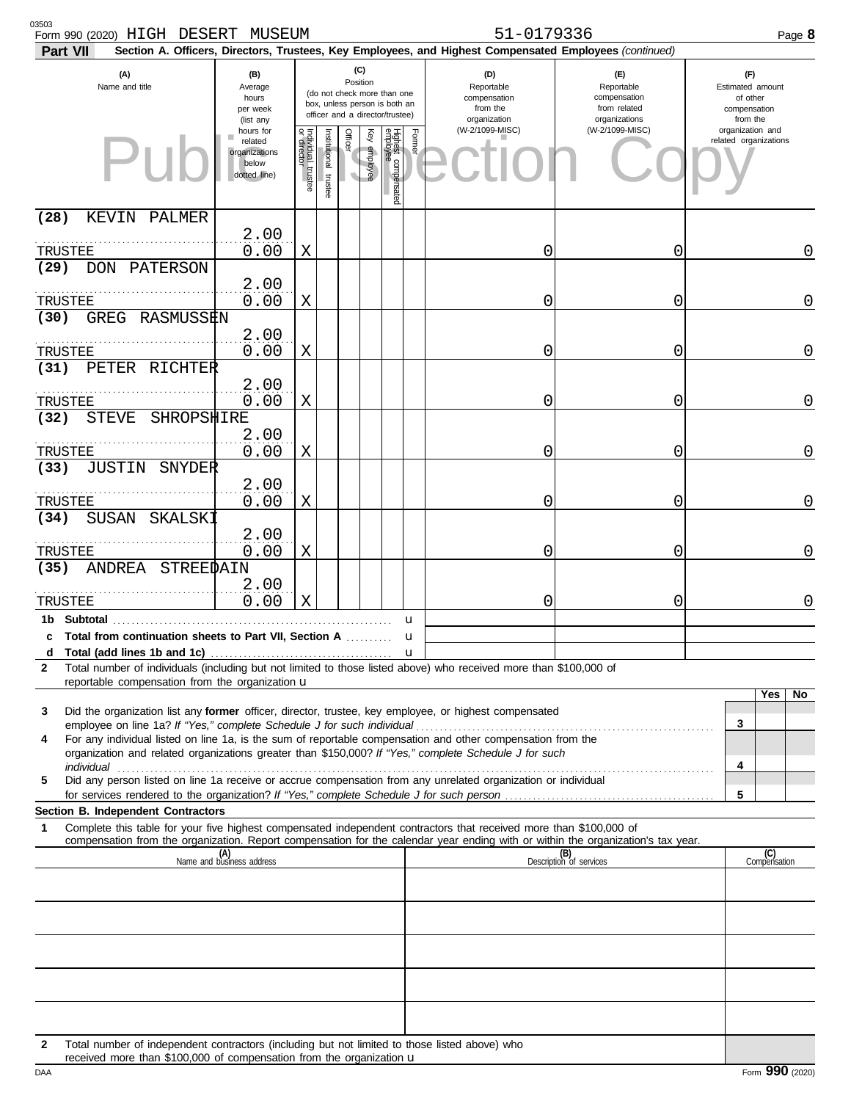| 03503<br>Form 990 (2020) HIGH DESERT MUSEUM<br>Part VII                                                                                                                                                                   |                                                                |                                   |                       |                 |              |                                                                                                 |                   | 51-0179336<br>Section A. Officers, Directors, Trustees, Key Employees, and Highest Compensated Employees (continued) |                                                                    | Page 8                                                          |
|---------------------------------------------------------------------------------------------------------------------------------------------------------------------------------------------------------------------------|----------------------------------------------------------------|-----------------------------------|-----------------------|-----------------|--------------|-------------------------------------------------------------------------------------------------|-------------------|----------------------------------------------------------------------------------------------------------------------|--------------------------------------------------------------------|-----------------------------------------------------------------|
| (A)<br>Name and title                                                                                                                                                                                                     | (B)<br>Average<br>hours<br>per week<br>(list any               |                                   |                       | (C)<br>Position |              | (do not check more than one<br>box, unless person is both an<br>officer and a director/trustee) |                   | (D)<br>Reportable<br>compensation<br>from the<br>organization                                                        | (E)<br>Reportable<br>compensation<br>from related<br>organizations | (F)<br>Estimated amount<br>of other<br>compensation<br>from the |
|                                                                                                                                                                                                                           | hours for<br>related<br>organizations<br>below<br>dotted line) | Individual trustee<br>or director | Institutional trustee | <b>Officer</b>  | Key employee | Highest cc<br>employee<br>compensated<br>e                                                      | Former            | (W-2/1099-MISC)                                                                                                      | (W-2/1099-MISC)                                                    | organization and<br>related organizations                       |
| (28)<br>KEVIN PALMER                                                                                                                                                                                                      |                                                                |                                   |                       |                 |              |                                                                                                 |                   |                                                                                                                      |                                                                    |                                                                 |
| TRUSTEE                                                                                                                                                                                                                   | 2.00<br>0.00                                                   | Χ                                 |                       |                 |              |                                                                                                 |                   | 0                                                                                                                    | 0                                                                  | 0                                                               |
| (29)<br>DON PATERSON                                                                                                                                                                                                      | 2.00                                                           |                                   |                       |                 |              |                                                                                                 |                   |                                                                                                                      |                                                                    |                                                                 |
| TRUSTEE<br>GREG RASMUSSEN<br>(30)                                                                                                                                                                                         | 0.00                                                           | Χ                                 |                       |                 |              |                                                                                                 |                   | 0                                                                                                                    | 0                                                                  | $\overline{0}$                                                  |
| TRUSTEE                                                                                                                                                                                                                   | 2.00<br>0.00                                                   | X                                 |                       |                 |              |                                                                                                 |                   | 0                                                                                                                    | 0                                                                  | $\overline{0}$                                                  |
| PETER RICHTER<br>(31)                                                                                                                                                                                                     | 2.00                                                           |                                   |                       |                 |              |                                                                                                 |                   |                                                                                                                      |                                                                    |                                                                 |
| TRUSTEE                                                                                                                                                                                                                   | 0.00                                                           | X                                 |                       |                 |              |                                                                                                 |                   | 0                                                                                                                    | 0                                                                  | $\overline{0}$                                                  |
| (32)<br>STEVE<br>SHROPSHIRE                                                                                                                                                                                               | 2.00                                                           |                                   |                       |                 |              |                                                                                                 |                   |                                                                                                                      |                                                                    |                                                                 |
| TRUSTEE                                                                                                                                                                                                                   | 0.00                                                           | Χ                                 |                       |                 |              |                                                                                                 |                   | 0                                                                                                                    | 0                                                                  | $\overline{0}$                                                  |
| <b>JUSTIN SNYDER</b><br>(33)                                                                                                                                                                                              | 2.00                                                           |                                   |                       |                 |              |                                                                                                 |                   |                                                                                                                      |                                                                    |                                                                 |
| TRUSTEE                                                                                                                                                                                                                   | 0.00                                                           | X                                 |                       |                 |              |                                                                                                 |                   | 0                                                                                                                    | 0                                                                  | $\overline{0}$                                                  |
| SUSAN<br>SKALSKI<br>(34)                                                                                                                                                                                                  | 2.00                                                           |                                   |                       |                 |              |                                                                                                 |                   |                                                                                                                      |                                                                    |                                                                 |
| TRUSTEE                                                                                                                                                                                                                   | 0.00                                                           | Χ                                 |                       |                 |              |                                                                                                 |                   | 0                                                                                                                    | 0                                                                  | 0                                                               |
| ANDREA STREEDAIN<br>(35)                                                                                                                                                                                                  |                                                                |                                   |                       |                 |              |                                                                                                 |                   |                                                                                                                      |                                                                    |                                                                 |
| TRUSTEE                                                                                                                                                                                                                   | 2.00<br>0.00                                                   | Χ                                 |                       |                 |              |                                                                                                 |                   | 0                                                                                                                    | 0                                                                  | 0                                                               |
|                                                                                                                                                                                                                           |                                                                |                                   |                       |                 |              |                                                                                                 | u                 |                                                                                                                      |                                                                    |                                                                 |
| c Total from continuation sheets to Part VII, Section A<br>d                                                                                                                                                              |                                                                |                                   |                       |                 |              |                                                                                                 | u<br>$\mathbf{u}$ |                                                                                                                      |                                                                    |                                                                 |
| Total number of individuals (including but not limited to those listed above) who received more than \$100,000 of<br>2                                                                                                    |                                                                |                                   |                       |                 |              |                                                                                                 |                   |                                                                                                                      |                                                                    |                                                                 |
| reportable compensation from the organization u                                                                                                                                                                           |                                                                |                                   |                       |                 |              |                                                                                                 |                   |                                                                                                                      |                                                                    | Yes<br>No                                                       |
| Did the organization list any former officer, director, trustee, key employee, or highest compensated<br>3                                                                                                                |                                                                |                                   |                       |                 |              |                                                                                                 |                   |                                                                                                                      |                                                                    | 3                                                               |
| For any individual listed on line 1a, is the sum of reportable compensation and other compensation from the<br>4<br>organization and related organizations greater than \$150,000? If "Yes," complete Schedule J for such |                                                                |                                   |                       |                 |              |                                                                                                 |                   |                                                                                                                      |                                                                    |                                                                 |
| Did any person listed on line 1a receive or accrue compensation from any unrelated organization or individual<br>5                                                                                                        |                                                                |                                   |                       |                 |              |                                                                                                 |                   |                                                                                                                      |                                                                    | 4                                                               |
|                                                                                                                                                                                                                           |                                                                |                                   |                       |                 |              |                                                                                                 |                   |                                                                                                                      |                                                                    | 5                                                               |
| Section B. Independent Contractors<br>Complete this table for your five highest compensated independent contractors that received more than \$100,000 of<br>1                                                             |                                                                |                                   |                       |                 |              |                                                                                                 |                   |                                                                                                                      |                                                                    |                                                                 |
| compensation from the organization. Report compensation for the calendar year ending with or within the organization's tax year.                                                                                          |                                                                |                                   |                       |                 |              |                                                                                                 |                   |                                                                                                                      |                                                                    |                                                                 |
|                                                                                                                                                                                                                           | (A)<br>Name and business address                               |                                   |                       |                 |              |                                                                                                 |                   |                                                                                                                      | (B)<br>Description of services                                     | (C)<br>Compensation                                             |
|                                                                                                                                                                                                                           |                                                                |                                   |                       |                 |              |                                                                                                 |                   |                                                                                                                      |                                                                    |                                                                 |
|                                                                                                                                                                                                                           |                                                                |                                   |                       |                 |              |                                                                                                 |                   |                                                                                                                      |                                                                    |                                                                 |
|                                                                                                                                                                                                                           |                                                                |                                   |                       |                 |              |                                                                                                 |                   |                                                                                                                      |                                                                    |                                                                 |
|                                                                                                                                                                                                                           |                                                                |                                   |                       |                 |              |                                                                                                 |                   |                                                                                                                      |                                                                    |                                                                 |
|                                                                                                                                                                                                                           |                                                                |                                   |                       |                 |              |                                                                                                 |                   |                                                                                                                      |                                                                    |                                                                 |
|                                                                                                                                                                                                                           |                                                                |                                   |                       |                 |              |                                                                                                 |                   |                                                                                                                      |                                                                    |                                                                 |
| $\mathbf{2}$                                                                                                                                                                                                              |                                                                |                                   |                       |                 |              |                                                                                                 |                   | Total number of independent contractors (including but not limited to those listed above) who                        |                                                                    |                                                                 |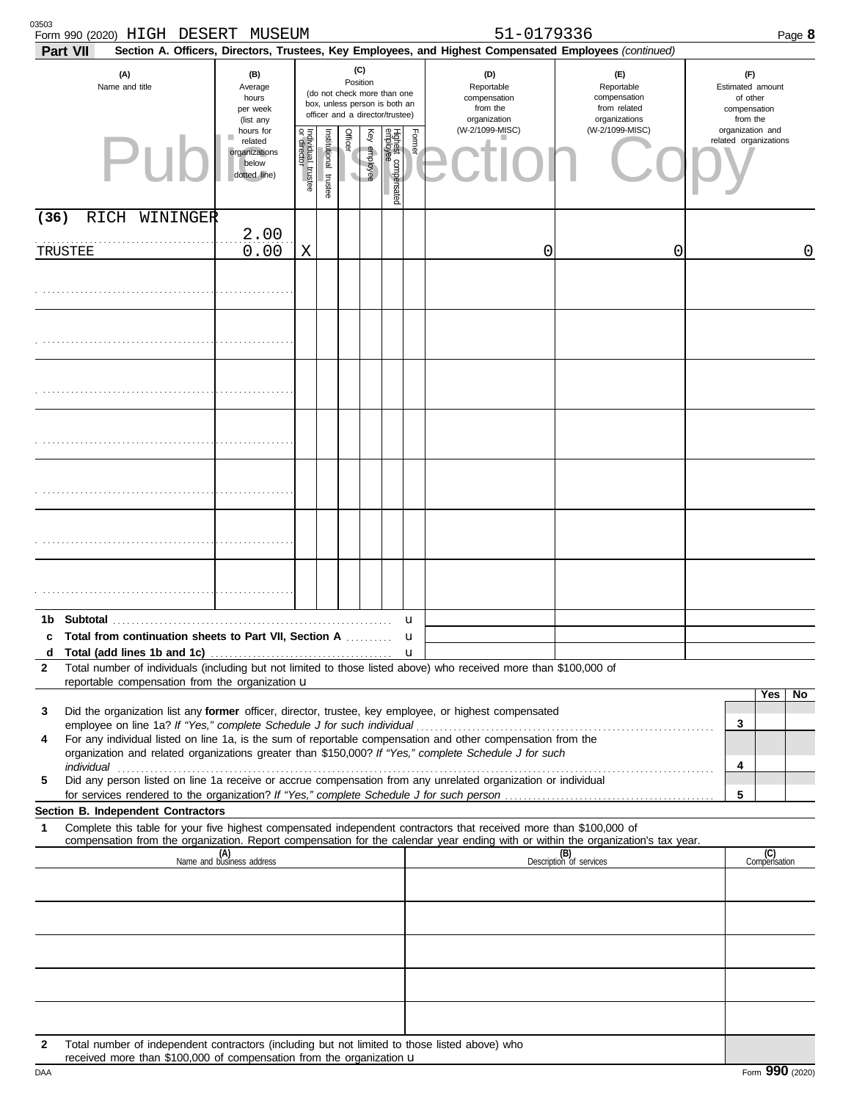| 03503<br>Form 990 (2020) HIGH DESERT MUSEUM<br>Part VII                                                                                                                                                                                                               |                                                                |                                      |                       |                       |              |                                                                                                 |        | 51-0179336<br>Section A. Officers, Directors, Trustees, Key Employees, and Highest Compensated Employees (continued) |                                                                 | Page 8                                    |
|-----------------------------------------------------------------------------------------------------------------------------------------------------------------------------------------------------------------------------------------------------------------------|----------------------------------------------------------------|--------------------------------------|-----------------------|-----------------------|--------------|-------------------------------------------------------------------------------------------------|--------|----------------------------------------------------------------------------------------------------------------------|-----------------------------------------------------------------|-------------------------------------------|
| (A)<br>Name and title                                                                                                                                                                                                                                                 | (B)<br>Average<br>hours<br>per week<br>(list any               |                                      |                       | (C)<br>Position       |              | (do not check more than one<br>box, unless person is both an<br>officer and a director/trustee) |        | (D)<br>Reportable<br>compensation<br>from the<br>organization                                                        | (F)<br>Estimated amount<br>of other<br>compensation<br>from the |                                           |
|                                                                                                                                                                                                                                                                       | hours for<br>related<br>organizations<br>below<br>dotted line) | Individual<br>or director<br>trustee | Institutional trustee | Officer<br>$\sqrt{2}$ | Key employee | Highest compensated<br>employee                                                                 | Former | (W-2/1099-MISC)                                                                                                      | organizations<br>(W-2/1099-MISC)                                | organization and<br>related organizations |
| (36)<br>RICH<br>WININGER                                                                                                                                                                                                                                              |                                                                |                                      |                       |                       |              |                                                                                                 |        |                                                                                                                      |                                                                 |                                           |
| TRUSTEE                                                                                                                                                                                                                                                               | 2.00<br>0.00                                                   | Χ                                    |                       |                       |              |                                                                                                 |        | 0                                                                                                                    | 0                                                               | 0                                         |
|                                                                                                                                                                                                                                                                       |                                                                |                                      |                       |                       |              |                                                                                                 |        |                                                                                                                      |                                                                 |                                           |
|                                                                                                                                                                                                                                                                       |                                                                |                                      |                       |                       |              |                                                                                                 |        |                                                                                                                      |                                                                 |                                           |
|                                                                                                                                                                                                                                                                       |                                                                |                                      |                       |                       |              |                                                                                                 |        |                                                                                                                      |                                                                 |                                           |
|                                                                                                                                                                                                                                                                       |                                                                |                                      |                       |                       |              |                                                                                                 |        |                                                                                                                      |                                                                 |                                           |
|                                                                                                                                                                                                                                                                       |                                                                |                                      |                       |                       |              |                                                                                                 |        |                                                                                                                      |                                                                 |                                           |
|                                                                                                                                                                                                                                                                       |                                                                |                                      |                       |                       |              |                                                                                                 |        |                                                                                                                      |                                                                 |                                           |
|                                                                                                                                                                                                                                                                       |                                                                |                                      |                       |                       |              |                                                                                                 |        |                                                                                                                      |                                                                 |                                           |
|                                                                                                                                                                                                                                                                       |                                                                |                                      |                       |                       |              |                                                                                                 |        |                                                                                                                      |                                                                 |                                           |
| 1b<br>c Total from continuation sheets to Part VII, Section A                                                                                                                                                                                                         |                                                                |                                      |                       |                       |              |                                                                                                 | u      |                                                                                                                      |                                                                 |                                           |
| d                                                                                                                                                                                                                                                                     |                                                                |                                      |                       |                       |              |                                                                                                 | u<br>u |                                                                                                                      |                                                                 |                                           |
| Total number of individuals (including but not limited to those listed above) who received more than \$100,000 of<br>2<br>reportable compensation from the organization $\mathbf u$                                                                                   |                                                                |                                      |                       |                       |              |                                                                                                 |        |                                                                                                                      |                                                                 |                                           |
|                                                                                                                                                                                                                                                                       |                                                                |                                      |                       |                       |              |                                                                                                 |        |                                                                                                                      |                                                                 | Yes<br>No                                 |
| Did the organization list any former officer, director, trustee, key employee, or highest compensated<br>3                                                                                                                                                            |                                                                |                                      |                       |                       |              |                                                                                                 |        |                                                                                                                      |                                                                 | 3                                         |
| For any individual listed on line 1a, is the sum of reportable compensation and other compensation from the<br>4<br>organization and related organizations greater than \$150,000? If "Yes," complete Schedule J for such                                             |                                                                |                                      |                       |                       |              |                                                                                                 |        |                                                                                                                      |                                                                 |                                           |
| individual www.communications.com/www.communications.com/www.communications.com/www.communications.com/www.com                                                                                                                                                        |                                                                |                                      |                       |                       |              |                                                                                                 |        |                                                                                                                      |                                                                 | 4                                         |
| Did any person listed on line 1a receive or accrue compensation from any unrelated organization or individual<br>5                                                                                                                                                    |                                                                |                                      |                       |                       |              |                                                                                                 |        |                                                                                                                      |                                                                 | 5                                         |
| Section B. Independent Contractors                                                                                                                                                                                                                                    |                                                                |                                      |                       |                       |              |                                                                                                 |        |                                                                                                                      |                                                                 |                                           |
| Complete this table for your five highest compensated independent contractors that received more than \$100,000 of<br>$\mathbf 1$<br>compensation from the organization. Report compensation for the calendar year ending with or within the organization's tax year. |                                                                |                                      |                       |                       |              |                                                                                                 |        |                                                                                                                      |                                                                 |                                           |
|                                                                                                                                                                                                                                                                       | (A)<br>Name and business address                               |                                      |                       |                       |              |                                                                                                 |        |                                                                                                                      | (B)<br>Description of services                                  | (C)<br>Compensation                       |
|                                                                                                                                                                                                                                                                       |                                                                |                                      |                       |                       |              |                                                                                                 |        |                                                                                                                      |                                                                 |                                           |
|                                                                                                                                                                                                                                                                       |                                                                |                                      |                       |                       |              |                                                                                                 |        |                                                                                                                      |                                                                 |                                           |
|                                                                                                                                                                                                                                                                       |                                                                |                                      |                       |                       |              |                                                                                                 |        |                                                                                                                      |                                                                 |                                           |
|                                                                                                                                                                                                                                                                       |                                                                |                                      |                       |                       |              |                                                                                                 |        |                                                                                                                      |                                                                 |                                           |
|                                                                                                                                                                                                                                                                       |                                                                |                                      |                       |                       |              |                                                                                                 |        |                                                                                                                      |                                                                 |                                           |
| Total number of independent contractors (including but not limited to those listed above) who<br>2<br>received more than \$100,000 of compensation from the organization u                                                                                            |                                                                |                                      |                       |                       |              |                                                                                                 |        |                                                                                                                      |                                                                 |                                           |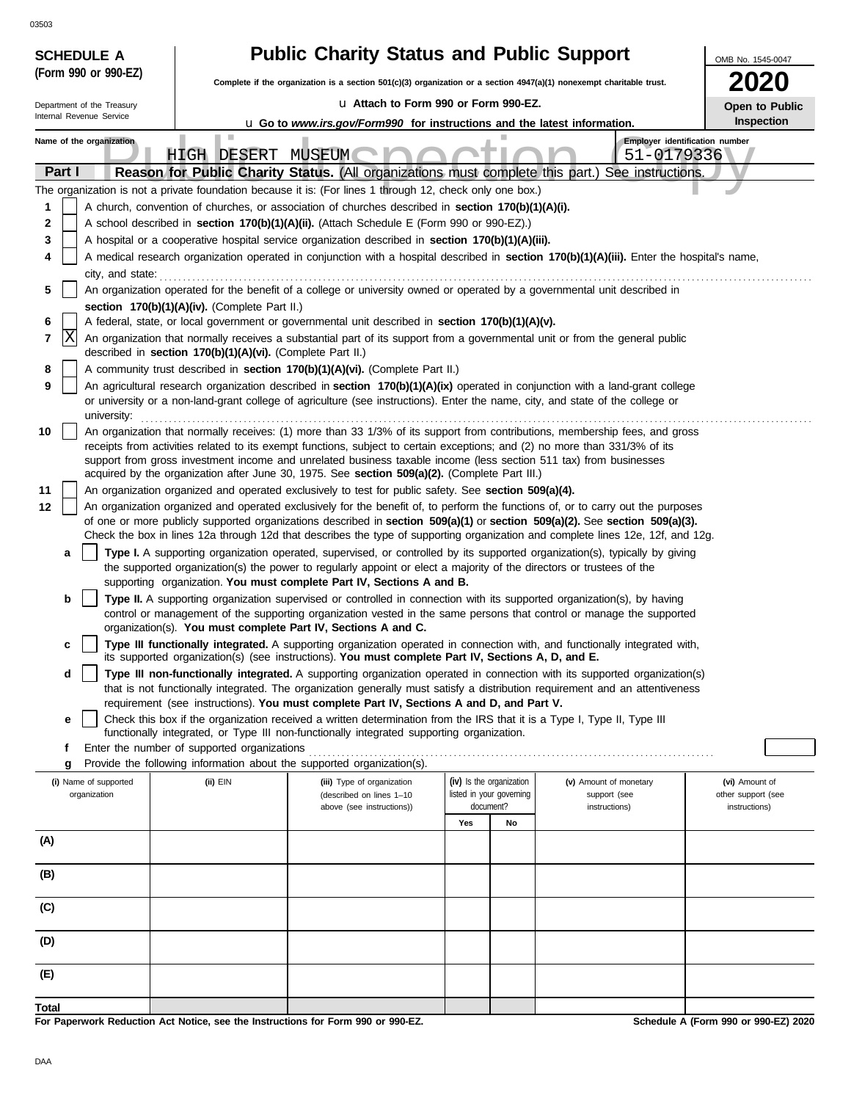| ບວວບວ                              |                                                            |                                                                                                                                                                                                                                                                 |                                       |    |                                                                   |                    |  |  |  |
|------------------------------------|------------------------------------------------------------|-----------------------------------------------------------------------------------------------------------------------------------------------------------------------------------------------------------------------------------------------------------------|---------------------------------------|----|-------------------------------------------------------------------|--------------------|--|--|--|
| <b>SCHEDULE A</b>                  |                                                            | <b>Public Charity Status and Public Support</b><br>OMB No. 1545-0047                                                                                                                                                                                            |                                       |    |                                                                   |                    |  |  |  |
| (Form 990 or 990-EZ)               |                                                            | Complete if the organization is a section $501(c)(3)$ organization or a section $4947(a)(1)$ nonexempt charitable trust.                                                                                                                                        |                                       |    |                                                                   | ZUZU               |  |  |  |
| Department of the Treasury         |                                                            | La Attach to Form 990 or Form 990-EZ.                                                                                                                                                                                                                           |                                       |    |                                                                   | Open to Public     |  |  |  |
| Internal Revenue Service           |                                                            | <b>u</b> Go to www.irs.gov/Form990 for instructions and the latest information.                                                                                                                                                                                 |                                       |    |                                                                   | Inspection         |  |  |  |
| Name of the organization<br>Part I | ш<br>HIGH DESERT                                           | MUSEUM<br>Reason for Public Charity Status. (All organizations must complete this part.)                                                                                                                                                                        |                                       |    | Employer identification number<br>51-0179336<br>See instructions. |                    |  |  |  |
|                                    |                                                            | The organization is not a private foundation because it is: (For lines 1 through 12, check only one box.)                                                                                                                                                       |                                       |    |                                                                   |                    |  |  |  |
| 1                                  |                                                            | A church, convention of churches, or association of churches described in section 170(b)(1)(A)(i).                                                                                                                                                              |                                       |    |                                                                   |                    |  |  |  |
| 2                                  |                                                            | A school described in section 170(b)(1)(A)(ii). (Attach Schedule E (Form 990 or 990-EZ).)                                                                                                                                                                       |                                       |    |                                                                   |                    |  |  |  |
| 3                                  |                                                            | A hospital or a cooperative hospital service organization described in section 170(b)(1)(A)(iii).                                                                                                                                                               |                                       |    |                                                                   |                    |  |  |  |
| 4<br>city, and state:              |                                                            | A medical research organization operated in conjunction with a hospital described in section 170(b)(1)(A)(iii). Enter the hospital's name,                                                                                                                      |                                       |    |                                                                   |                    |  |  |  |
| 5                                  |                                                            | An organization operated for the benefit of a college or university owned or operated by a governmental unit described in                                                                                                                                       |                                       |    |                                                                   |                    |  |  |  |
|                                    | section 170(b)(1)(A)(iv). (Complete Part II.)              |                                                                                                                                                                                                                                                                 |                                       |    |                                                                   |                    |  |  |  |
| 6                                  |                                                            | A federal, state, or local government or governmental unit described in section 170(b)(1)(A)(v).                                                                                                                                                                |                                       |    |                                                                   |                    |  |  |  |
| X<br>7                             | described in section 170(b)(1)(A)(vi). (Complete Part II.) | An organization that normally receives a substantial part of its support from a governmental unit or from the general public                                                                                                                                    |                                       |    |                                                                   |                    |  |  |  |
| 8                                  |                                                            | A community trust described in section 170(b)(1)(A)(vi). (Complete Part II.)                                                                                                                                                                                    |                                       |    |                                                                   |                    |  |  |  |
| 9<br>university:                   |                                                            | An agricultural research organization described in section 170(b)(1)(A)(ix) operated in conjunction with a land-grant college<br>or university or a non-land-grant college of agriculture (see instructions). Enter the name, city, and state of the college or |                                       |    |                                                                   |                    |  |  |  |
| 10                                 |                                                            | An organization that normally receives: (1) more than 33 1/3% of its support from contributions, membership fees, and gross                                                                                                                                     |                                       |    |                                                                   |                    |  |  |  |
|                                    |                                                            | receipts from activities related to its exempt functions, subject to certain exceptions; and (2) no more than 331/3% of its<br>support from gross investment income and unrelated business taxable income (less section 511 tax) from businesses                |                                       |    |                                                                   |                    |  |  |  |
|                                    |                                                            | acquired by the organization after June 30, 1975. See section 509(a)(2). (Complete Part III.)                                                                                                                                                                   |                                       |    |                                                                   |                    |  |  |  |
| 11                                 |                                                            | An organization organized and operated exclusively to test for public safety. See section 509(a)(4).                                                                                                                                                            |                                       |    |                                                                   |                    |  |  |  |
| 12                                 |                                                            | An organization organized and operated exclusively for the benefit of, to perform the functions of, or to carry out the purposes                                                                                                                                |                                       |    |                                                                   |                    |  |  |  |
|                                    |                                                            | of one or more publicly supported organizations described in section 509(a)(1) or section 509(a)(2). See section 509(a)(3).<br>Check the box in lines 12a through 12d that describes the type of supporting organization and complete lines 12e, 12f, and 12g.  |                                       |    |                                                                   |                    |  |  |  |
| a                                  |                                                            | Type I. A supporting organization operated, supervised, or controlled by its supported organization(s), typically by giving                                                                                                                                     |                                       |    |                                                                   |                    |  |  |  |
|                                    |                                                            | the supported organization(s) the power to regularly appoint or elect a majority of the directors or trustees of the<br>supporting organization. You must complete Part IV, Sections A and B.                                                                   |                                       |    |                                                                   |                    |  |  |  |
| b                                  |                                                            | <b>Type II.</b> A supporting organization supervised or controlled in connection with its supported organization(s), by having                                                                                                                                  |                                       |    |                                                                   |                    |  |  |  |
|                                    |                                                            | control or management of the supporting organization vested in the same persons that control or manage the supported                                                                                                                                            |                                       |    |                                                                   |                    |  |  |  |
|                                    |                                                            | organization(s). You must complete Part IV, Sections A and C.                                                                                                                                                                                                   |                                       |    |                                                                   |                    |  |  |  |
| с                                  |                                                            | Type III functionally integrated. A supporting organization operated in connection with, and functionally integrated with,<br>its supported organization(s) (see instructions). You must complete Part IV, Sections A, D, and E.                                |                                       |    |                                                                   |                    |  |  |  |
| d                                  |                                                            | Type III non-functionally integrated. A supporting organization operated in connection with its supported organization(s)                                                                                                                                       |                                       |    |                                                                   |                    |  |  |  |
|                                    |                                                            | that is not functionally integrated. The organization generally must satisfy a distribution requirement and an attentiveness<br>requirement (see instructions). You must complete Part IV, Sections A and D, and Part V.                                        |                                       |    |                                                                   |                    |  |  |  |
| е                                  |                                                            | Check this box if the organization received a written determination from the IRS that it is a Type I, Type II, Type III                                                                                                                                         |                                       |    |                                                                   |                    |  |  |  |
|                                    |                                                            | functionally integrated, or Type III non-functionally integrated supporting organization.                                                                                                                                                                       |                                       |    |                                                                   |                    |  |  |  |
| f<br>g                             | Enter the number of supported organizations                | Provide the following information about the supported organization(s).                                                                                                                                                                                          |                                       |    |                                                                   |                    |  |  |  |
| (i) Name of supported              | (ii) EIN                                                   | (iii) Type of organization                                                                                                                                                                                                                                      | (iv) Is the organization              |    | (v) Amount of monetary                                            | (vi) Amount of     |  |  |  |
| organization                       |                                                            | (described on lines 1-10                                                                                                                                                                                                                                        | listed in your governing<br>document? |    | support (see                                                      | other support (see |  |  |  |
|                                    |                                                            | above (see instructions))                                                                                                                                                                                                                                       | Yes                                   | No | instructions)                                                     | instructions)      |  |  |  |
| (A)                                |                                                            |                                                                                                                                                                                                                                                                 |                                       |    |                                                                   |                    |  |  |  |
|                                    |                                                            |                                                                                                                                                                                                                                                                 |                                       |    |                                                                   |                    |  |  |  |
| (B)                                |                                                            |                                                                                                                                                                                                                                                                 |                                       |    |                                                                   |                    |  |  |  |
| (C)                                |                                                            |                                                                                                                                                                                                                                                                 |                                       |    |                                                                   |                    |  |  |  |
| (D)                                |                                                            |                                                                                                                                                                                                                                                                 |                                       |    |                                                                   |                    |  |  |  |
|                                    |                                                            |                                                                                                                                                                                                                                                                 |                                       |    |                                                                   |                    |  |  |  |
| (E)                                |                                                            |                                                                                                                                                                                                                                                                 |                                       |    |                                                                   |                    |  |  |  |
| <b>Total</b>                       |                                                            |                                                                                                                                                                                                                                                                 |                                       |    |                                                                   |                    |  |  |  |

**For Paperwork Reduction Act Notice, see the Instructions for Form 990 or 990-EZ.**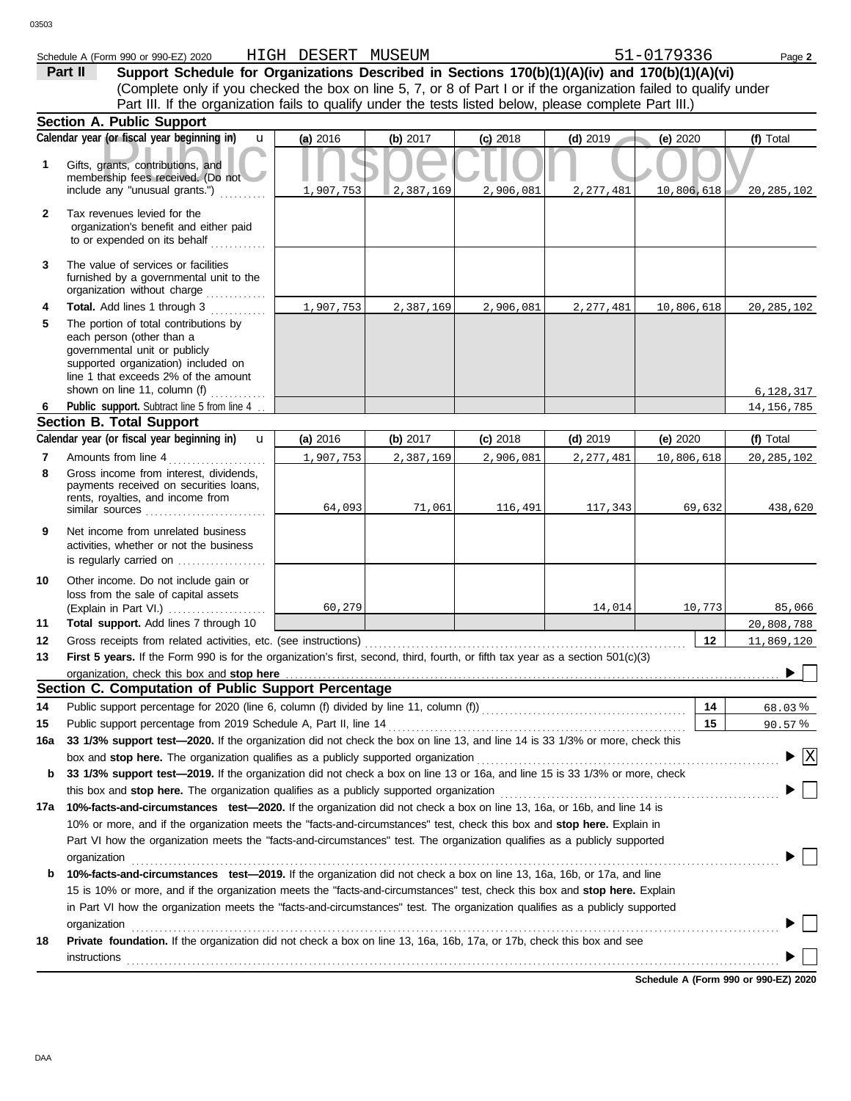|                                                                                                                   | Schedule A (Form 990 or 990-EZ) 2020                                                                                                                                                                                        | HIGH DESERT MUSEUM |            |            |             | 51-0179336 | Page 2                               |
|-------------------------------------------------------------------------------------------------------------------|-----------------------------------------------------------------------------------------------------------------------------------------------------------------------------------------------------------------------------|--------------------|------------|------------|-------------|------------|--------------------------------------|
|                                                                                                                   | Support Schedule for Organizations Described in Sections 170(b)(1)(A)(iv) and 170(b)(1)(A)(vi)<br>Part II                                                                                                                   |                    |            |            |             |            |                                      |
| (Complete only if you checked the box on line 5, 7, or 8 of Part I or if the organization failed to qualify under |                                                                                                                                                                                                                             |                    |            |            |             |            |                                      |
|                                                                                                                   | Part III. If the organization fails to qualify under the tests listed below, please complete Part III.)                                                                                                                     |                    |            |            |             |            |                                      |
|                                                                                                                   | <b>Section A. Public Support</b>                                                                                                                                                                                            |                    |            |            |             |            |                                      |
|                                                                                                                   | Calendar year (or fiscal year beginning in)<br>$\mathbf{u}$                                                                                                                                                                 | (a) 2016           | (b) 2017   | $(c)$ 2018 | $(d)$ 2019  | (e) 2020   | (f) Total                            |
| 1                                                                                                                 | Gifts, grants, contributions, and<br>membership fees received. (Do not<br>include any "unusual grants.")                                                                                                                    | 1,907,753          | 2,387,169  | 2,906,081  | 2, 277, 481 | 10,806,618 | 20, 285, 102                         |
| 2                                                                                                                 | Tax revenues levied for the<br>organization's benefit and either paid<br>to or expended on its behalf                                                                                                                       |                    |            |            |             |            |                                      |
| 3                                                                                                                 | The value of services or facilities<br>furnished by a governmental unit to the<br>organization without charge                                                                                                               |                    |            |            |             |            |                                      |
| 4                                                                                                                 | Total. Add lines 1 through 3                                                                                                                                                                                                | 1,907,753          | 2,387,169  | 2,906,081  | 2, 277, 481 | 10,806,618 | 20, 285, 102                         |
| 5                                                                                                                 | The portion of total contributions by<br>each person (other than a<br>governmental unit or publicly<br>supported organization) included on<br>line 1 that exceeds 2% of the amount<br>shown on line 11, column (f) $\ldots$ |                    |            |            |             |            |                                      |
| 6                                                                                                                 | Public support. Subtract line 5 from line 4                                                                                                                                                                                 |                    |            |            |             |            | 6,128,317<br>14, 156, 785            |
|                                                                                                                   | <b>Section B. Total Support</b>                                                                                                                                                                                             |                    |            |            |             |            |                                      |
|                                                                                                                   | Calendar year (or fiscal year beginning in)<br>$\mathbf{u}$                                                                                                                                                                 | (a) 2016           | (b) $2017$ | $(c)$ 2018 | $(d)$ 2019  | (e) 2020   | (f) Total                            |
| 7                                                                                                                 | Amounts from line 4                                                                                                                                                                                                         | 1,907,753          | 2,387,169  | 2,906,081  | 2,277,481   | 10,806,618 | 20, 285, 102                         |
| 8                                                                                                                 | Gross income from interest, dividends,<br>payments received on securities loans,<br>rents, royalties, and income from<br>similar sources                                                                                    | 64,093             | 71,061     | 116,491    | 117,343     | 69,632     | 438,620                              |
| 9                                                                                                                 | Net income from unrelated business<br>activities, whether or not the business                                                                                                                                               |                    |            |            |             |            |                                      |
| 10                                                                                                                | Other income. Do not include gain or<br>loss from the sale of capital assets<br>(Explain in Part VI.)                                                                                                                       | 60,279             |            |            | 14,014      | 10,773     | 85,066                               |
| 11                                                                                                                | Total support. Add lines 7 through 10                                                                                                                                                                                       |                    |            |            |             |            | 20,808,788                           |
| 12                                                                                                                | Gross receipts from related activities, etc. (see instructions)                                                                                                                                                             |                    |            |            |             | 12         | 11,869,120                           |
| 13                                                                                                                | First 5 years. If the Form 990 is for the organization's first, second, third, fourth, or fifth tax year as a section 501(c)(3)                                                                                             |                    |            |            |             |            |                                      |
|                                                                                                                   | organization, check this box and stop here <i>manufactured contained and a contained a contained a contained a contained a</i><br>Section C. Computation of Public Support Percentage                                       |                    |            |            |             |            |                                      |
| 14                                                                                                                | Public support percentage for 2020 (line 6, column (f) divided by line 11, column (f)) [[[[[[[[[[[[[[[[[[[[[[                                                                                                               |                    |            |            |             | 14         | 68.03%                               |
| 15                                                                                                                | Public support percentage from 2019 Schedule A, Part II, line 14                                                                                                                                                            |                    |            |            |             | 15         | 90.57%                               |
| 16a                                                                                                               | 33 1/3% support test-2020. If the organization did not check the box on line 13, and line 14 is 33 1/3% or more, check this                                                                                                 |                    |            |            |             |            |                                      |
|                                                                                                                   | box and stop here. The organization qualifies as a publicly supported organization                                                                                                                                          |                    |            |            |             |            | $\blacktriangleright$ $\overline{X}$ |
| b                                                                                                                 | 33 1/3% support test-2019. If the organization did not check a box on line 13 or 16a, and line 15 is 33 1/3% or more, check                                                                                                 |                    |            |            |             |            |                                      |
|                                                                                                                   |                                                                                                                                                                                                                             |                    |            |            |             |            |                                      |
| 17a                                                                                                               | 10%-facts-and-circumstances test-2020. If the organization did not check a box on line 13, 16a, or 16b, and line 14 is                                                                                                      |                    |            |            |             |            |                                      |
|                                                                                                                   | 10% or more, and if the organization meets the "facts-and-circumstances" test, check this box and stop here. Explain in                                                                                                     |                    |            |            |             |            |                                      |
|                                                                                                                   | Part VI how the organization meets the "facts-and-circumstances" test. The organization qualifies as a publicly supported                                                                                                   |                    |            |            |             |            |                                      |
|                                                                                                                   | organization                                                                                                                                                                                                                |                    |            |            |             |            |                                      |
| b                                                                                                                 | 10%-facts-and-circumstances test-2019. If the organization did not check a box on line 13, 16a, 16b, or 17a, and line                                                                                                       |                    |            |            |             |            |                                      |
|                                                                                                                   | 15 is 10% or more, and if the organization meets the "facts-and-circumstances" test, check this box and stop here. Explain                                                                                                  |                    |            |            |             |            |                                      |
|                                                                                                                   | in Part VI how the organization meets the "facts-and-circumstances" test. The organization qualifies as a publicly supported                                                                                                |                    |            |            |             |            |                                      |
|                                                                                                                   | organization                                                                                                                                                                                                                |                    |            |            |             |            |                                      |
| 18                                                                                                                | Private foundation. If the organization did not check a box on line 13, 16a, 16b, 17a, or 17b, check this box and see                                                                                                       |                    |            |            |             |            |                                      |
|                                                                                                                   | instructions                                                                                                                                                                                                                |                    |            |            |             |            |                                      |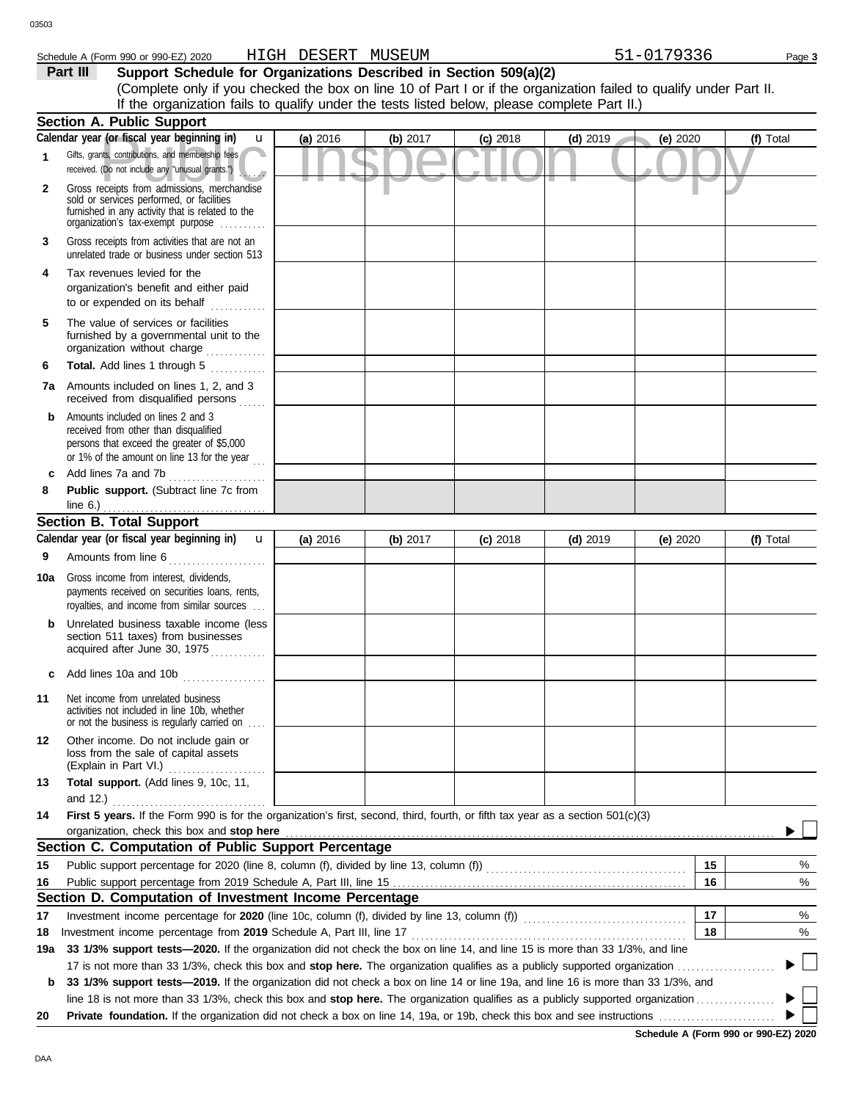# Schedule A (Form 990 or 990-EZ) 2020 HIGH DESERT MUSEUM 51-0179336 Page 3

**Part III Support Schedule for Organizations Described in Section 509(a)(2)** (Complete only if you checked the box on line 10 of Part I or if the organization failed to qualify under Part II. If the organization fails to qualify under the tests listed below, please complete Part II.)

|              | <b>Section A. Public Support</b>                                                                                                                                                                     |            |            |            |            |            |           |
|--------------|------------------------------------------------------------------------------------------------------------------------------------------------------------------------------------------------------|------------|------------|------------|------------|------------|-----------|
|              | Calendar year (or fiscal year beginning in)<br>u                                                                                                                                                     | (a) 2016   | (b) $2017$ | $(c)$ 2018 | $(d)$ 2019 | (e) 2020   | (f) Total |
| $\mathbf{1}$ | Gifts, grants, contributions, and membership fees<br>received. (Do not include any "unusual grants.")                                                                                                |            |            |            |            |            |           |
| $\mathbf{2}$ | Gross receipts from admissions, merchandise<br>sold or services performed, or facilities<br>furnished in any activity that is related to the<br>organization's fax-exempt purpose                    |            |            |            |            |            |           |
| 3            | Gross receipts from activities that are not an<br>unrelated trade or business under section 513                                                                                                      |            |            |            |            |            |           |
| 4            | Tax revenues levied for the<br>organization's benefit and either paid<br>to or expended on its behalf                                                                                                |            |            |            |            |            |           |
| 5            | The value of services or facilities<br>furnished by a governmental unit to the<br>organization without charge                                                                                        |            |            |            |            |            |           |
| 6            | Total. Add lines 1 through 5<br>.                                                                                                                                                                    |            |            |            |            |            |           |
|              | <b>7a</b> Amounts included on lines 1, 2, and 3<br>received from disqualified persons                                                                                                                |            |            |            |            |            |           |
| b            | Amounts included on lines 2 and 3<br>received from other than disqualified<br>persons that exceed the greater of \$5,000<br>or 1% of the amount on line 13 for the year $\ldots$                     |            |            |            |            |            |           |
| c            | Add lines 7a and 7b                                                                                                                                                                                  |            |            |            |            |            |           |
| 8            | Public support. (Subtract line 7c from                                                                                                                                                               |            |            |            |            |            |           |
|              | line $6.$ )<br><b>Section B. Total Support</b>                                                                                                                                                       |            |            |            |            |            |           |
|              | Calendar year (or fiscal year beginning in)<br>$\mathbf{u}$                                                                                                                                          | (a) $2016$ | (b) 2017   | $(c)$ 2018 | $(d)$ 2019 | (e) $2020$ | (f) Total |
| 9            | Amounts from line 6                                                                                                                                                                                  |            |            |            |            |            |           |
|              |                                                                                                                                                                                                      |            |            |            |            |            |           |
| 10a          | Gross income from interest, dividends,<br>payments received on securities loans, rents,<br>royalties, and income from similar sources                                                                |            |            |            |            |            |           |
|              | Unrelated business taxable income (less<br>section 511 taxes) from businesses<br>acquired after June 30, 1975                                                                                        |            |            |            |            |            |           |
| c            | Add lines 10a and 10b                                                                                                                                                                                |            |            |            |            |            |           |
| 11           | Net income from unrelated business<br>activities not included in line 10b, whether<br>or not the business is regularly carried on                                                                    |            |            |            |            |            |           |
| 12           | Other income. Do not include gain or<br>loss from the sale of capital assets<br>(Explain in Part VI.)                                                                                                |            |            |            |            |            |           |
| 13           | Total support. (Add lines 9, 10c, 11,                                                                                                                                                                |            |            |            |            |            |           |
|              | and 12.)                                                                                                                                                                                             |            |            |            |            |            |           |
| 14           | First 5 years. If the Form 990 is for the organization's first, second, third, fourth, or fifth tax year as a section 501(c)(3)                                                                      |            |            |            |            |            |           |
|              | organization, check this box and stop here                                                                                                                                                           |            |            |            |            |            |           |
|              | Section C. Computation of Public Support Percentage                                                                                                                                                  |            |            |            |            |            |           |
| 15           |                                                                                                                                                                                                      |            |            |            |            | 15         | %         |
| 16           |                                                                                                                                                                                                      |            |            |            |            | 16         | %         |
| 17           | Section D. Computation of Investment Income Percentage                                                                                                                                               |            |            |            |            | 17         |           |
|              |                                                                                                                                                                                                      |            |            |            |            | 18         | %         |
| 18<br>19a    | Investment income percentage from 2019 Schedule A, Part III, line 17<br>33 1/3% support tests—2020. If the organization did not check the box on line 14, and line 15 is more than 33 1/3%, and line |            |            |            |            |            | %         |
|              | 17 is not more than 33 1/3%, check this box and <b>stop here.</b> The organization qualifies as a publicly supported organization                                                                    |            |            |            |            |            |           |
| b            | 33 1/3% support tests—2019. If the organization did not check a box on line 14 or line 19a, and line 16 is more than 33 1/3%, and                                                                    |            |            |            |            |            |           |
|              |                                                                                                                                                                                                      |            |            |            |            |            |           |
| 20           |                                                                                                                                                                                                      |            |            |            |            |            |           |
|              |                                                                                                                                                                                                      |            |            |            |            |            |           |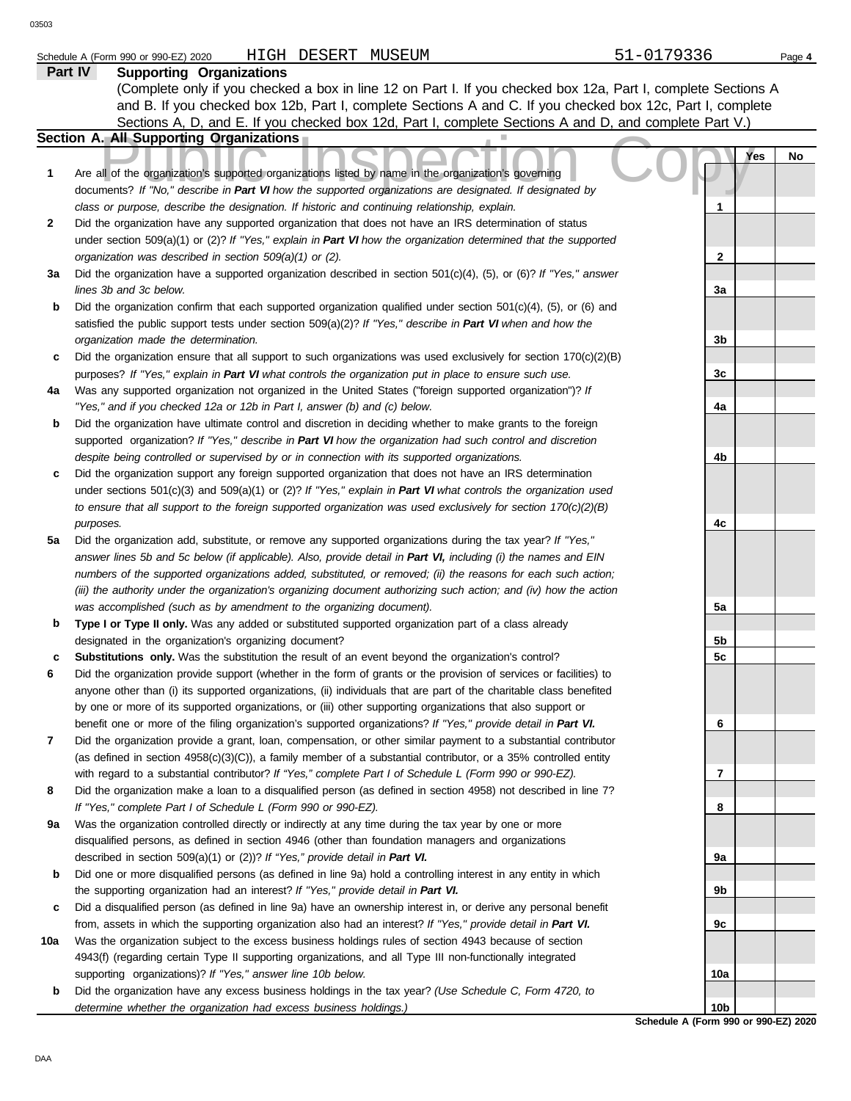|     | HIGH DESERT MUSEUM<br>Schedule A (Form 990 or 990-EZ) 2020                                                                                                                                                                        | 51-0179336      | Page 4    |
|-----|-----------------------------------------------------------------------------------------------------------------------------------------------------------------------------------------------------------------------------------|-----------------|-----------|
|     | <b>Part IV</b><br><b>Supporting Organizations</b>                                                                                                                                                                                 |                 |           |
|     | (Complete only if you checked a box in line 12 on Part I. If you checked box 12a, Part I, complete Sections A                                                                                                                     |                 |           |
|     | and B. If you checked box 12b, Part I, complete Sections A and C. If you checked box 12c, Part I, complete                                                                                                                        |                 |           |
|     | Sections A, D, and E. If you checked box 12d, Part I, complete Sections A and D, and complete Part V.)                                                                                                                            |                 |           |
|     | <b>Section A. All Supporting Organizations</b>                                                                                                                                                                                    |                 |           |
| 1   | Are all of the organization's supported organizations listed by name in the organization's governing                                                                                                                              |                 | Yes<br>No |
|     | documents? If "No," describe in Part VI how the supported organizations are designated. If designated by                                                                                                                          |                 |           |
|     | class or purpose, describe the designation. If historic and continuing relationship, explain.                                                                                                                                     | 1               |           |
| 2   | Did the organization have any supported organization that does not have an IRS determination of status                                                                                                                            |                 |           |
|     | under section 509(a)(1) or (2)? If "Yes," explain in Part VI how the organization determined that the supported                                                                                                                   |                 |           |
|     | organization was described in section 509(a)(1) or (2).                                                                                                                                                                           | $\mathbf{2}$    |           |
| За  | Did the organization have a supported organization described in section $501(c)(4)$ , (5), or (6)? If "Yes," answer                                                                                                               |                 |           |
|     | lines 3b and 3c below.                                                                                                                                                                                                            | 3a              |           |
| b   | Did the organization confirm that each supported organization qualified under section $501(c)(4)$ , $(5)$ , or $(6)$ and                                                                                                          |                 |           |
|     | satisfied the public support tests under section 509(a)(2)? If "Yes," describe in Part VI when and how the                                                                                                                        |                 |           |
|     | organization made the determination.                                                                                                                                                                                              | 3b              |           |
| c   | Did the organization ensure that all support to such organizations was used exclusively for section $170(c)(2)(B)$                                                                                                                |                 |           |
|     | purposes? If "Yes," explain in Part VI what controls the organization put in place to ensure such use.                                                                                                                            | 3c              |           |
| 4a  | Was any supported organization not organized in the United States ("foreign supported organization")? If                                                                                                                          |                 |           |
| b   | "Yes," and if you checked 12a or 12b in Part I, answer (b) and (c) below.<br>Did the organization have ultimate control and discretion in deciding whether to make grants to the foreign                                          | 4a              |           |
|     | supported organization? If "Yes," describe in Part VI how the organization had such control and discretion                                                                                                                        |                 |           |
|     | despite being controlled or supervised by or in connection with its supported organizations.                                                                                                                                      | 4b              |           |
| c   | Did the organization support any foreign supported organization that does not have an IRS determination                                                                                                                           |                 |           |
|     | under sections $501(c)(3)$ and $509(a)(1)$ or (2)? If "Yes," explain in Part VI what controls the organization used                                                                                                               |                 |           |
|     | to ensure that all support to the foreign supported organization was used exclusively for section $170(c)(2)(B)$                                                                                                                  |                 |           |
|     | purposes.                                                                                                                                                                                                                         | 4c              |           |
| 5a  | Did the organization add, substitute, or remove any supported organizations during the tax year? If "Yes,"                                                                                                                        |                 |           |
|     | answer lines 5b and 5c below (if applicable). Also, provide detail in Part VI, including (i) the names and EIN                                                                                                                    |                 |           |
|     | numbers of the supported organizations added, substituted, or removed; (ii) the reasons for each such action;                                                                                                                     |                 |           |
|     | (iii) the authority under the organization's organizing document authorizing such action; and (iv) how the action                                                                                                                 |                 |           |
|     | was accomplished (such as by amendment to the organizing document).                                                                                                                                                               | 5a              |           |
| b   | Type I or Type II only. Was any added or substituted supported organization part of a class already                                                                                                                               |                 |           |
|     | designated in the organization's organizing document?                                                                                                                                                                             | 5b              |           |
| c   | Substitutions only. Was the substitution the result of an event beyond the organization's control?                                                                                                                                | 5c              |           |
|     | Did the organization provide support (whether in the form of grants or the provision of services or facilities) to                                                                                                                |                 |           |
|     | anyone other than (i) its supported organizations, (ii) individuals that are part of the charitable class benefited                                                                                                               |                 |           |
|     | by one or more of its supported organizations, or (iii) other supporting organizations that also support or                                                                                                                       |                 |           |
|     | benefit one or more of the filing organization's supported organizations? If "Yes," provide detail in Part VI.<br>Did the organization provide a grant, loan, compensation, or other similar payment to a substantial contributor | 6               |           |
| 7   | (as defined in section $4958(c)(3)(C)$ ), a family member of a substantial contributor, or a 35% controlled entity                                                                                                                |                 |           |
|     | with regard to a substantial contributor? If "Yes," complete Part I of Schedule L (Form 990 or 990-EZ).                                                                                                                           | 7               |           |
| 8   | Did the organization make a loan to a disqualified person (as defined in section 4958) not described in line 7?                                                                                                                   |                 |           |
|     | If "Yes," complete Part I of Schedule L (Form 990 or 990-EZ).                                                                                                                                                                     | 8               |           |
| 9а  | Was the organization controlled directly or indirectly at any time during the tax year by one or more                                                                                                                             |                 |           |
|     | disqualified persons, as defined in section 4946 (other than foundation managers and organizations                                                                                                                                |                 |           |
|     | described in section 509(a)(1) or (2))? If "Yes," provide detail in Part VI.                                                                                                                                                      | 9а              |           |
| b   | Did one or more disqualified persons (as defined in line 9a) hold a controlling interest in any entity in which                                                                                                                   |                 |           |
|     | the supporting organization had an interest? If "Yes," provide detail in Part VI.                                                                                                                                                 | 9b              |           |
| c   | Did a disqualified person (as defined in line 9a) have an ownership interest in, or derive any personal benefit                                                                                                                   |                 |           |
|     | from, assets in which the supporting organization also had an interest? If "Yes," provide detail in Part VI.                                                                                                                      | 9с              |           |
| 10a | Was the organization subject to the excess business holdings rules of section 4943 because of section                                                                                                                             |                 |           |
|     | 4943(f) (regarding certain Type II supporting organizations, and all Type III non-functionally integrated                                                                                                                         |                 |           |
|     | supporting organizations)? If "Yes," answer line 10b below.                                                                                                                                                                       | 10a             |           |
| b   | Did the organization have any excess business holdings in the tax year? (Use Schedule C, Form 4720, to                                                                                                                            |                 |           |
|     | determine whether the organization had excess business holdings.)                                                                                                                                                                 | 10 <sub>b</sub> |           |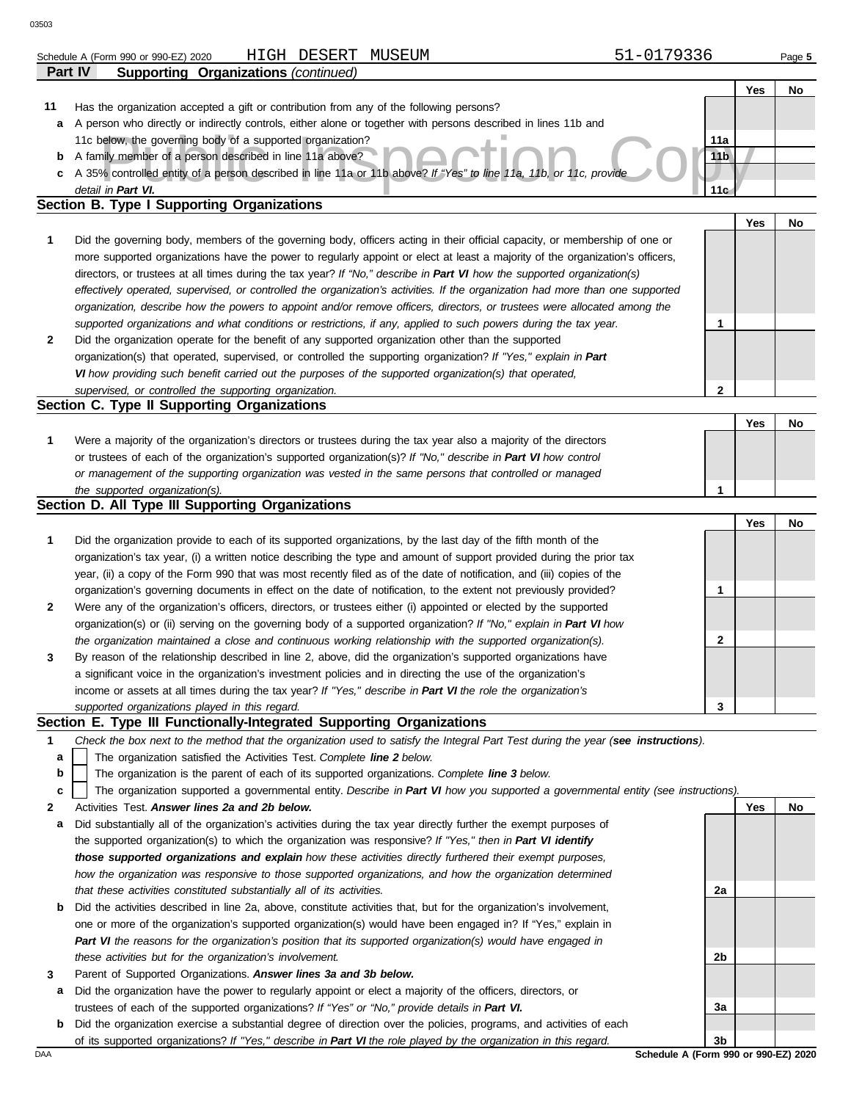|              | HIGH DESERT MUSEUM<br>Schedule A (Form 990 or 990-EZ) 2020                                                                        | 51-0179336      |     | Page 5 |
|--------------|-----------------------------------------------------------------------------------------------------------------------------------|-----------------|-----|--------|
| Part IV      | <b>Supporting Organizations (continued)</b>                                                                                       |                 |     |        |
|              |                                                                                                                                   |                 | Yes | No     |
| 11           | Has the organization accepted a gift or contribution from any of the following persons?                                           |                 |     |        |
| а            | A person who directly or indirectly controls, either alone or together with persons described in lines 11b and                    |                 |     |        |
|              | 11c below, the governing body of a supported organization?                                                                        | 11a             |     |        |
| b            | A family member of a person described in line 11a above?                                                                          | 11 <sub>b</sub> |     |        |
| c            | A 35% controlled entity of a person described in line 11a or 11b above? If "Yes" to line 11a, 11b, or 11c, provide                |                 |     |        |
|              | detail in Part VI.                                                                                                                | 11 <sub>G</sub> |     |        |
|              | Section B. Type I Supporting Organizations                                                                                        |                 |     |        |
|              |                                                                                                                                   |                 | Yes | No     |
| 1            | Did the governing body, members of the governing body, officers acting in their official capacity, or membership of one or        |                 |     |        |
|              | more supported organizations have the power to regularly appoint or elect at least a majority of the organization's officers,     |                 |     |        |
|              | directors, or trustees at all times during the tax year? If "No," describe in Part VI how the supported organization(s)           |                 |     |        |
|              | effectively operated, supervised, or controlled the organization's activities. If the organization had more than one supported    |                 |     |        |
|              | organization, describe how the powers to appoint and/or remove officers, directors, or trustees were allocated among the          |                 |     |        |
|              | supported organizations and what conditions or restrictions, if any, applied to such powers during the tax year.                  | 1               |     |        |
| $\mathbf{2}$ | Did the organization operate for the benefit of any supported organization other than the supported                               |                 |     |        |
|              | organization(s) that operated, supervised, or controlled the supporting organization? If "Yes," explain in Part                   |                 |     |        |
|              | VI how providing such benefit carried out the purposes of the supported organization(s) that operated,                            |                 |     |        |
|              | supervised, or controlled the supporting organization.                                                                            | $\mathbf{2}$    |     |        |
|              | Section C. Type II Supporting Organizations                                                                                       |                 |     |        |
|              |                                                                                                                                   |                 | Yes | No     |
| 1            | Were a majority of the organization's directors or trustees during the tax year also a majority of the directors                  |                 |     |        |
|              | or trustees of each of the organization's supported organization(s)? If "No," describe in Part VI how control                     |                 |     |        |
|              | or management of the supporting organization was vested in the same persons that controlled or managed                            |                 |     |        |
|              | the supported organization(s).<br>Section D. All Type III Supporting Organizations                                                | 1               |     |        |
|              |                                                                                                                                   |                 | Yes | No     |
| 1            | Did the organization provide to each of its supported organizations, by the last day of the fifth month of the                    |                 |     |        |
|              | organization's tax year, (i) a written notice describing the type and amount of support provided during the prior tax             |                 |     |        |
|              | year, (ii) a copy of the Form 990 that was most recently filed as of the date of notification, and (iii) copies of the            |                 |     |        |
|              | organization's governing documents in effect on the date of notification, to the extent not previously provided?                  | 1               |     |        |
| 2            | Were any of the organization's officers, directors, or trustees either (i) appointed or elected by the supported                  |                 |     |        |
|              | organization(s) or (ii) serving on the governing body of a supported organization? If "No," explain in Part VI how                |                 |     |        |
|              | the organization maintained a close and continuous working relationship with the supported organization(s).                       | 2               |     |        |
|              | By reason of the relationship described in line 2, above, did the organization's supported organizations have                     |                 |     |        |
|              | a significant voice in the organization's investment policies and in directing the use of the organization's                      |                 |     |        |
|              | income or assets at all times during the tax year? If "Yes," describe in Part VI the role the organization's                      |                 |     |        |
|              | supported organizations played in this regard.                                                                                    | 3               |     |        |
|              | Section E. Type III Functionally-Integrated Supporting Organizations                                                              |                 |     |        |
| 1            | Check the box next to the method that the organization used to satisfy the Integral Part Test during the year (see instructions). |                 |     |        |
| a            | The organization satisfied the Activities Test. Complete line 2 below.                                                            |                 |     |        |
| b            | The organization is the parent of each of its supported organizations. Complete line 3 below.                                     |                 |     |        |
| c            | The organization supported a governmental entity. Describe in Part VI how you supported a governmental entity (see instructions). |                 |     |        |
| 2            | Activities Test. Answer lines 2a and 2b below.                                                                                    |                 | Yes | No     |
| а            | Did substantially all of the organization's activities during the tax year directly further the exempt purposes of                |                 |     |        |
|              | the supported organization(s) to which the organization was responsive? If "Yes," then in Part VI identify                        |                 |     |        |
|              | those supported organizations and explain how these activities directly furthered their exempt purposes,                          |                 |     |        |
|              | how the organization was responsive to those supported organizations, and how the organization determined                         |                 |     |        |
|              | that these activities constituted substantially all of its activities.                                                            | 2a              |     |        |
| b            | Did the activities described in line 2a, above, constitute activities that, but for the organization's involvement,               |                 |     |        |
|              | one or more of the organization's supported organization(s) would have been engaged in? If "Yes," explain in                      |                 |     |        |
|              | Part VI the reasons for the organization's position that its supported organization(s) would have engaged in                      |                 |     |        |
|              | these activities but for the organization's involvement.                                                                          | 2b              |     |        |
| 3            | Parent of Supported Organizations. Answer lines 3a and 3b below.                                                                  |                 |     |        |
| а            | Did the organization have the power to regularly appoint or elect a majority of the officers, directors, or                       |                 |     |        |
|              | trustees of each of the supported organizations? If "Yes" or "No," provide details in Part VI.                                    | 3a              |     |        |

DAA **Schedule A (Form 990 or 990-EZ) 2020 3b**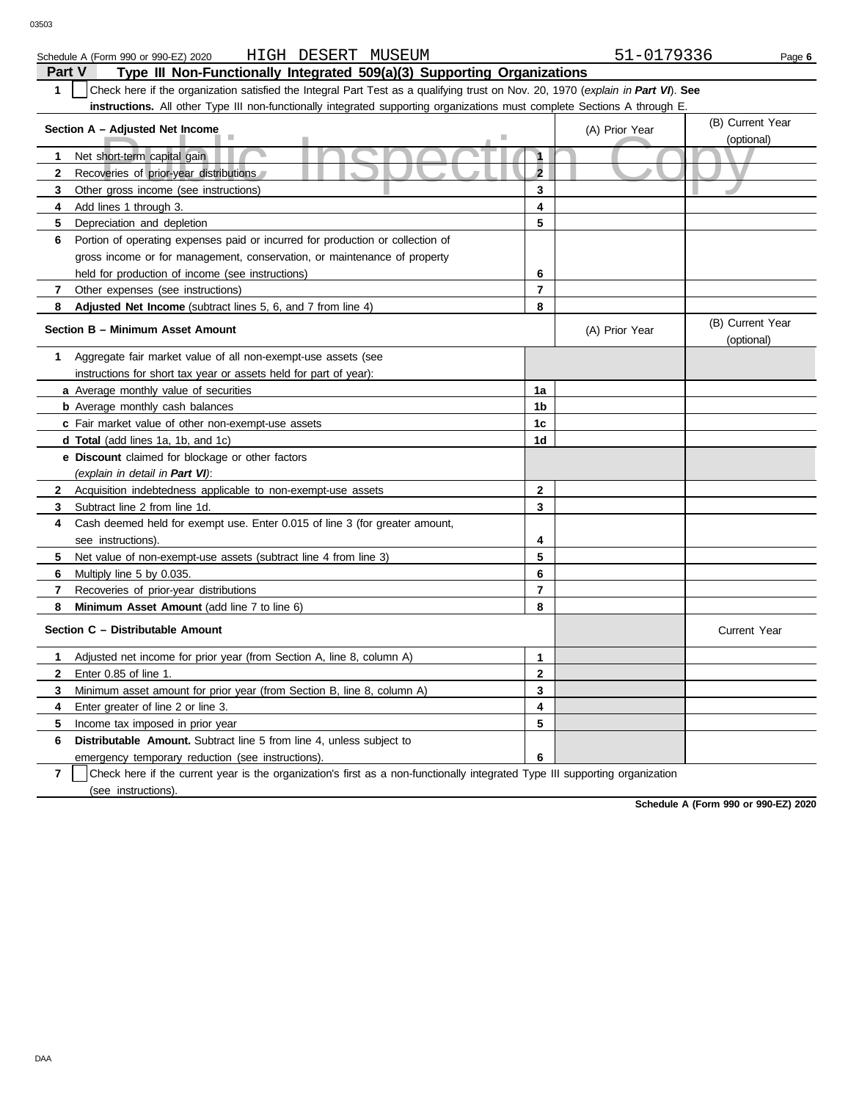| HIGH DESERT<br>MUSEUM<br>Schedule A (Form 990 or 990-EZ) 2020                                                                    | 51-0179336     | Page 6           |  |  |  |  |  |  |
|----------------------------------------------------------------------------------------------------------------------------------|----------------|------------------|--|--|--|--|--|--|
| Part V<br>Type III Non-Functionally Integrated 509(a)(3) Supporting Organizations                                                |                |                  |  |  |  |  |  |  |
| Check here if the organization satisfied the Integral Part Test as a qualifying trust on Nov. 20, 1970 (explain in Part VI). See |                |                  |  |  |  |  |  |  |
| instructions. All other Type III non-functionally integrated supporting organizations must complete Sections A through E.        |                |                  |  |  |  |  |  |  |
| Section A - Adjusted Net Income                                                                                                  | (A) Prior Year | (B) Current Year |  |  |  |  |  |  |
|                                                                                                                                  |                | (optional)       |  |  |  |  |  |  |
| Net short-term capital gain                                                                                                      |                |                  |  |  |  |  |  |  |
| Recoveries of prior-year distributions                                                                                           |                |                  |  |  |  |  |  |  |
| Other gross income (see instructions)<br>3                                                                                       |                |                  |  |  |  |  |  |  |

| 3              | Other gross income (see instructions)                                                                           | 3              |                |                                |
|----------------|-----------------------------------------------------------------------------------------------------------------|----------------|----------------|--------------------------------|
| 4              | Add lines 1 through 3.                                                                                          | 4              |                |                                |
| 5.             | Depreciation and depletion                                                                                      | 5              |                |                                |
| 6              | Portion of operating expenses paid or incurred for production or collection of                                  |                |                |                                |
|                | gross income or for management, conservation, or maintenance of property                                        |                |                |                                |
|                | held for production of income (see instructions)                                                                | 6              |                |                                |
| 7              | Other expenses (see instructions)                                                                               | $\overline{7}$ |                |                                |
| 8              | Adjusted Net Income (subtract lines 5, 6, and 7 from line 4)                                                    | 8              |                |                                |
|                | Section B - Minimum Asset Amount                                                                                |                | (A) Prior Year | (B) Current Year<br>(optional) |
| 1              | Aggregate fair market value of all non-exempt-use assets (see                                                   |                |                |                                |
|                | instructions for short tax year or assets held for part of year):                                               |                |                |                                |
|                | a Average monthly value of securities                                                                           | 1a             |                |                                |
|                | <b>b</b> Average monthly cash balances                                                                          | 1b             |                |                                |
|                | c Fair market value of other non-exempt-use assets                                                              | 1c             |                |                                |
|                | d Total (add lines 1a, 1b, and 1c)                                                                              | 1d             |                |                                |
|                | e Discount claimed for blockage or other factors                                                                |                |                |                                |
|                | (explain in detail in Part VI):                                                                                 |                |                |                                |
| $\mathbf{2}^-$ | Acquisition indebtedness applicable to non-exempt-use assets                                                    | $\overline{2}$ |                |                                |
| 3              | Subtract line 2 from line 1d.                                                                                   | 3              |                |                                |
| 4              | Cash deemed held for exempt use. Enter 0.015 of line 3 (for greater amount,                                     |                |                |                                |
|                | see instructions).                                                                                              | 4              |                |                                |
| 5              | Net value of non-exempt-use assets (subtract line 4 from line 3)                                                | 5              |                |                                |
| 6              | Multiply line 5 by 0.035.                                                                                       | 6              |                |                                |
| 7              | Recoveries of prior-year distributions                                                                          | 7              |                |                                |
| 8              | Minimum Asset Amount (add line 7 to line 6)                                                                     | 8              |                |                                |
|                | Section C - Distributable Amount                                                                                |                |                | <b>Current Year</b>            |
| 1.             | Adjusted net income for prior year (from Section A, line 8, column A)                                           | $\mathbf{1}$   |                |                                |
| 2              | Enter 0.85 of line 1.                                                                                           | $\mathbf{2}$   |                |                                |
| 3              | Minimum asset amount for prior year (from Section B, line 8, column A)                                          | 3              |                |                                |
| 4              | Enter greater of line 2 or line 3.                                                                              | 4              |                |                                |
| 5              | Income tax imposed in prior year                                                                                | 5              |                |                                |
| 6              | Distributable Amount. Subtract line 5 from line 4, unless subject to                                            |                |                |                                |
|                | emergency temporary reduction (see instructions).                                                               | 6              |                |                                |
|                | $\overline{\bigcap_{k=1}^n}$ bence if the compact coordinates consider the ball of $\overline{\bigcap_{k=1}^n}$ |                |                |                                |

**7** | Check here if the current year is the organization's first as a non-functionally integrated Type III supporting organization (see instructions).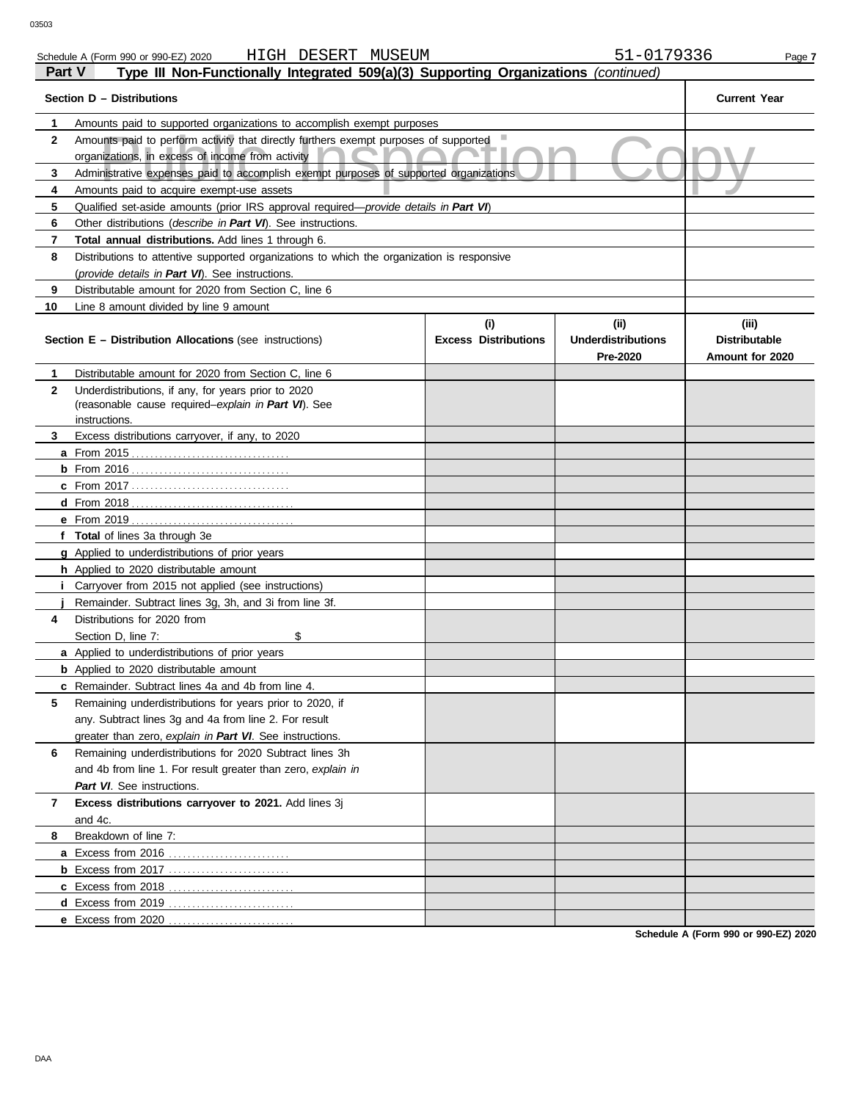|              | PIJU INUUVI                                                                                                |                                    |                                                |                                                  |  |  |  |  |
|--------------|------------------------------------------------------------------------------------------------------------|------------------------------------|------------------------------------------------|--------------------------------------------------|--|--|--|--|
| 1            | Amounts paid to supported organizations to accomplish exempt purposes                                      |                                    |                                                |                                                  |  |  |  |  |
| $\mathbf{2}$ | Amounts paid to perform activity that directly furthers exempt purposes of supported                       |                                    |                                                |                                                  |  |  |  |  |
|              | organizations, in excess of income from activity                                                           |                                    |                                                |                                                  |  |  |  |  |
| 3            | Administrative expenses paid to accomplish exempt purposes of supported organizations.                     |                                    |                                                |                                                  |  |  |  |  |
| 4            | Amounts paid to acquire exempt-use assets                                                                  |                                    |                                                |                                                  |  |  |  |  |
| 5            | Qualified set-aside amounts (prior IRS approval required— <i>provide details in Part VI</i> )              |                                    |                                                |                                                  |  |  |  |  |
| 6            | Other distributions ( <i>describe in Part VI</i> ). See instructions.                                      |                                    |                                                |                                                  |  |  |  |  |
| 7            | Total annual distributions. Add lines 1 through 6.                                                         |                                    |                                                |                                                  |  |  |  |  |
| 8            | Distributions to attentive supported organizations to which the organization is responsive                 |                                    |                                                |                                                  |  |  |  |  |
|              | (provide details in Part VI). See instructions.                                                            |                                    |                                                |                                                  |  |  |  |  |
| 9            | Distributable amount for 2020 from Section C. line 6                                                       |                                    |                                                |                                                  |  |  |  |  |
| 10           | Line 8 amount divided by line 9 amount                                                                     |                                    |                                                |                                                  |  |  |  |  |
|              | <b>Section E - Distribution Allocations (see instructions)</b>                                             | (i)<br><b>Excess Distributions</b> | (iii)<br><b>Underdistributions</b><br>Pre-2020 | (iii)<br><b>Distributable</b><br>Amount for 2020 |  |  |  |  |
| 1            | Distributable amount for 2020 from Section C, line 6                                                       |                                    |                                                |                                                  |  |  |  |  |
| $\mathbf{2}$ | Underdistributions, if any, for years prior to 2020                                                        |                                    |                                                |                                                  |  |  |  |  |
|              | (reasonable cause required-explain in Part VI). See                                                        |                                    |                                                |                                                  |  |  |  |  |
|              | instructions.                                                                                              |                                    |                                                |                                                  |  |  |  |  |
| 3            | Excess distributions carryover, if any, to 2020                                                            |                                    |                                                |                                                  |  |  |  |  |
|              | <b>a</b> From 2015                                                                                         |                                    |                                                |                                                  |  |  |  |  |
|              |                                                                                                            |                                    |                                                |                                                  |  |  |  |  |
|              |                                                                                                            |                                    |                                                |                                                  |  |  |  |  |
|              |                                                                                                            |                                    |                                                |                                                  |  |  |  |  |
|              | <b>e</b> From 2019                                                                                         |                                    |                                                |                                                  |  |  |  |  |
|              | f Total of lines 3a through 3e                                                                             |                                    |                                                |                                                  |  |  |  |  |
|              | <b>g</b> Applied to underdistributions of prior years                                                      |                                    |                                                |                                                  |  |  |  |  |
|              | <b>h</b> Applied to 2020 distributable amount                                                              |                                    |                                                |                                                  |  |  |  |  |
| Ť            | Carryover from 2015 not applied (see instructions)                                                         |                                    |                                                |                                                  |  |  |  |  |
| 4            | Remainder. Subtract lines 3g, 3h, and 3i from line 3f.                                                     |                                    |                                                |                                                  |  |  |  |  |
|              | Distributions for 2020 from<br>\$                                                                          |                                    |                                                |                                                  |  |  |  |  |
|              | Section D, line 7:<br><b>a</b> Applied to underdistributions of prior years                                |                                    |                                                |                                                  |  |  |  |  |
|              |                                                                                                            |                                    |                                                |                                                  |  |  |  |  |
|              | <b>b</b> Applied to 2020 distributable amount<br><b>c</b> Remainder. Subtract lines 4a and 4b from line 4. |                                    |                                                |                                                  |  |  |  |  |
| 5            | Remaining underdistributions for years prior to 2020, if                                                   |                                    |                                                |                                                  |  |  |  |  |
|              | any. Subtract lines 3g and 4a from line 2. For result                                                      |                                    |                                                |                                                  |  |  |  |  |
|              | greater than zero, explain in Part VI. See instructions.                                                   |                                    |                                                |                                                  |  |  |  |  |
| 6            | Remaining underdistributions for 2020 Subtract lines 3h                                                    |                                    |                                                |                                                  |  |  |  |  |
|              | and 4b from line 1. For result greater than zero, explain in                                               |                                    |                                                |                                                  |  |  |  |  |
|              | Part VI. See instructions.                                                                                 |                                    |                                                |                                                  |  |  |  |  |
| 7            | Excess distributions carryover to 2021. Add lines 3j                                                       |                                    |                                                |                                                  |  |  |  |  |
|              | and 4c.                                                                                                    |                                    |                                                |                                                  |  |  |  |  |
| 8            | Breakdown of line 7:                                                                                       |                                    |                                                |                                                  |  |  |  |  |
|              |                                                                                                            |                                    |                                                |                                                  |  |  |  |  |
|              |                                                                                                            |                                    |                                                |                                                  |  |  |  |  |
|              |                                                                                                            |                                    |                                                |                                                  |  |  |  |  |
|              |                                                                                                            |                                    |                                                |                                                  |  |  |  |  |
|              | e Excess from 2020                                                                                         |                                    |                                                |                                                  |  |  |  |  |
|              |                                                                                                            |                                    |                                                |                                                  |  |  |  |  |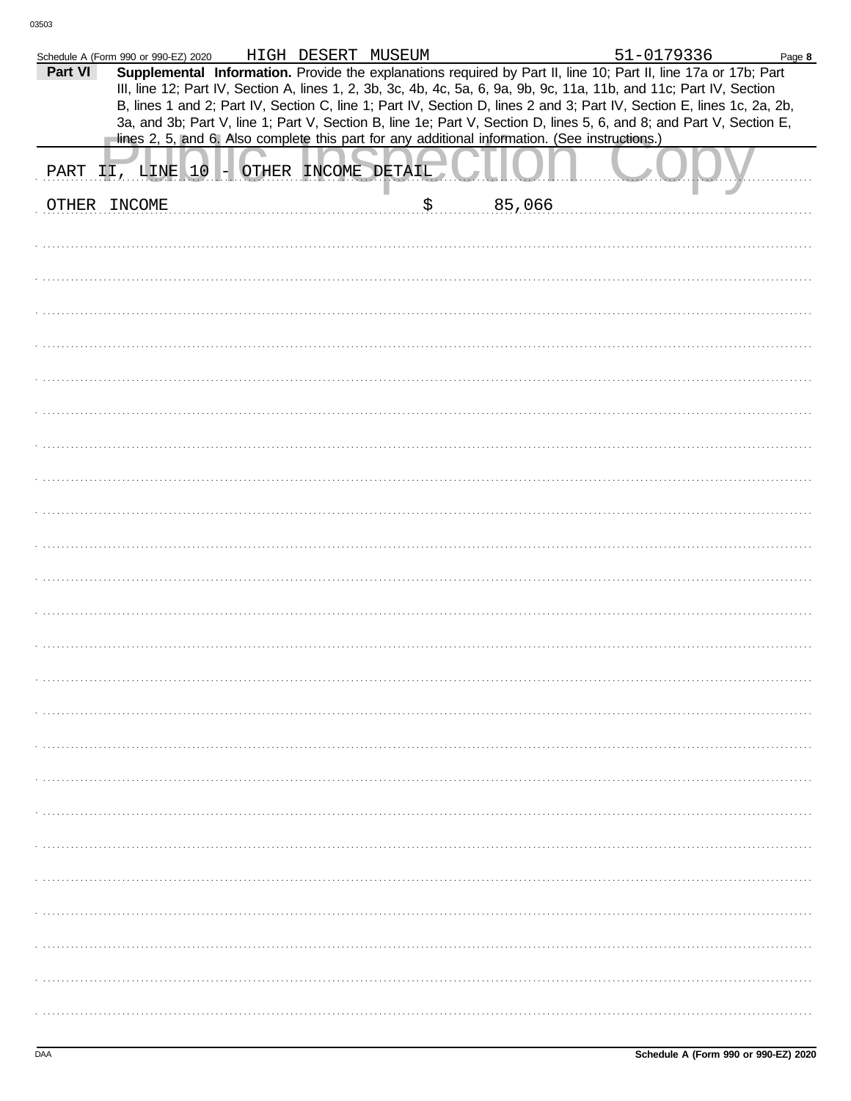| Part VI | Schedule A (Form 990 or 990-EZ) 2020 | HIGH DESERT MUSEUM  |                                                                                                | 51-0179336<br>Supplemental Information. Provide the explanations required by Part II, line 10; Part II, line 17a or 17b; Part                                                                                                                  | Page 8 |
|---------|--------------------------------------|---------------------|------------------------------------------------------------------------------------------------|------------------------------------------------------------------------------------------------------------------------------------------------------------------------------------------------------------------------------------------------|--------|
|         |                                      |                     |                                                                                                | III, line 12; Part IV, Section A, lines 1, 2, 3b, 3c, 4b, 4c, 5a, 6, 9a, 9b, 9c, 11a, 11b, and 11c; Part IV, Section                                                                                                                           |        |
|         |                                      |                     |                                                                                                | B, lines 1 and 2; Part IV, Section C, line 1; Part IV, Section D, lines 2 and 3; Part IV, Section E, lines 1c, 2a, 2b,<br>3a, and 3b; Part V, line 1; Part V, Section B, line 1e; Part V, Section D, lines 5, 6, and 8; and Part V, Section E, |        |
|         |                                      |                     | lines 2, 5, and 6. Also complete this part for any additional information. (See instructions.) |                                                                                                                                                                                                                                                |        |
| PART    | II, LINE 10                          | OTHER INCOME DETAIL |                                                                                                |                                                                                                                                                                                                                                                |        |
| OTHER   | INCOME                               |                     | \$<br>85,066                                                                                   |                                                                                                                                                                                                                                                |        |
|         |                                      |                     |                                                                                                |                                                                                                                                                                                                                                                |        |
|         |                                      |                     |                                                                                                |                                                                                                                                                                                                                                                |        |
|         |                                      |                     |                                                                                                |                                                                                                                                                                                                                                                |        |
|         |                                      |                     |                                                                                                |                                                                                                                                                                                                                                                |        |
|         |                                      |                     |                                                                                                |                                                                                                                                                                                                                                                |        |
|         |                                      |                     |                                                                                                |                                                                                                                                                                                                                                                |        |
|         |                                      |                     |                                                                                                |                                                                                                                                                                                                                                                |        |
|         |                                      |                     |                                                                                                |                                                                                                                                                                                                                                                |        |
|         |                                      |                     |                                                                                                |                                                                                                                                                                                                                                                |        |
|         |                                      |                     |                                                                                                |                                                                                                                                                                                                                                                |        |
|         |                                      |                     |                                                                                                |                                                                                                                                                                                                                                                |        |
|         |                                      |                     |                                                                                                |                                                                                                                                                                                                                                                |        |
|         |                                      |                     |                                                                                                |                                                                                                                                                                                                                                                |        |
|         |                                      |                     |                                                                                                |                                                                                                                                                                                                                                                |        |
|         |                                      |                     |                                                                                                |                                                                                                                                                                                                                                                |        |
|         |                                      |                     |                                                                                                |                                                                                                                                                                                                                                                |        |
|         |                                      |                     |                                                                                                |                                                                                                                                                                                                                                                |        |
|         |                                      |                     |                                                                                                |                                                                                                                                                                                                                                                |        |
|         |                                      |                     |                                                                                                |                                                                                                                                                                                                                                                |        |
|         |                                      |                     |                                                                                                |                                                                                                                                                                                                                                                |        |
|         |                                      |                     |                                                                                                |                                                                                                                                                                                                                                                |        |
|         |                                      |                     |                                                                                                |                                                                                                                                                                                                                                                |        |
|         |                                      |                     |                                                                                                |                                                                                                                                                                                                                                                |        |
|         |                                      |                     |                                                                                                |                                                                                                                                                                                                                                                |        |
|         |                                      |                     |                                                                                                |                                                                                                                                                                                                                                                |        |
|         |                                      |                     |                                                                                                |                                                                                                                                                                                                                                                |        |
|         |                                      |                     |                                                                                                |                                                                                                                                                                                                                                                |        |
|         |                                      |                     |                                                                                                |                                                                                                                                                                                                                                                |        |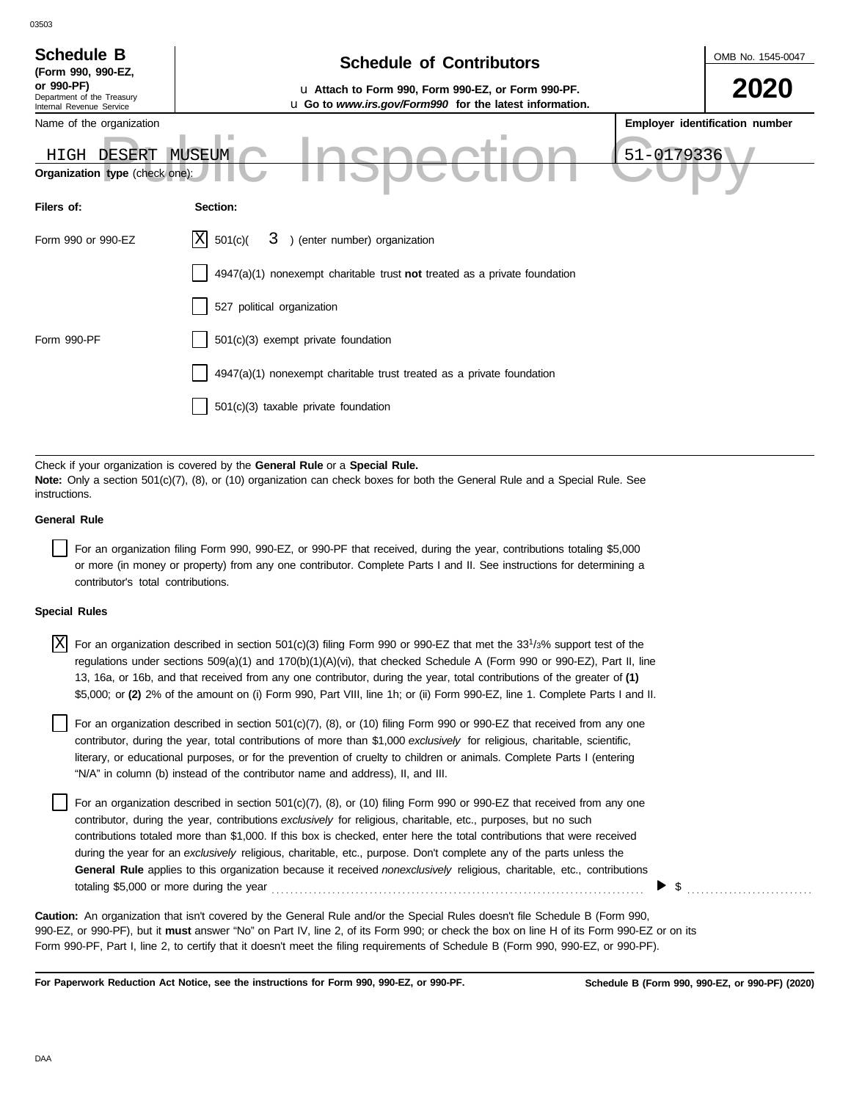| <b>Schedule B</b><br>(Form 990, 990-EZ,                              | <b>Schedule of Contributors</b>                                                                               | OMB No. 1545-0047 |                                |
|----------------------------------------------------------------------|---------------------------------------------------------------------------------------------------------------|-------------------|--------------------------------|
| or 990-PF)<br>Department of the Treasury<br>Internal Revenue Service | u Attach to Form 990, Form 990-EZ, or Form 990-PF.<br>u Go to www.irs.gov/Form990 for the latest information. |                   | 2020                           |
| Name of the organization                                             |                                                                                                               |                   | Employer identification number |
| DESERT<br>HIGH<br>Organization type (check one):                     | MUSEUM                                                                                                        | 51-0179336        |                                |
| Filers of:                                                           | Section:                                                                                                      |                   |                                |
| Form 990 or 990-EZ                                                   | $\mathbf{X}$<br>) (enter number) organization<br>501(c)(<br>3                                                 |                   |                                |
|                                                                      | 4947(a)(1) nonexempt charitable trust not treated as a private foundation                                     |                   |                                |
|                                                                      | 527 political organization                                                                                    |                   |                                |
| Form 990-PF                                                          | 501(c)(3) exempt private foundation                                                                           |                   |                                |
|                                                                      | 4947(a)(1) nonexempt charitable trust treated as a private foundation                                         |                   |                                |
|                                                                      | $501(c)(3)$ taxable private foundation                                                                        |                   |                                |

Check if your organization is covered by the **General Rule** or a **Special Rule. Note:** Only a section 501(c)(7), (8), or (10) organization can check boxes for both the General Rule and a Special Rule. See instructions.

## **General Rule**

03503

For an organization filing Form 990, 990-EZ, or 990-PF that received, during the year, contributions totaling \$5,000 or more (in money or property) from any one contributor. Complete Parts I and II. See instructions for determining a contributor's total contributions.

### **Special Rules**

 $\overline{X}$  For an organization described in section 501(c)(3) filing Form 990 or 990-EZ that met the 33<sup>1</sup>/3% support test of the regulations under sections 509(a)(1) and 170(b)(1)(A)(vi), that checked Schedule A (Form 990 or 990-EZ), Part II, line 13, 16a, or 16b, and that received from any one contributor, during the year, total contributions of the greater of **(1)** \$5,000; or **(2)** 2% of the amount on (i) Form 990, Part VIII, line 1h; or (ii) Form 990-EZ, line 1. Complete Parts I and II.

literary, or educational purposes, or for the prevention of cruelty to children or animals. Complete Parts I (entering For an organization described in section  $501(c)(7)$ ,  $(8)$ , or  $(10)$  filing Form 990 or 990-EZ that received from any one contributor, during the year, total contributions of more than \$1,000 *exclusively* for religious, charitable, scientific, "N/A" in column (b) instead of the contributor name and address), II, and III.

For an organization described in section 501(c)(7), (8), or (10) filing Form 990 or 990-EZ that received from any one contributor, during the year, contributions *exclusively* for religious, charitable, etc., purposes, but no such contributions totaled more than \$1,000. If this box is checked, enter here the total contributions that were received during the year for an *exclusively* religious, charitable, etc., purpose. Don't complete any of the parts unless the **General Rule** applies to this organization because it received *nonexclusively* religious, charitable, etc., contributions totaling \$5,000 or more during the year . . . . . . . . . . . . . . . . . . . . . . . . . . . . . . . . . . . . . . . . . . . . . . . . . . . . . . . . . . . . . . . . . . . . . . . . . . . . . . . .

990-EZ, or 990-PF), but it **must** answer "No" on Part IV, line 2, of its Form 990; or check the box on line H of its Form 990-EZ or on its Form 990-PF, Part I, line 2, to certify that it doesn't meet the filing requirements of Schedule B (Form 990, 990-EZ, or 990-PF). **Caution:** An organization that isn't covered by the General Rule and/or the Special Rules doesn't file Schedule B (Form 990,

**For Paperwork Reduction Act Notice, see the instructions for Form 990, 990-EZ, or 990-PF.**

\$ . . . . . . . . . . . . . . . . . . . . . . . . . . .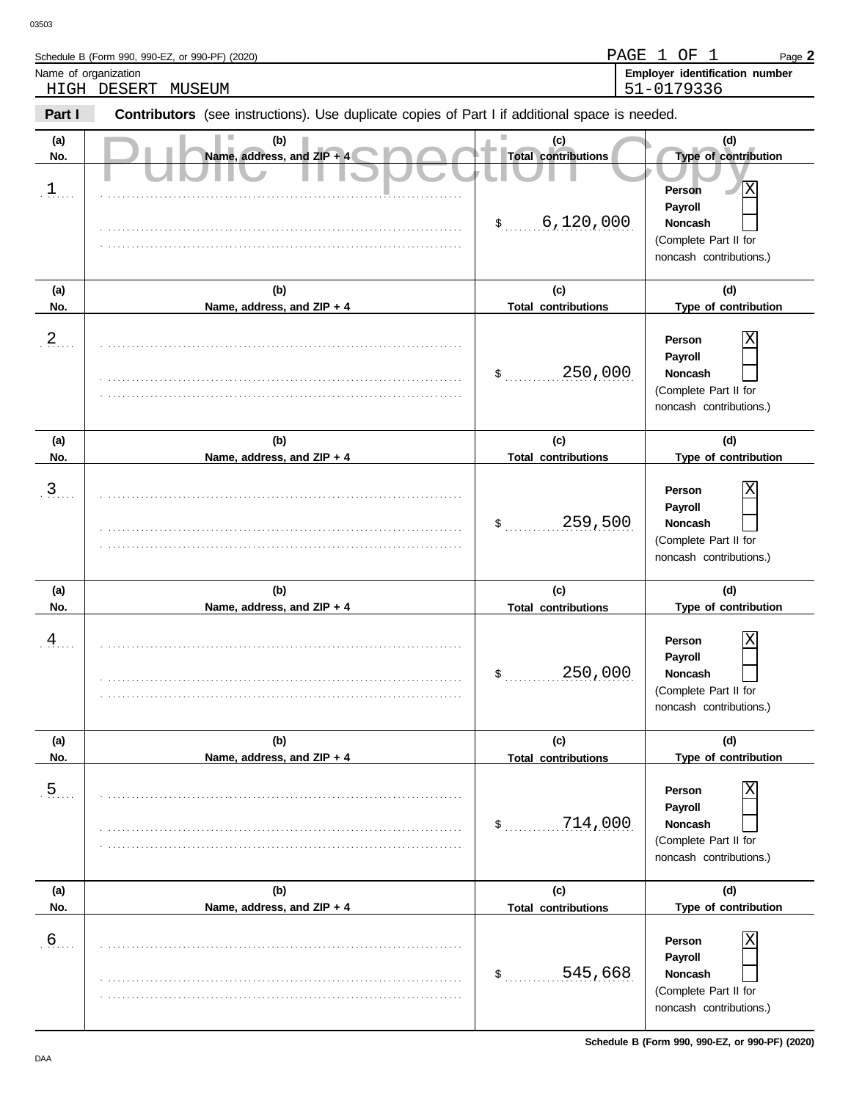Schedule B (Form 990, 990-EZ, or 990-PF) (2020)

| HIGH                                                                                                     | 51-0179336<br>DESERT<br>MUSEUM    |                                   |                                                                                                           |  |  |  |  |  |
|----------------------------------------------------------------------------------------------------------|-----------------------------------|-----------------------------------|-----------------------------------------------------------------------------------------------------------|--|--|--|--|--|
| Contributors (see instructions). Use duplicate copies of Part I if additional space is needed.<br>Part I |                                   |                                   |                                                                                                           |  |  |  |  |  |
| (a)<br>No.                                                                                               | (b)<br>Name, address, and ZIP + 4 | (c)<br><b>Total contributions</b> | (d)<br>Type of contribution                                                                               |  |  |  |  |  |
| $\cdot$ 1. $\cdot$ .                                                                                     |                                   | 6,120,000<br>$\frac{1}{2}$        | $\overline{\text{X}}$<br>Person<br>Payroll<br>Noncash<br>(Complete Part II for<br>noncash contributions.) |  |  |  |  |  |
| (a)<br>No.                                                                                               | (b)<br>Name, address, and ZIP + 4 | (c)<br><b>Total contributions</b> | (d)<br>Type of contribution                                                                               |  |  |  |  |  |
| $2_{1}$                                                                                                  |                                   | 250,000<br>\$                     | Χ<br>Person<br>Payroll<br>Noncash<br>(Complete Part II for<br>noncash contributions.)                     |  |  |  |  |  |
| (a)<br>No.                                                                                               | (b)<br>Name, address, and ZIP + 4 | (c)<br><b>Total contributions</b> | (d)<br>Type of contribution                                                                               |  |  |  |  |  |
| $\frac{3}{2}$                                                                                            |                                   | 259,500<br>\$                     | Χ<br>Person<br>Payroll<br>Noncash<br>(Complete Part II for<br>noncash contributions.)                     |  |  |  |  |  |
| (a)<br>No.                                                                                               | (b)<br>Name, address, and ZIP + 4 | (c)<br><b>Total contributions</b> | (d)<br>Type of contribution                                                                               |  |  |  |  |  |
| $\frac{4}{1}$                                                                                            |                                   | 250,000<br>\$                     | Χ<br>Person<br>Payroll<br>Noncash<br>(Complete Part II for<br>noncash contributions.)                     |  |  |  |  |  |
| (a)<br>No.                                                                                               | (b)<br>Name, address, and ZIP + 4 | (c)<br><b>Total contributions</b> | (d)<br>Type of contribution                                                                               |  |  |  |  |  |
| $\overline{5}$                                                                                           |                                   | 714,000<br>\$                     | Χ<br>Person<br>Payroll<br>Noncash<br>(Complete Part II for<br>noncash contributions.)                     |  |  |  |  |  |
| (a)<br>No.                                                                                               | (b)<br>Name, address, and ZIP + 4 | (c)<br><b>Total contributions</b> | (d)<br>Type of contribution                                                                               |  |  |  |  |  |
| $6 \overline{6}$                                                                                         |                                   | 545,668<br>\$                     | Χ<br>Person<br>Payroll<br>Noncash<br>(Complete Part II for<br>noncash contributions.)                     |  |  |  |  |  |

Name of organization **Employer identification number Employer identification number** 

Page **2**

PAGE 1 OF 1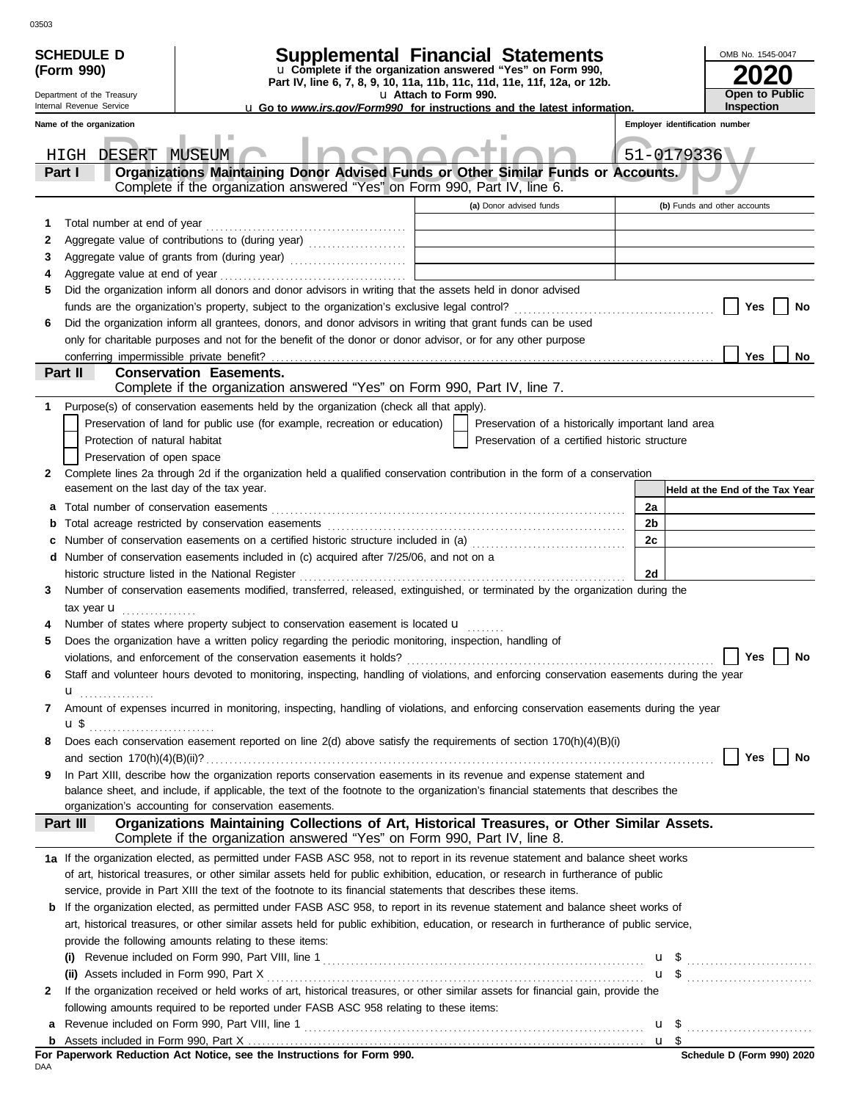|                                  | <b>SCHEDULE D</b>                                                                                                               | <b>Supplemental Financial Statements</b>                                                                                                                                                   |  |                                                    |                |                                | OMB No. 1545-0047               |  |
|----------------------------------|---------------------------------------------------------------------------------------------------------------------------------|--------------------------------------------------------------------------------------------------------------------------------------------------------------------------------------------|--|----------------------------------------------------|----------------|--------------------------------|---------------------------------|--|
|                                  | u Complete if the organization answered "Yes" on Form 990,<br>(Form 990)                                                        |                                                                                                                                                                                            |  |                                                    |                |                                |                                 |  |
|                                  | Part IV, line 6, 7, 8, 9, 10, 11a, 11b, 11c, 11d, 11e, 11f, 12a, or 12b.<br>Department of the Treasury<br>u Attach to Form 990. |                                                                                                                                                                                            |  |                                                    |                |                                | Open to Public                  |  |
|                                  | Internal Revenue Service                                                                                                        | <b>u</b> Go to www.irs.gov/Form990 for instructions and the latest information.                                                                                                            |  |                                                    |                |                                | <b>Inspection</b>               |  |
|                                  | Name of the organization                                                                                                        |                                                                                                                                                                                            |  |                                                    |                | Employer identification number |                                 |  |
| 51-0179336<br>HIGH DESERT MUSEUM |                                                                                                                                 |                                                                                                                                                                                            |  |                                                    |                |                                |                                 |  |
|                                  | Part I                                                                                                                          | Organizations Maintaining Donor Advised Funds or Other Similar Funds or Accounts.<br>Complete if the organization answered "Yes" on Form 990, Part IV, line 6.                             |  |                                                    |                |                                |                                 |  |
|                                  |                                                                                                                                 |                                                                                                                                                                                            |  | (a) Donor advised funds                            |                |                                | (b) Funds and other accounts    |  |
| 1                                | Total number at end of year                                                                                                     |                                                                                                                                                                                            |  |                                                    |                |                                |                                 |  |
| 2                                |                                                                                                                                 | Aggregate value of contributions to (during year)                                                                                                                                          |  |                                                    |                |                                |                                 |  |
| 3                                |                                                                                                                                 |                                                                                                                                                                                            |  |                                                    |                |                                |                                 |  |
| 4                                |                                                                                                                                 |                                                                                                                                                                                            |  |                                                    |                |                                |                                 |  |
| 5                                |                                                                                                                                 | Did the organization inform all donors and donor advisors in writing that the assets held in donor advised                                                                                 |  |                                                    |                |                                |                                 |  |
|                                  |                                                                                                                                 |                                                                                                                                                                                            |  |                                                    |                |                                | Yes<br>No                       |  |
| 6                                |                                                                                                                                 | Did the organization inform all grantees, donors, and donor advisors in writing that grant funds can be used                                                                               |  |                                                    |                |                                |                                 |  |
|                                  |                                                                                                                                 | only for charitable purposes and not for the benefit of the donor or donor advisor, or for any other purpose                                                                               |  |                                                    |                |                                |                                 |  |
|                                  |                                                                                                                                 |                                                                                                                                                                                            |  |                                                    |                |                                | Yes<br>No                       |  |
|                                  | Part II                                                                                                                         | <b>Conservation Easements.</b><br>Complete if the organization answered "Yes" on Form 990, Part IV, line 7.                                                                                |  |                                                    |                |                                |                                 |  |
|                                  |                                                                                                                                 |                                                                                                                                                                                            |  |                                                    |                |                                |                                 |  |
| 1                                |                                                                                                                                 | Purpose(s) of conservation easements held by the organization (check all that apply).<br>Preservation of land for public use (for example, recreation or education)                        |  | Preservation of a historically important land area |                |                                |                                 |  |
|                                  | Protection of natural habitat                                                                                                   |                                                                                                                                                                                            |  | Preservation of a certified historic structure     |                |                                |                                 |  |
|                                  | Preservation of open space                                                                                                      |                                                                                                                                                                                            |  |                                                    |                |                                |                                 |  |
| 2                                |                                                                                                                                 | Complete lines 2a through 2d if the organization held a qualified conservation contribution in the form of a conservation                                                                  |  |                                                    |                |                                |                                 |  |
|                                  | easement on the last day of the tax year.                                                                                       |                                                                                                                                                                                            |  |                                                    |                |                                | Held at the End of the Tax Year |  |
| a                                |                                                                                                                                 |                                                                                                                                                                                            |  |                                                    | 2a             |                                |                                 |  |
| b                                |                                                                                                                                 |                                                                                                                                                                                            |  |                                                    | 2 <sub>b</sub> |                                |                                 |  |
| c                                |                                                                                                                                 | Number of conservation easements on a certified historic structure included in (a) [[[[[ [ [ ]]]                                                                                           |  |                                                    | 2c             |                                |                                 |  |
|                                  |                                                                                                                                 | d Number of conservation easements included in (c) acquired after 7/25/06, and not on a                                                                                                    |  |                                                    |                |                                |                                 |  |
|                                  |                                                                                                                                 | historic structure listed in the National Register                                                                                                                                         |  |                                                    | 2d             |                                |                                 |  |
| 3                                |                                                                                                                                 | Number of conservation easements modified, transferred, released, extinguished, or terminated by the organization during the                                                               |  |                                                    |                |                                |                                 |  |
|                                  | tax year <b>u</b>                                                                                                               |                                                                                                                                                                                            |  |                                                    |                |                                |                                 |  |
| 4<br>5                           |                                                                                                                                 | Number of states where property subject to conservation easement is located u<br>Does the organization have a written policy regarding the periodic monitoring, inspection, handling of    |  |                                                    |                |                                |                                 |  |
|                                  |                                                                                                                                 | violations, and enforcement of the conservation easements it holds?                                                                                                                        |  |                                                    |                |                                | Yes <sup>1</sup><br><b>No</b>   |  |
| 6                                |                                                                                                                                 | Staff and volunteer hours devoted to monitoring, inspecting, handling of violations, and enforcing conservation easements during the year                                                  |  |                                                    |                |                                |                                 |  |
|                                  | u <sub></sub> .                                                                                                                 |                                                                                                                                                                                            |  |                                                    |                |                                |                                 |  |
| 7                                |                                                                                                                                 | Amount of expenses incurred in monitoring, inspecting, handling of violations, and enforcing conservation easements during the year                                                        |  |                                                    |                |                                |                                 |  |
|                                  |                                                                                                                                 |                                                                                                                                                                                            |  |                                                    |                |                                |                                 |  |
| 8                                |                                                                                                                                 | Does each conservation easement reported on line 2(d) above satisfy the requirements of section 170(h)(4)(B)(i)                                                                            |  |                                                    |                |                                |                                 |  |
|                                  |                                                                                                                                 |                                                                                                                                                                                            |  |                                                    |                |                                | Yes $ $<br>No                   |  |
| 9                                |                                                                                                                                 | In Part XIII, describe how the organization reports conservation easements in its revenue and expense statement and                                                                        |  |                                                    |                |                                |                                 |  |
|                                  |                                                                                                                                 | balance sheet, and include, if applicable, the text of the footnote to the organization's financial statements that describes the<br>organization's accounting for conservation easements. |  |                                                    |                |                                |                                 |  |
|                                  | Part III                                                                                                                        | Organizations Maintaining Collections of Art, Historical Treasures, or Other Similar Assets.                                                                                               |  |                                                    |                |                                |                                 |  |
|                                  |                                                                                                                                 | Complete if the organization answered "Yes" on Form 990, Part IV, line 8.                                                                                                                  |  |                                                    |                |                                |                                 |  |
|                                  |                                                                                                                                 | 1a If the organization elected, as permitted under FASB ASC 958, not to report in its revenue statement and balance sheet works                                                            |  |                                                    |                |                                |                                 |  |
|                                  |                                                                                                                                 | of art, historical treasures, or other similar assets held for public exhibition, education, or research in furtherance of public                                                          |  |                                                    |                |                                |                                 |  |
|                                  |                                                                                                                                 | service, provide in Part XIII the text of the footnote to its financial statements that describes these items.                                                                             |  |                                                    |                |                                |                                 |  |
| b                                |                                                                                                                                 | If the organization elected, as permitted under FASB ASC 958, to report in its revenue statement and balance sheet works of                                                                |  |                                                    |                |                                |                                 |  |
|                                  |                                                                                                                                 | art, historical treasures, or other similar assets held for public exhibition, education, or research in furtherance of public service,                                                    |  |                                                    |                |                                |                                 |  |
|                                  |                                                                                                                                 | provide the following amounts relating to these items:                                                                                                                                     |  |                                                    |                |                                |                                 |  |
|                                  | (i)                                                                                                                             |                                                                                                                                                                                            |  |                                                    |                |                                |                                 |  |
|                                  |                                                                                                                                 |                                                                                                                                                                                            |  |                                                    |                |                                | $\mathbf{u}$ \$                 |  |
| 2                                |                                                                                                                                 | If the organization received or held works of art, historical treasures, or other similar assets for financial gain, provide the                                                           |  |                                                    |                |                                |                                 |  |
|                                  |                                                                                                                                 | following amounts required to be reported under FASB ASC 958 relating to these items:                                                                                                      |  |                                                    |                |                                |                                 |  |
|                                  |                                                                                                                                 |                                                                                                                                                                                            |  |                                                    |                | u \$                           |                                 |  |
|                                  |                                                                                                                                 |                                                                                                                                                                                            |  |                                                    |                |                                |                                 |  |

|     |  |  |  | For Paperwork Reduction Act Notice, see the Instructions for Form 990. |  |  |
|-----|--|--|--|------------------------------------------------------------------------|--|--|
| DAA |  |  |  |                                                                        |  |  |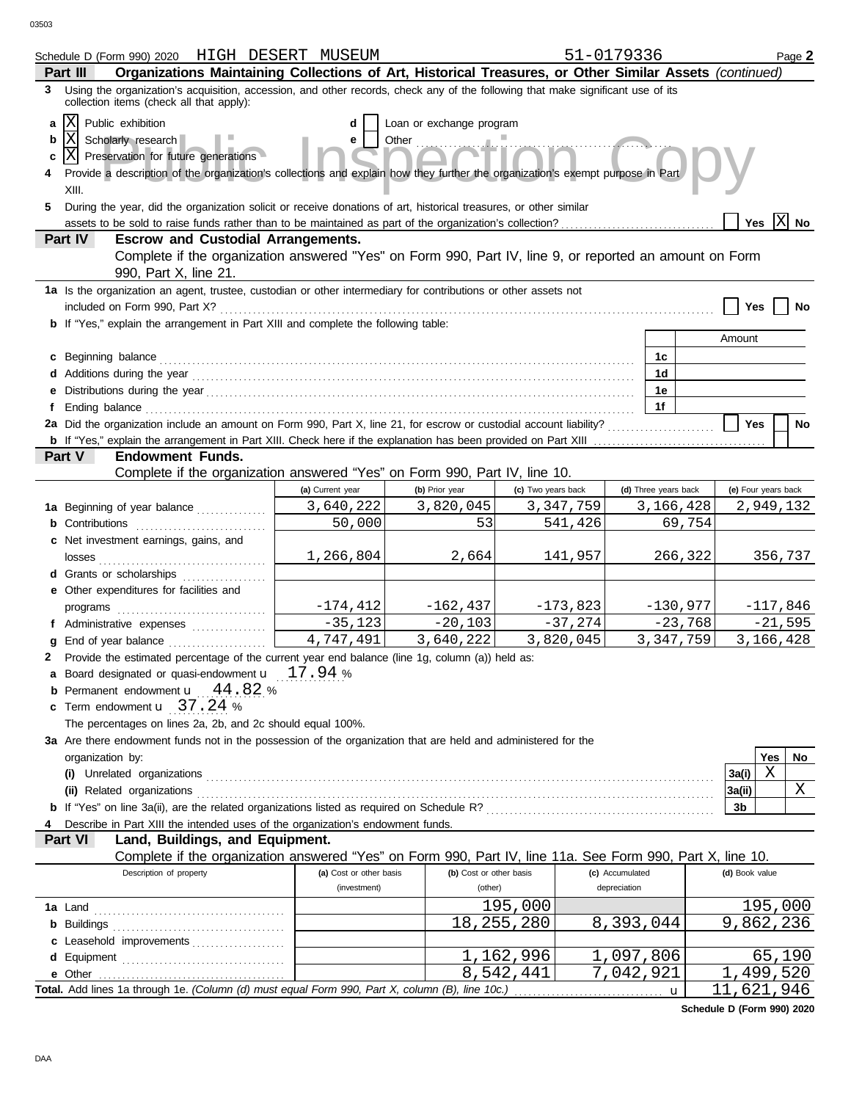|                        | Schedule D (Form 990) 2020 HIGH DESERT MUSEUM                                                                                                                                                                                                                                                                                                                                                                  |                         |                         |                    | 51-0179336           | Page 2                 |  |
|------------------------|----------------------------------------------------------------------------------------------------------------------------------------------------------------------------------------------------------------------------------------------------------------------------------------------------------------------------------------------------------------------------------------------------------------|-------------------------|-------------------------|--------------------|----------------------|------------------------|--|
|                        | Organizations Maintaining Collections of Art, Historical Treasures, or Other Similar Assets (continued)<br>Part III                                                                                                                                                                                                                                                                                            |                         |                         |                    |                      |                        |  |
|                        | 3 Using the organization's acquisition, accession, and other records, check any of the following that make significant use of its<br>collection items (check all that apply):                                                                                                                                                                                                                                  |                         |                         |                    |                      |                        |  |
| a<br>b<br>c<br>4<br>5. | X <br>Public exhibition<br>Loan or exchange program<br>d<br> X <br>Scholarly research<br>Other<br>e<br> X  Preservation for future generations<br>Provide a description of the organization's collections and explain how they further the organization's exempt purpose in Part<br>XIII.<br>During the year, did the organization solicit or receive donations of art, historical treasures, or other similar |                         |                         |                    |                      |                        |  |
|                        |                                                                                                                                                                                                                                                                                                                                                                                                                |                         |                         |                    |                      | Yes $ X $ No           |  |
| Part IV                | <b>Escrow and Custodial Arrangements.</b>                                                                                                                                                                                                                                                                                                                                                                      |                         |                         |                    |                      |                        |  |
|                        | Complete if the organization answered "Yes" on Form 990, Part IV, line 9, or reported an amount on Form<br>990, Part X, line 21.                                                                                                                                                                                                                                                                               |                         |                         |                    |                      |                        |  |
|                        | 1a Is the organization an agent, trustee, custodian or other intermediary for contributions or other assets not                                                                                                                                                                                                                                                                                                |                         |                         |                    |                      |                        |  |
|                        | <b>b</b> If "Yes," explain the arrangement in Part XIII and complete the following table:                                                                                                                                                                                                                                                                                                                      |                         |                         |                    |                      | Yes<br>No              |  |
|                        |                                                                                                                                                                                                                                                                                                                                                                                                                |                         |                         |                    |                      | Amount                 |  |
|                        | c Beginning balance                                                                                                                                                                                                                                                                                                                                                                                            |                         |                         |                    | 1c                   |                        |  |
|                        |                                                                                                                                                                                                                                                                                                                                                                                                                |                         |                         |                    | 1d                   |                        |  |
|                        |                                                                                                                                                                                                                                                                                                                                                                                                                |                         |                         |                    | 1е                   |                        |  |
| f                      | Ending balance contains and account of the contact of the contact of the contact of the contact of the contact of the contact of the contact of the contact of the contact of the contact of the contact of the contact of the                                                                                                                                                                                 |                         |                         |                    | 1f                   |                        |  |
|                        | 2a Did the organization include an amount on Form 990, Part X, line 21, for escrow or custodial account liability?                                                                                                                                                                                                                                                                                             |                         |                         |                    |                      | <b>Yes</b><br>No       |  |
|                        |                                                                                                                                                                                                                                                                                                                                                                                                                |                         |                         |                    |                      |                        |  |
| Part V                 | <b>Endowment Funds.</b>                                                                                                                                                                                                                                                                                                                                                                                        |                         |                         |                    |                      |                        |  |
|                        | Complete if the organization answered "Yes" on Form 990, Part IV, line 10.                                                                                                                                                                                                                                                                                                                                     |                         |                         |                    |                      |                        |  |
|                        |                                                                                                                                                                                                                                                                                                                                                                                                                | (a) Current year        | (b) Prior year          | (c) Two years back | (d) Three years back | (e) Four years back    |  |
|                        | 1a Beginning of year balance                                                                                                                                                                                                                                                                                                                                                                                   | 3,640,222               | 3,820,045               | 3, 347, 759        | 3,166,428            | 2,949,132              |  |
|                        | <b>b</b> Contributions <b>contributions</b>                                                                                                                                                                                                                                                                                                                                                                    | 50,000                  | 53                      | 541,426            |                      | 69,754                 |  |
|                        | c Net investment earnings, gains, and                                                                                                                                                                                                                                                                                                                                                                          | 1,266,804               | 2,664                   | 141,957            |                      | 266,322<br>356,737     |  |
|                        | <b>d</b> Grants or scholarships<br>.                                                                                                                                                                                                                                                                                                                                                                           |                         |                         |                    |                      |                        |  |
|                        | e Other expenditures for facilities and                                                                                                                                                                                                                                                                                                                                                                        |                         |                         |                    |                      |                        |  |
|                        | programs                                                                                                                                                                                                                                                                                                                                                                                                       | $-174, 412$             | $-162,437$              | $-173,823$         | $-130,977$           | $-117,846$             |  |
|                        | f Administrative expenses                                                                                                                                                                                                                                                                                                                                                                                      | $-35,123$               | $-20,103$               | $-37,274$          |                      | $-23,768$<br>$-21,595$ |  |
| a                      |                                                                                                                                                                                                                                                                                                                                                                                                                | 4,747,491               | 3,640,222               | 3,820,045          | 3, 347, 759          | 3,166,428              |  |
| 2                      | Provide the estimated percentage of the current year end balance (line 1g, column (a)) held as:                                                                                                                                                                                                                                                                                                                |                         |                         |                    |                      |                        |  |
|                        | a Board designated or quasi-endowment $\mathbf{u}$ 17.94 %                                                                                                                                                                                                                                                                                                                                                     |                         |                         |                    |                      |                        |  |
|                        | Permanent endowment <b>u</b> 44.82 %<br>c Term endowment <b>u</b> 37.24 %                                                                                                                                                                                                                                                                                                                                      |                         |                         |                    |                      |                        |  |
|                        | The percentages on lines 2a, 2b, and 2c should equal 100%.                                                                                                                                                                                                                                                                                                                                                     |                         |                         |                    |                      |                        |  |
|                        | 3a Are there endowment funds not in the possession of the organization that are held and administered for the                                                                                                                                                                                                                                                                                                  |                         |                         |                    |                      |                        |  |
|                        | organization by:                                                                                                                                                                                                                                                                                                                                                                                               |                         |                         |                    |                      | Yes<br>No              |  |
|                        |                                                                                                                                                                                                                                                                                                                                                                                                                |                         |                         |                    |                      | X<br>3a(i)             |  |
|                        |                                                                                                                                                                                                                                                                                                                                                                                                                |                         |                         |                    |                      | Χ<br> 3a(ii)           |  |
|                        |                                                                                                                                                                                                                                                                                                                                                                                                                |                         |                         |                    |                      | 3b                     |  |
| 4                      | Describe in Part XIII the intended uses of the organization's endowment funds.                                                                                                                                                                                                                                                                                                                                 |                         |                         |                    |                      |                        |  |
| Part VI                | Land, Buildings, and Equipment.                                                                                                                                                                                                                                                                                                                                                                                |                         |                         |                    |                      |                        |  |
|                        | Complete if the organization answered "Yes" on Form 990, Part IV, line 11a. See Form 990, Part X, line 10.                                                                                                                                                                                                                                                                                                     |                         |                         |                    |                      |                        |  |
|                        | Description of property                                                                                                                                                                                                                                                                                                                                                                                        | (a) Cost or other basis | (b) Cost or other basis |                    | (c) Accumulated      | (d) Book value         |  |
|                        |                                                                                                                                                                                                                                                                                                                                                                                                                | (investment)            | (other)                 |                    | depreciation         |                        |  |
|                        |                                                                                                                                                                                                                                                                                                                                                                                                                |                         |                         | 195,000            |                      | 195,000                |  |
|                        |                                                                                                                                                                                                                                                                                                                                                                                                                |                         |                         | 18, 255, 280       | 8,393,044            | 9,862,236              |  |
|                        | c Leasehold improvements                                                                                                                                                                                                                                                                                                                                                                                       |                         |                         |                    |                      |                        |  |
| d                      |                                                                                                                                                                                                                                                                                                                                                                                                                |                         |                         | 1,162,996          | 1,097,806            | 65,190                 |  |
|                        |                                                                                                                                                                                                                                                                                                                                                                                                                |                         |                         | 8,542,441          | 7,042,921            | 1,499,520              |  |
|                        | Total. Add lines 1a through 1e. (Column (d) must equal Form 990, Part X, column (B), line 10c.)                                                                                                                                                                                                                                                                                                                |                         |                         |                    | $\mathbf u$          | 11,621,946             |  |

**Schedule D (Form 990) 2020**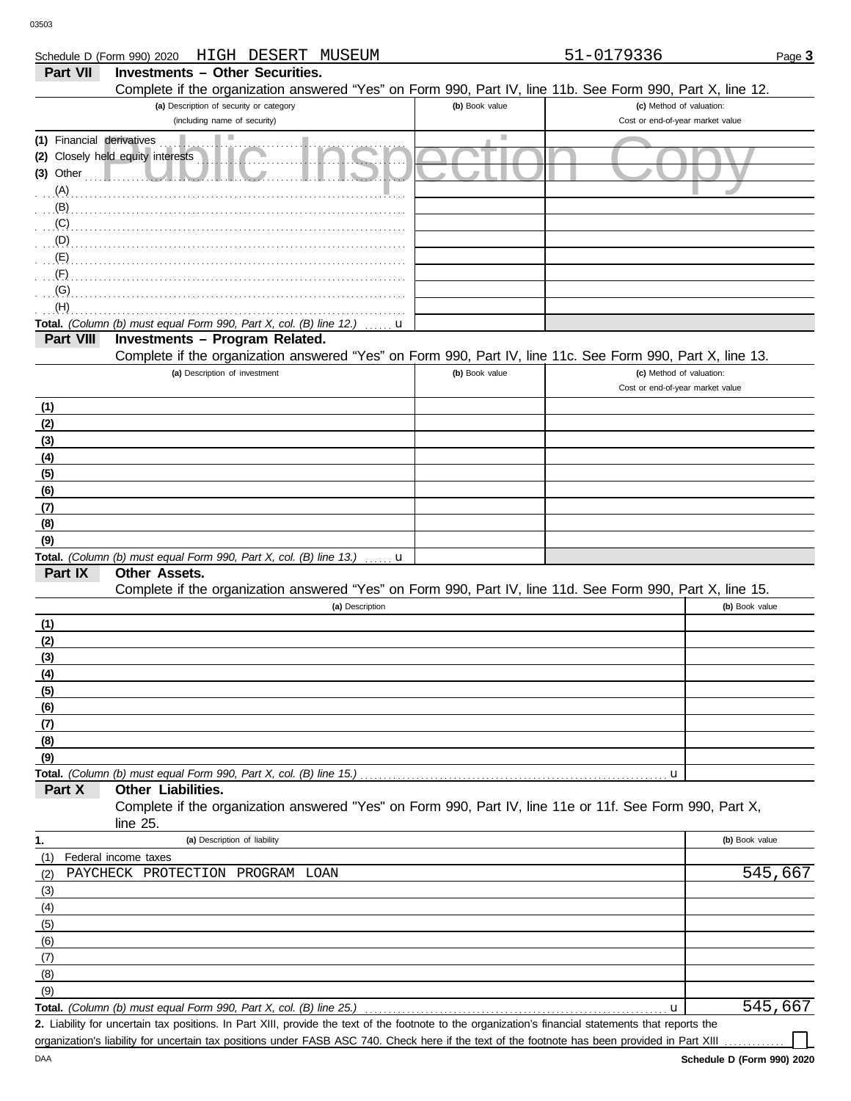| Schedule D (Form 990) 2020 | HIGH DESERT MUSEUM                                                                                         |                | 51-0179336                       | Page 3         |
|----------------------------|------------------------------------------------------------------------------------------------------------|----------------|----------------------------------|----------------|
| <b>Part VII</b>            | <b>Investments - Other Securities.</b>                                                                     |                |                                  |                |
|                            | Complete if the organization answered "Yes" on Form 990, Part IV, line 11b. See Form 990, Part X, line 12. |                |                                  |                |
|                            | (a) Description of security or category                                                                    | (b) Book value | (c) Method of valuation:         |                |
|                            | (including name of security)                                                                               |                | Cost or end-of-year market value |                |
| (1) Financial derivatives  | ш                                                                                                          |                |                                  |                |
|                            | (2) Closely held equity interests                                                                          |                |                                  |                |
| $(3)$ Other                |                                                                                                            |                |                                  |                |
| $(A)$ .                    |                                                                                                            |                |                                  |                |
| (B)                        |                                                                                                            |                |                                  |                |
| (C)                        |                                                                                                            |                |                                  |                |
| (D)                        |                                                                                                            |                |                                  |                |
| (E)                        |                                                                                                            |                |                                  |                |
| (F)                        |                                                                                                            |                |                                  |                |
| (G)                        |                                                                                                            |                |                                  |                |
| (H)                        |                                                                                                            |                |                                  |                |
|                            |                                                                                                            |                |                                  |                |
| Part VIII                  | Total. (Column (b) must equal Form 990, Part X, col. (B) line 12.)<br>u<br>Investments - Program Related.  |                |                                  |                |
|                            | Complete if the organization answered "Yes" on Form 990, Part IV, line 11c. See Form 990, Part X, line 13. |                |                                  |                |
|                            | (a) Description of investment                                                                              | (b) Book value | (c) Method of valuation:         |                |
|                            |                                                                                                            |                | Cost or end-of-year market value |                |
|                            |                                                                                                            |                |                                  |                |
| (1)                        |                                                                                                            |                |                                  |                |
| (2)                        |                                                                                                            |                |                                  |                |
| (3)                        |                                                                                                            |                |                                  |                |
| (4)                        |                                                                                                            |                |                                  |                |
| (5)                        |                                                                                                            |                |                                  |                |
| (6)                        |                                                                                                            |                |                                  |                |
| (7)                        |                                                                                                            |                |                                  |                |
| (8)                        |                                                                                                            |                |                                  |                |
| (9)                        |                                                                                                            |                |                                  |                |
| Part IX                    | Total. (Column (b) must equal Form 990, Part X, col. (B) line 13.) $\ldots$ <b>u</b><br>Other Assets.      |                |                                  |                |
|                            | Complete if the organization answered "Yes" on Form 990, Part IV, line 11d. See Form 990, Part X, line 15. |                |                                  |                |
|                            | (a) Description                                                                                            |                |                                  | (b) Book value |
|                            |                                                                                                            |                |                                  |                |
| (1)                        |                                                                                                            |                |                                  |                |
| (2)                        |                                                                                                            |                |                                  |                |
| (3)                        |                                                                                                            |                |                                  |                |
| (4)                        |                                                                                                            |                |                                  |                |
| (5)                        |                                                                                                            |                |                                  |                |
| (6)                        |                                                                                                            |                |                                  |                |
| (7)                        |                                                                                                            |                |                                  |                |
| (8)                        |                                                                                                            |                |                                  |                |
| (9)                        |                                                                                                            |                |                                  |                |
| Part X                     |                                                                                                            |                | u                                |                |
|                            | Other Liabilities.                                                                                         |                |                                  |                |
|                            | Complete if the organization answered "Yes" on Form 990, Part IV, line 11e or 11f. See Form 990, Part X,   |                |                                  |                |
|                            | line $25$ .                                                                                                |                |                                  |                |
| 1.                         | (a) Description of liability                                                                               |                |                                  | (b) Book value |
| (1)                        | Federal income taxes                                                                                       |                |                                  |                |
| (2)                        | PAYCHECK PROTECTION PROGRAM LOAN                                                                           |                |                                  | 545,667        |
| (3)                        |                                                                                                            |                |                                  |                |
| (4)                        |                                                                                                            |                |                                  |                |
| (5)                        |                                                                                                            |                |                                  |                |
| (6)                        |                                                                                                            |                |                                  |                |
| (7)                        |                                                                                                            |                |                                  |                |
| (8)                        |                                                                                                            |                |                                  |                |

**Total.** *(Column (b) must equal Form 990, Part X, col. (B) line 25.)*  $(9)$ 

DAA

Liability for uncertain tax positions. In Part XIII, provide the text of the footnote to the organization's financial statements that reports the **2.** organization's liability for uncertain tax positions under FASB ASC 740. Check here if the text of the footnote has been provided in Part XIII

545,667

u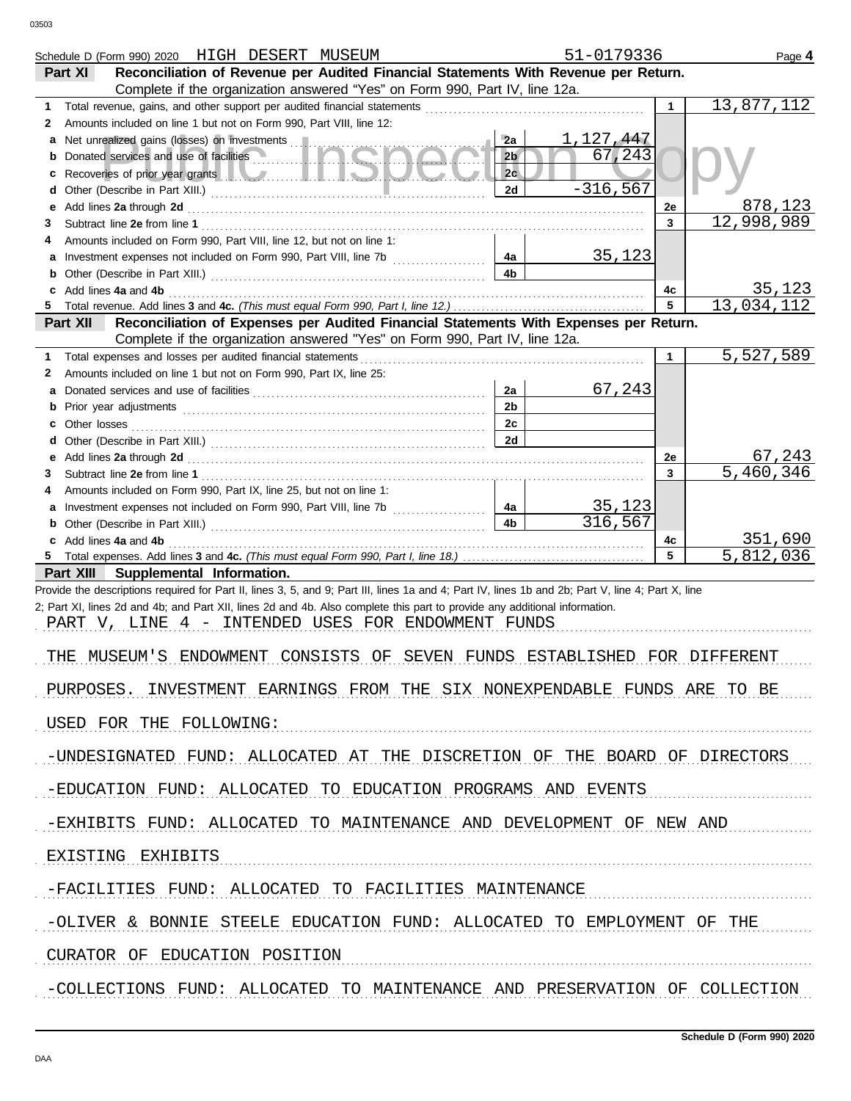|                               | Schedule D (Form 990) 2020 HIGH DESERT MUSEUM                                                                                                                                                                                                                                               |                      | 51-0179336          |              | Page 4                 |  |
|-------------------------------|---------------------------------------------------------------------------------------------------------------------------------------------------------------------------------------------------------------------------------------------------------------------------------------------|----------------------|---------------------|--------------|------------------------|--|
|                               | Reconciliation of Revenue per Audited Financial Statements With Revenue per Return.<br>Part XI                                                                                                                                                                                              |                      |                     |              |                        |  |
|                               | Complete if the organization answered "Yes" on Form 990, Part IV, line 12a.                                                                                                                                                                                                                 |                      |                     |              |                        |  |
| 1                             |                                                                                                                                                                                                                                                                                             |                      |                     | $\mathbf{1}$ | 13,877,112             |  |
| 2                             | Amounts included on line 1 but not on Form 990, Part VIII, line 12:                                                                                                                                                                                                                         |                      |                     |              |                        |  |
|                               |                                                                                                                                                                                                                                                                                             | 2a                   | 1,127,447<br>67,243 |              |                        |  |
| b                             | Donated services and use of facilities <b>Community</b> and <b>Community</b> and <b>Community</b> and <b>Community</b> and <b>Community</b> and <b>Community</b> and <b>Community</b> and <b>Community</b> and <b>Community</b> and <b>Community</b> and <b>Community</b> and <b>Commun</b> | 2 <sub>b</sub><br>2c |                     |              |                        |  |
| c<br>d                        | Recoveries of prior year grants <b>the contract of the contract of prior</b>                                                                                                                                                                                                                | 2d                   | $-316, 567$         |              |                        |  |
| е                             |                                                                                                                                                                                                                                                                                             |                      |                     | 2e           | <u>878,123</u>         |  |
| 3                             |                                                                                                                                                                                                                                                                                             |                      |                     | 3            | 12,998,989             |  |
| 4                             | Amounts included on Form 990, Part VIII, line 12, but not on line 1:                                                                                                                                                                                                                        |                      |                     |              |                        |  |
|                               |                                                                                                                                                                                                                                                                                             | 4a                   | <u>35,123</u>       |              |                        |  |
| b                             |                                                                                                                                                                                                                                                                                             | 4 <sub>b</sub>       |                     |              |                        |  |
|                               | c Add lines 4a and 4b                                                                                                                                                                                                                                                                       |                      |                     | 4c           | 35,123                 |  |
| 5                             |                                                                                                                                                                                                                                                                                             |                      |                     | 5            | 13,034,112             |  |
|                               | Reconciliation of Expenses per Audited Financial Statements With Expenses per Return.<br>Part XII                                                                                                                                                                                           |                      |                     |              |                        |  |
|                               | Complete if the organization answered "Yes" on Form 990, Part IV, line 12a.                                                                                                                                                                                                                 |                      |                     |              |                        |  |
| 1                             | Total expenses and losses per audited financial statements                                                                                                                                                                                                                                  |                      |                     | $\mathbf{1}$ | 5,527,589              |  |
| 2                             | Amounts included on line 1 but not on Form 990, Part IX, line 25:                                                                                                                                                                                                                           | 2a                   | 67,243              |              |                        |  |
| a<br>b                        |                                                                                                                                                                                                                                                                                             | 2 <sub>b</sub>       |                     |              |                        |  |
|                               | <b>c</b> Other losses                                                                                                                                                                                                                                                                       | 2 <sub>c</sub>       |                     |              |                        |  |
| d                             |                                                                                                                                                                                                                                                                                             | 2d                   |                     |              |                        |  |
| е                             | Add lines 2a through 2d [11] Additional Property and Property and Property and Property and Property and Property and Property and Property and Property and Property and Property and Property and Property and Property and                                                               |                      |                     | 2e           | <u>67,243</u>          |  |
| 3                             |                                                                                                                                                                                                                                                                                             |                      |                     | $\mathbf{3}$ | $\overline{5,460,346}$ |  |
| 4                             | Amounts included on Form 990, Part IX, line 25, but not on line 1:                                                                                                                                                                                                                          |                      |                     |              |                        |  |
|                               |                                                                                                                                                                                                                                                                                             | 4a                   | 35,123              |              |                        |  |
|                               |                                                                                                                                                                                                                                                                                             | 4 <sub>b</sub>       | 316, 567            |              |                        |  |
|                               | c Add lines 4a and 4b                                                                                                                                                                                                                                                                       |                      |                     | 4c           | 351,690                |  |
|                               |                                                                                                                                                                                                                                                                                             |                      |                     |              | 5,812,036              |  |
|                               | Part XIII Supplemental Information.<br>Provide the descriptions required for Part II, lines 3, 5, and 9; Part III, lines 1a and 4; Part IV, lines 1b and 2b; Part V, line 4; Part X, line                                                                                                   |                      |                     |              |                        |  |
|                               | 2; Part XI, lines 2d and 4b; and Part XII, lines 2d and 4b. Also complete this part to provide any additional information.                                                                                                                                                                  |                      |                     |              |                        |  |
|                               | PART V, LINE 4 - INTENDED USES FOR ENDOWMENT FUNDS                                                                                                                                                                                                                                          |                      |                     |              |                        |  |
|                               |                                                                                                                                                                                                                                                                                             |                      |                     |              |                        |  |
|                               | THE MUSEUM'S ENDOWMENT CONSISTS OF SEVEN FUNDS ESTABLISHED FOR DIFFERENT                                                                                                                                                                                                                    |                      |                     |              |                        |  |
|                               | PURPOSES. INVESTMENT EARNINGS FROM THE SIX NONEXPENDABLE FUNDS ARE TO BE                                                                                                                                                                                                                    |                      |                     |              |                        |  |
|                               | USED FOR THE FOLLOWING:                                                                                                                                                                                                                                                                     |                      |                     |              |                        |  |
|                               | -UNDESIGNATED FUND: ALLOCATED AT THE DISCRETION OF THE BOARD OF DIRECTORS                                                                                                                                                                                                                   |                      |                     |              |                        |  |
|                               | -EDUCATION FUND: ALLOCATED TO EDUCATION PROGRAMS AND EVENTS                                                                                                                                                                                                                                 |                      |                     |              |                        |  |
|                               | -EXHIBITS FUND: ALLOCATED TO MAINTENANCE AND DEVELOPMENT OF NEW AND                                                                                                                                                                                                                         |                      |                     |              |                        |  |
|                               | EXISTING EXHIBITS                                                                                                                                                                                                                                                                           |                      |                     |              |                        |  |
|                               | -FACILITIES FUND: ALLOCATED TO FACILITIES MAINTENANCE                                                                                                                                                                                                                                       |                      |                     |              |                        |  |
|                               | -OLIVER & BONNIE STEELE EDUCATION FUND: ALLOCATED TO EMPLOYMENT OF THE                                                                                                                                                                                                                      |                      |                     |              |                        |  |
| CURATOR OF EDUCATION POSITION |                                                                                                                                                                                                                                                                                             |                      |                     |              |                        |  |
|                               | -COLLECTIONS FUND: ALLOCATED TO MAINTENANCE AND PRESERVATION OF COLLECTION                                                                                                                                                                                                                  |                      |                     |              |                        |  |
|                               |                                                                                                                                                                                                                                                                                             |                      |                     |              |                        |  |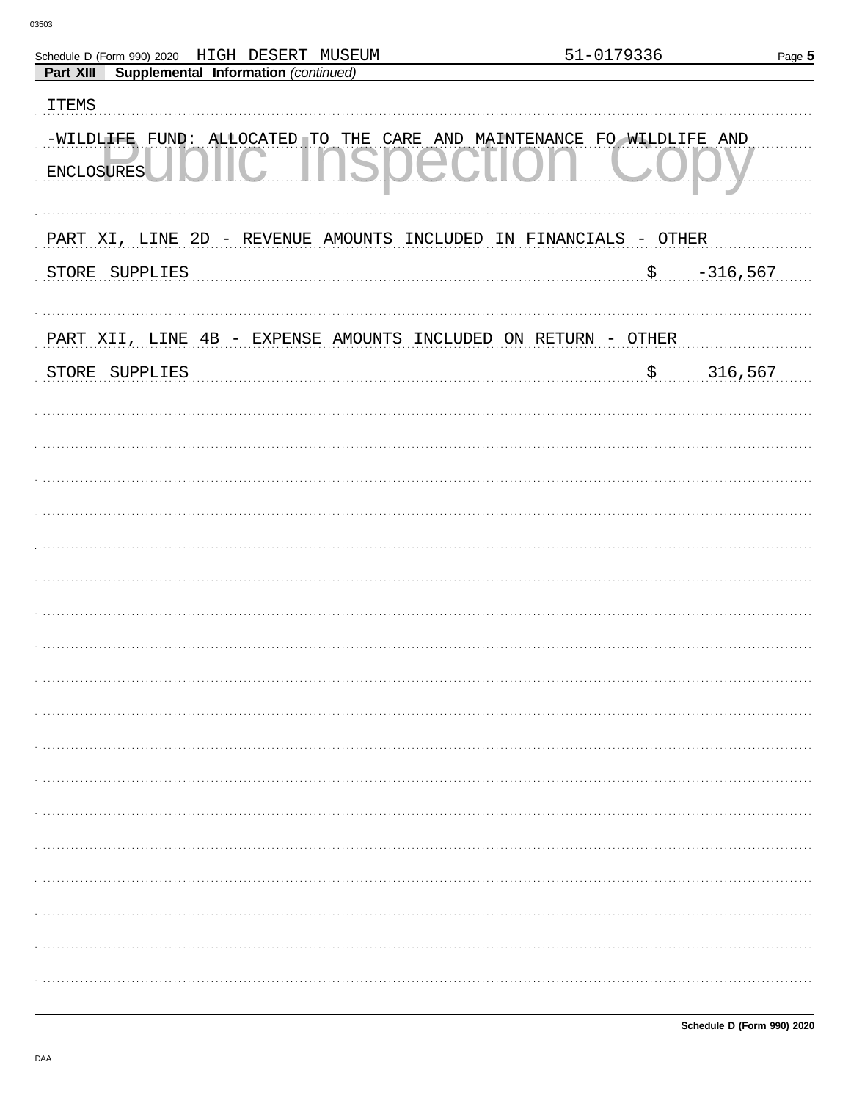| Supplemental Information (continued)<br>Part XIII<br><b>ITEMS</b><br>-WILDLIFE FUND: ALLOCATED TO THE CARE AND MAINTENANCE FO WILDLIFE AND<br><b>ENCLOSURES</b><br>PART XI, LINE 2D - REVENUE AMOUNTS INCLUDED IN FINANCIALS - OTHER<br>$-316,567$<br>STORE SUPPLIES<br>$\boldsymbol{\dot{\mathsf{S}}}$<br>PART XII, LINE 4B - EXPENSE AMOUNTS INCLUDED ON RETURN - OTHER<br>316,567<br>\$<br>STORE SUPPLIES | Schedule D (Form 990) 2020 HIGH DESERT MUSEUM | 51-0179336 | Page 5 |
|--------------------------------------------------------------------------------------------------------------------------------------------------------------------------------------------------------------------------------------------------------------------------------------------------------------------------------------------------------------------------------------------------------------|-----------------------------------------------|------------|--------|
|                                                                                                                                                                                                                                                                                                                                                                                                              |                                               |            |        |
|                                                                                                                                                                                                                                                                                                                                                                                                              |                                               |            |        |
|                                                                                                                                                                                                                                                                                                                                                                                                              |                                               |            |        |
|                                                                                                                                                                                                                                                                                                                                                                                                              |                                               |            |        |
|                                                                                                                                                                                                                                                                                                                                                                                                              |                                               |            |        |
|                                                                                                                                                                                                                                                                                                                                                                                                              |                                               |            |        |
|                                                                                                                                                                                                                                                                                                                                                                                                              |                                               |            |        |
|                                                                                                                                                                                                                                                                                                                                                                                                              |                                               |            |        |
|                                                                                                                                                                                                                                                                                                                                                                                                              |                                               |            |        |
|                                                                                                                                                                                                                                                                                                                                                                                                              |                                               |            |        |
|                                                                                                                                                                                                                                                                                                                                                                                                              |                                               |            |        |
|                                                                                                                                                                                                                                                                                                                                                                                                              |                                               |            |        |
|                                                                                                                                                                                                                                                                                                                                                                                                              |                                               |            |        |
|                                                                                                                                                                                                                                                                                                                                                                                                              |                                               |            |        |
|                                                                                                                                                                                                                                                                                                                                                                                                              |                                               |            |        |
|                                                                                                                                                                                                                                                                                                                                                                                                              |                                               |            |        |
|                                                                                                                                                                                                                                                                                                                                                                                                              |                                               |            |        |
|                                                                                                                                                                                                                                                                                                                                                                                                              |                                               |            |        |
|                                                                                                                                                                                                                                                                                                                                                                                                              |                                               |            |        |
|                                                                                                                                                                                                                                                                                                                                                                                                              |                                               |            |        |
|                                                                                                                                                                                                                                                                                                                                                                                                              |                                               |            |        |
|                                                                                                                                                                                                                                                                                                                                                                                                              |                                               |            |        |
|                                                                                                                                                                                                                                                                                                                                                                                                              |                                               |            |        |
|                                                                                                                                                                                                                                                                                                                                                                                                              |                                               |            |        |
|                                                                                                                                                                                                                                                                                                                                                                                                              |                                               |            |        |
|                                                                                                                                                                                                                                                                                                                                                                                                              |                                               |            |        |
|                                                                                                                                                                                                                                                                                                                                                                                                              |                                               |            |        |
|                                                                                                                                                                                                                                                                                                                                                                                                              |                                               |            |        |
|                                                                                                                                                                                                                                                                                                                                                                                                              |                                               |            |        |
|                                                                                                                                                                                                                                                                                                                                                                                                              |                                               |            |        |
|                                                                                                                                                                                                                                                                                                                                                                                                              |                                               |            |        |
|                                                                                                                                                                                                                                                                                                                                                                                                              |                                               |            |        |
|                                                                                                                                                                                                                                                                                                                                                                                                              |                                               |            |        |
|                                                                                                                                                                                                                                                                                                                                                                                                              |                                               |            |        |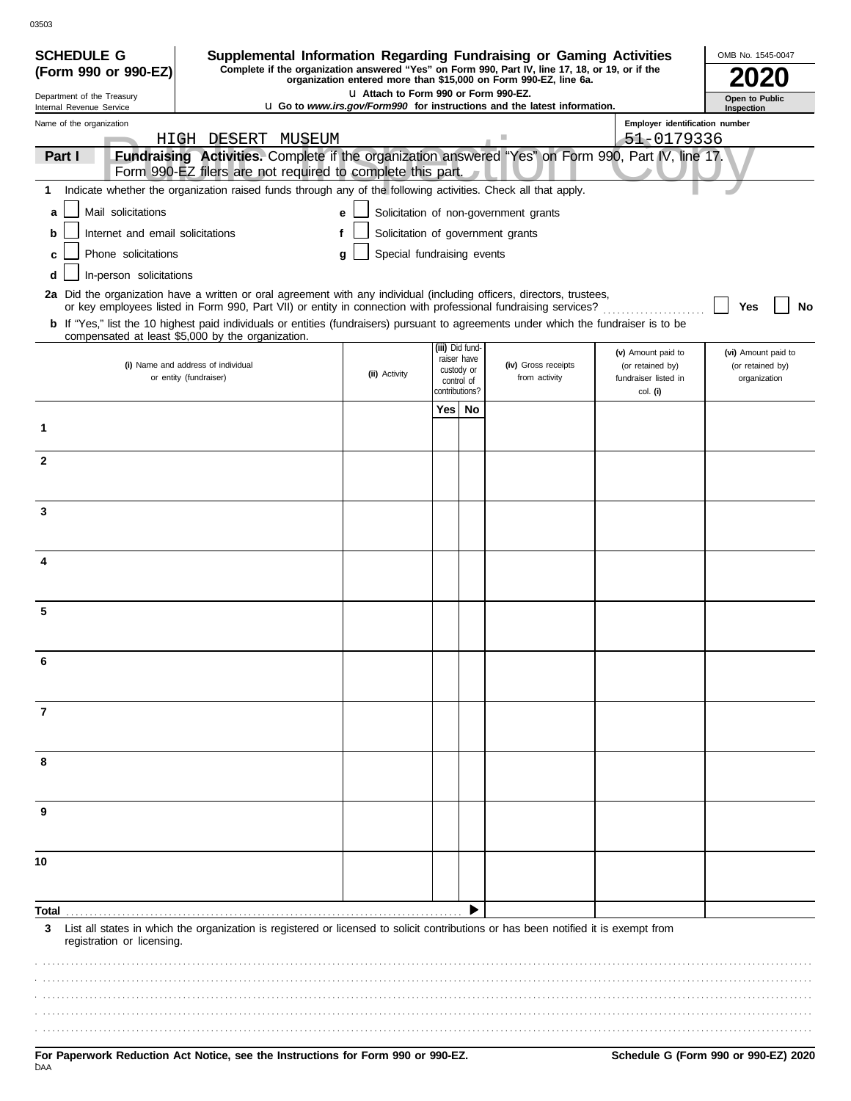| <b>SCHEDULE G</b>                                                                                                                                                                           | Supplemental Information Regarding Fundraising or Gaming Activities                                                                                                                                                                      |                                       |     |                              |                                                                                 |                                        | OMB No. 1545-0047                       |
|---------------------------------------------------------------------------------------------------------------------------------------------------------------------------------------------|------------------------------------------------------------------------------------------------------------------------------------------------------------------------------------------------------------------------------------------|---------------------------------------|-----|------------------------------|---------------------------------------------------------------------------------|----------------------------------------|-----------------------------------------|
| Complete if the organization answered "Yes" on Form 990, Part IV, line 17, 18, or 19, or if the<br>(Form 990 or 990-EZ)<br>organization entered more than \$15,000 on Form 990-EZ, line 6a. |                                                                                                                                                                                                                                          |                                       |     |                              |                                                                                 |                                        |                                         |
| Department of the Treasury<br>Internal Revenue Service                                                                                                                                      |                                                                                                                                                                                                                                          | L1 Attach to Form 990 or Form 990-EZ. |     |                              | <b>u</b> Go to www.irs.gov/Form990 for instructions and the latest information. |                                        | Open to Public<br>Inspection            |
| Name of the organization                                                                                                                                                                    |                                                                                                                                                                                                                                          |                                       |     |                              |                                                                                 | Employer identification number         |                                         |
|                                                                                                                                                                                             | HIGH DESERT MUSEUM<br>Fundraising Activities. Complete if the organization answered "Yes" on Form 990, Part IV, line 17.                                                                                                                 |                                       |     |                              |                                                                                 | 51-0179336                             |                                         |
| Part I                                                                                                                                                                                      | Form 990-EZ filers are not required to complete this part.                                                                                                                                                                               |                                       |     |                              |                                                                                 |                                        |                                         |
| 1                                                                                                                                                                                           | Indicate whether the organization raised funds through any of the following activities. Check all that apply.                                                                                                                            |                                       |     |                              |                                                                                 |                                        |                                         |
| Mail solicitations<br>a                                                                                                                                                                     |                                                                                                                                                                                                                                          | е                                     |     |                              | Solicitation of non-government grants                                           |                                        |                                         |
| Internet and email solicitations<br>b                                                                                                                                                       |                                                                                                                                                                                                                                          |                                       |     |                              | Solicitation of government grants                                               |                                        |                                         |
| Phone solicitations<br>C                                                                                                                                                                    |                                                                                                                                                                                                                                          | Special fundraising events<br>a       |     |                              |                                                                                 |                                        |                                         |
| In-person solicitations<br>d                                                                                                                                                                |                                                                                                                                                                                                                                          |                                       |     |                              |                                                                                 |                                        |                                         |
|                                                                                                                                                                                             | 2a Did the organization have a written or oral agreement with any individual (including officers, directors, trustees,<br>or key employees listed in Form 990, Part VII) or entity in connection with professional fundraising services? |                                       |     |                              |                                                                                 |                                        | Yes<br>No                               |
|                                                                                                                                                                                             | b If "Yes," list the 10 highest paid individuals or entities (fundraisers) pursuant to agreements under which the fundraiser is to be                                                                                                    |                                       |     |                              |                                                                                 |                                        |                                         |
|                                                                                                                                                                                             | compensated at least \$5,000 by the organization.                                                                                                                                                                                        |                                       |     | (iii) Did fund-              |                                                                                 |                                        |                                         |
|                                                                                                                                                                                             | (i) Name and address of individual                                                                                                                                                                                                       |                                       |     | raiser have<br>custody or    | (iv) Gross receipts                                                             | (v) Amount paid to<br>(or retained by) | (vi) Amount paid to<br>(or retained by) |
|                                                                                                                                                                                             | or entity (fundraiser)                                                                                                                                                                                                                   | (ii) Activity                         |     | control of<br>contributions? | from activity                                                                   | fundraiser listed in<br>col. (i)       | organization                            |
|                                                                                                                                                                                             |                                                                                                                                                                                                                                          |                                       | Yes | No                           |                                                                                 |                                        |                                         |
| 1                                                                                                                                                                                           |                                                                                                                                                                                                                                          |                                       |     |                              |                                                                                 |                                        |                                         |
|                                                                                                                                                                                             |                                                                                                                                                                                                                                          |                                       |     |                              |                                                                                 |                                        |                                         |
| $\mathbf{2}$                                                                                                                                                                                |                                                                                                                                                                                                                                          |                                       |     |                              |                                                                                 |                                        |                                         |
|                                                                                                                                                                                             |                                                                                                                                                                                                                                          |                                       |     |                              |                                                                                 |                                        |                                         |
| 3                                                                                                                                                                                           |                                                                                                                                                                                                                                          |                                       |     |                              |                                                                                 |                                        |                                         |
|                                                                                                                                                                                             |                                                                                                                                                                                                                                          |                                       |     |                              |                                                                                 |                                        |                                         |
| 4                                                                                                                                                                                           |                                                                                                                                                                                                                                          |                                       |     |                              |                                                                                 |                                        |                                         |
|                                                                                                                                                                                             |                                                                                                                                                                                                                                          |                                       |     |                              |                                                                                 |                                        |                                         |
|                                                                                                                                                                                             |                                                                                                                                                                                                                                          |                                       |     |                              |                                                                                 |                                        |                                         |
| 5                                                                                                                                                                                           |                                                                                                                                                                                                                                          |                                       |     |                              |                                                                                 |                                        |                                         |
|                                                                                                                                                                                             |                                                                                                                                                                                                                                          |                                       |     |                              |                                                                                 |                                        |                                         |
|                                                                                                                                                                                             |                                                                                                                                                                                                                                          |                                       |     |                              |                                                                                 |                                        |                                         |
|                                                                                                                                                                                             |                                                                                                                                                                                                                                          |                                       |     |                              |                                                                                 |                                        |                                         |
| 7                                                                                                                                                                                           |                                                                                                                                                                                                                                          |                                       |     |                              |                                                                                 |                                        |                                         |
|                                                                                                                                                                                             |                                                                                                                                                                                                                                          |                                       |     |                              |                                                                                 |                                        |                                         |
| 8                                                                                                                                                                                           |                                                                                                                                                                                                                                          |                                       |     |                              |                                                                                 |                                        |                                         |
|                                                                                                                                                                                             |                                                                                                                                                                                                                                          |                                       |     |                              |                                                                                 |                                        |                                         |
|                                                                                                                                                                                             |                                                                                                                                                                                                                                          |                                       |     |                              |                                                                                 |                                        |                                         |
| 9                                                                                                                                                                                           |                                                                                                                                                                                                                                          |                                       |     |                              |                                                                                 |                                        |                                         |
|                                                                                                                                                                                             |                                                                                                                                                                                                                                          |                                       |     |                              |                                                                                 |                                        |                                         |
| 10                                                                                                                                                                                          |                                                                                                                                                                                                                                          |                                       |     |                              |                                                                                 |                                        |                                         |
|                                                                                                                                                                                             |                                                                                                                                                                                                                                          |                                       |     |                              |                                                                                 |                                        |                                         |
| Total                                                                                                                                                                                       |                                                                                                                                                                                                                                          |                                       |     |                              |                                                                                 |                                        |                                         |
| 3                                                                                                                                                                                           | List all states in which the organization is registered or licensed to solicit contributions or has been notified it is exempt from                                                                                                      |                                       |     |                              |                                                                                 |                                        |                                         |
| registration or licensing.                                                                                                                                                                  |                                                                                                                                                                                                                                          |                                       |     |                              |                                                                                 |                                        |                                         |
|                                                                                                                                                                                             |                                                                                                                                                                                                                                          |                                       |     |                              |                                                                                 |                                        |                                         |
|                                                                                                                                                                                             |                                                                                                                                                                                                                                          |                                       |     |                              |                                                                                 |                                        |                                         |
|                                                                                                                                                                                             |                                                                                                                                                                                                                                          |                                       |     |                              |                                                                                 |                                        |                                         |
|                                                                                                                                                                                             |                                                                                                                                                                                                                                          |                                       |     |                              |                                                                                 |                                        |                                         |
|                                                                                                                                                                                             |                                                                                                                                                                                                                                          |                                       |     |                              |                                                                                 |                                        |                                         |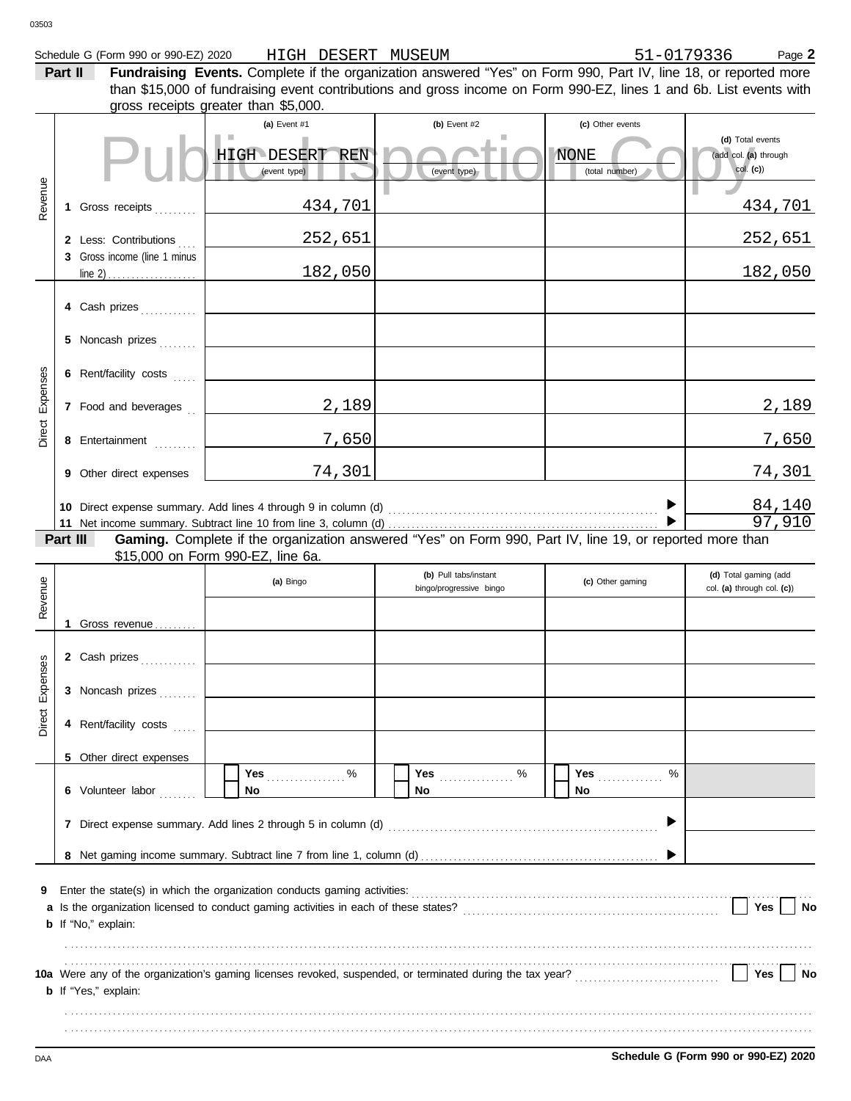| )3503                  |          | Schedule G (Form 990 or 990-EZ) 2020                  | HIGH DESERT MUSEUM                                                                                                                                                                                                                                                            |                                                  | 51-0179336                    | Page 2                                                |
|------------------------|----------|-------------------------------------------------------|-------------------------------------------------------------------------------------------------------------------------------------------------------------------------------------------------------------------------------------------------------------------------------|--------------------------------------------------|-------------------------------|-------------------------------------------------------|
|                        | Part II  |                                                       | Fundraising Events. Complete if the organization answered "Yes" on Form 990, Part IV, line 18, or reported more<br>than \$15,000 of fundraising event contributions and gross income on Form 990-EZ, lines 1 and 6b. List events with<br>gross receipts greater than \$5,000. |                                                  |                               |                                                       |
|                        |          |                                                       | (a) Event #1                                                                                                                                                                                                                                                                  | (b) Event #2                                     | (c) Other events              |                                                       |
|                        |          |                                                       | <b>HIGH DESERT REN</b><br>(event type)                                                                                                                                                                                                                                        | (event type)                                     | <b>NONE</b><br>(total number) | (d) Total events<br>(add col. (a) through<br>col. (c) |
| Revenue                |          | 1 Gross receipts                                      | 434,701                                                                                                                                                                                                                                                                       |                                                  |                               | 434,701                                               |
|                        |          | 2 Less: Contributions<br>3 Gross income (line 1 minus | 252,651                                                                                                                                                                                                                                                                       |                                                  |                               | 252,651                                               |
|                        |          |                                                       | 182,050                                                                                                                                                                                                                                                                       |                                                  |                               | 182,050                                               |
|                        |          | 4 Cash prizes<br>5 Noncash prizes                     |                                                                                                                                                                                                                                                                               |                                                  |                               |                                                       |
|                        |          | 6 Rent/facility costs                                 |                                                                                                                                                                                                                                                                               |                                                  |                               |                                                       |
| Direct Expenses        |          | 7 Food and beverages                                  | 2,189                                                                                                                                                                                                                                                                         |                                                  |                               | 2,189                                                 |
|                        |          | 8 Entertainment                                       | 7,650                                                                                                                                                                                                                                                                         |                                                  |                               | 7,650                                                 |
|                        |          | 9 Other direct expenses                               | 74,301                                                                                                                                                                                                                                                                        |                                                  |                               | 74,301                                                |
|                        | Part III |                                                       | Gaming. Complete if the organization answered "Yes" on Form 990, Part IV, line 19, or reported more than                                                                                                                                                                      |                                                  |                               | 84,140<br>97,910                                      |
|                        |          |                                                       | \$15,000 on Form 990-EZ, line 6a.                                                                                                                                                                                                                                             |                                                  |                               |                                                       |
| $\frac{6}{2}$<br>Reven |          |                                                       | (a) Bingo                                                                                                                                                                                                                                                                     | (b) Pull tabs/instant<br>bingo/progressive bingo | (c) Other gaming              | (d) Total gaming (add<br>col. (a) through col. (c))   |
|                        |          | 1 Gross revenue                                       |                                                                                                                                                                                                                                                                               |                                                  |                               |                                                       |
|                        |          | 2 Cash prizes                                         |                                                                                                                                                                                                                                                                               |                                                  |                               |                                                       |
| Expenses               |          | 3 Noncash prizes                                      |                                                                                                                                                                                                                                                                               |                                                  |                               |                                                       |
| Direct                 |          | 4 Rent/facility costs                                 |                                                                                                                                                                                                                                                                               |                                                  |                               |                                                       |
|                        |          | 5 Other direct expenses<br>6 Volunteer labor          | %<br>Yes <b>Market</b><br>No.                                                                                                                                                                                                                                                 | No                                               | Yes <i></i><br>%<br>No.       |                                                       |
|                        |          |                                                       |                                                                                                                                                                                                                                                                               |                                                  |                               |                                                       |
| 9                      |          |                                                       |                                                                                                                                                                                                                                                                               |                                                  |                               | Yes<br>No                                             |
|                        |          | <b>b</b> If "No," explain:                            |                                                                                                                                                                                                                                                                               |                                                  |                               |                                                       |
|                        |          | <b>b</b> If "Yes," explain:                           |                                                                                                                                                                                                                                                                               |                                                  |                               | Yes<br>No                                             |

. . . . . . . . . . . . . . . . . . . . . . . . . . . . . . . . . . . . . . . . . . . . . . . . . . . . . . . . . . . . . . . . . . . . . . . . . . . . . . . . . . . . . . . . . . . . . . . . . . . . . . . . . . . . . . . . . . . . . . . . . . . . . . . . . . . . . . . . . . . . . . . . . . . . . . . . . . . . . . . . . . . . . . . . . . . . . . . . . . . . . . . . . . . . . . . . . . . . . . . . . . . . . . . . . . . . . . . . . . . . . . . . . . . . . . . . . . . . . . . . . . . . . . . . . . . . . . . . . . . . . . . . . . . . . . . . . . . . . . . . . . . . . . . . . . . . . . . . . . . . . . . . . . . . . . . . . . . . . . . .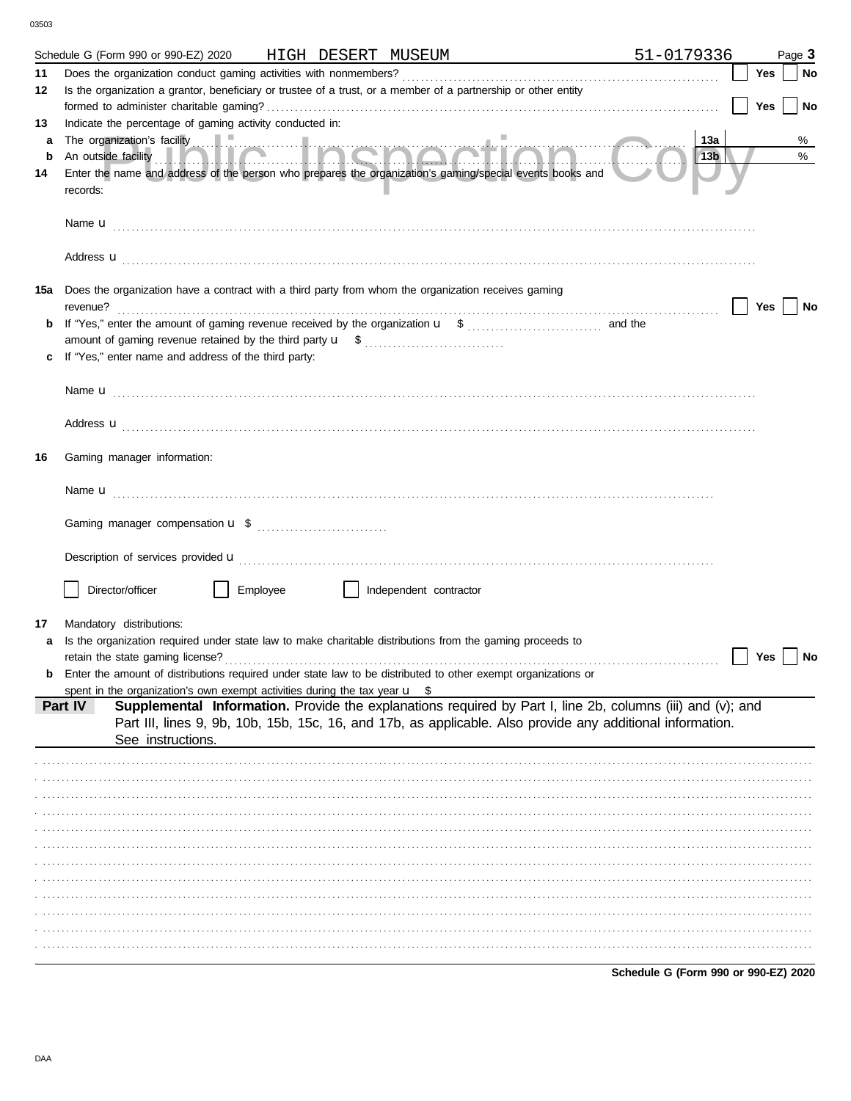|             | Schedule G (Form 990 or 990-EZ) 2020<br>HIGH DESERT MUSEUM                                                                                                                                                                          | 51-0179336                           |     | Page 3 |
|-------------|-------------------------------------------------------------------------------------------------------------------------------------------------------------------------------------------------------------------------------------|--------------------------------------|-----|--------|
| 11          |                                                                                                                                                                                                                                     |                                      | Yes | No     |
| 12          | Is the organization a grantor, beneficiary or trustee of a trust, or a member of a partnership or other entity                                                                                                                      |                                      |     |        |
|             |                                                                                                                                                                                                                                     |                                      | Yes | No     |
| 13          | Indicate the percentage of gaming activity conducted in:                                                                                                                                                                            |                                      |     |        |
| a           |                                                                                                                                                                                                                                     | 13a                                  |     | %      |
| $\mathbf b$ |                                                                                                                                                                                                                                     | 13 <sub>b</sub>                      |     | $\%$   |
| 14          | Enter the name and address of the person who prepares the organization's gaming/special events books and<br>records:                                                                                                                |                                      |     |        |
|             |                                                                                                                                                                                                                                     |                                      |     |        |
|             | Address <b>u</b>                                                                                                                                                                                                                    |                                      |     |        |
| 15a         | Does the organization have a contract with a third party from whom the organization receives gaming                                                                                                                                 |                                      |     |        |
|             | revenue?                                                                                                                                                                                                                            |                                      | Yes | No     |
| b           |                                                                                                                                                                                                                                     |                                      |     |        |
|             | If "Yes," enter name and address of the third party:                                                                                                                                                                                |                                      |     |        |
|             |                                                                                                                                                                                                                                     |                                      |     |        |
|             |                                                                                                                                                                                                                                     |                                      |     |        |
|             | Address <b>u</b>                                                                                                                                                                                                                    |                                      |     |        |
| 16          | Gaming manager information:                                                                                                                                                                                                         |                                      |     |        |
|             |                                                                                                                                                                                                                                     |                                      |     |        |
|             |                                                                                                                                                                                                                                     |                                      |     |        |
|             |                                                                                                                                                                                                                                     |                                      |     |        |
|             |                                                                                                                                                                                                                                     |                                      |     |        |
|             |                                                                                                                                                                                                                                     |                                      |     |        |
|             | Director/officer<br>Employee<br>Independent contractor                                                                                                                                                                              |                                      |     |        |
|             |                                                                                                                                                                                                                                     |                                      |     |        |
| 17          | Mandatory distributions:                                                                                                                                                                                                            |                                      |     |        |
|             | Is the organization required under state law to make charitable distributions from the gaming proceeds to                                                                                                                           |                                      |     |        |
|             | retain the state gaming license?<br>Enter the amount of distributions required under state law to be distributed to other exempt organizations or                                                                                   |                                      | Yes | No     |
|             | spent in the organization's own exempt activities during the tax year $\mathbf{u}$ \$                                                                                                                                               |                                      |     |        |
|             | Supplemental Information. Provide the explanations required by Part I, line 2b, columns (iii) and (v); and<br>Part IV<br>Part III, lines 9, 9b, 10b, 15b, 15c, 16, and 17b, as applicable. Also provide any additional information. |                                      |     |        |
|             | See instructions.                                                                                                                                                                                                                   |                                      |     |        |
|             |                                                                                                                                                                                                                                     |                                      |     |        |
|             |                                                                                                                                                                                                                                     |                                      |     |        |
|             |                                                                                                                                                                                                                                     |                                      |     |        |
|             |                                                                                                                                                                                                                                     |                                      |     |        |
|             |                                                                                                                                                                                                                                     |                                      |     |        |
|             |                                                                                                                                                                                                                                     |                                      |     |        |
|             |                                                                                                                                                                                                                                     |                                      |     |        |
|             |                                                                                                                                                                                                                                     |                                      |     |        |
|             |                                                                                                                                                                                                                                     |                                      |     |        |
|             |                                                                                                                                                                                                                                     |                                      |     |        |
|             |                                                                                                                                                                                                                                     |                                      |     |        |
|             |                                                                                                                                                                                                                                     | Schedule G (Form 990 or 990-EZ) 2020 |     |        |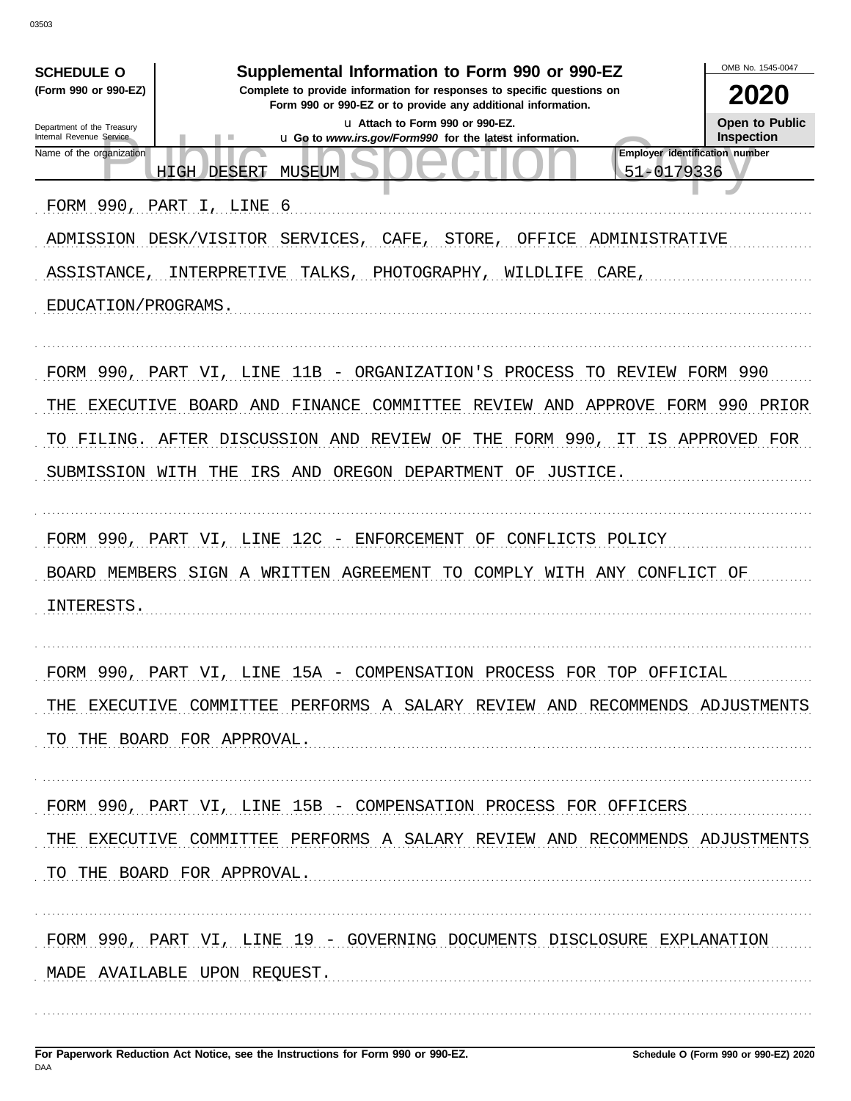| <b>SCHEDULE O</b>                                      | Supplemental Information to Form 990 or 990-EZ                                                                                         | OMB No. 1545-0047                   |
|--------------------------------------------------------|----------------------------------------------------------------------------------------------------------------------------------------|-------------------------------------|
| (Form 990 or 990-EZ)                                   | Complete to provide information for responses to specific questions on<br>Form 990 or 990-EZ or to provide any additional information. | 2020                                |
| Department of the Treasury<br>Internal Revenue Service | La Attach to Form 990 or 990-EZ.<br>u Go to www.irs.gov/Form990 for the latest information.                                            | Open to Public<br><b>Inspection</b> |
| Name of the organization                               | Employer identification number<br>51-0179336<br><b>HIGH</b><br>DESERT<br>MUSEUM                                                        |                                     |
| FORM 990,                                              | PART I,<br>LINE 6                                                                                                                      |                                     |
|                                                        | ADMISSION DESK/VISITOR<br>SERVICES,<br>CAFE,<br>STORE,<br>OFFICE<br>ADMINISTRATIVE                                                     |                                     |
| ASSISTANCE,                                            | INTERPRETIVE<br>PHOTOGRAPHY,<br>WILDLIFE<br>CARE,<br>TALKS,                                                                            |                                     |
| EDUCATION/PROGRAMS.                                    |                                                                                                                                        |                                     |
| FORM 990,                                              | PART VI, LINE 11B - ORGANIZATION'S PROCESS TO REVIEW FORM 990                                                                          |                                     |
| THE<br>EXECUTIVE                                       | BOARD AND<br>FINANCE<br>COMMITTEE<br>REVIEW AND<br>APPROVE                                                                             | FORM 990<br>PRIOR                   |
| FILING.<br>TO                                          | AFTER DISCUSSION AND REVIEW OF<br>FORM 990, IT<br>THE                                                                                  | IS APPROVED FOR                     |
|                                                        | OREGON DEPARTMENT<br>SUBMISSION WITH THE IRS AND<br>OF<br>JUSTICE.                                                                     |                                     |
|                                                        |                                                                                                                                        |                                     |
| FORM 990,                                              | LINE 12C - ENFORCEMENT<br>PART VI,<br>OF<br>CONFLICTS<br>POLICY                                                                        |                                     |
| <b>BOARD</b>                                           | MEMBERS SIGN A WRITTEN AGREEMENT<br>COMPLY WITH ANY CONFLICT OF<br>TO                                                                  |                                     |
| INTERESTS.                                             |                                                                                                                                        |                                     |
|                                                        |                                                                                                                                        |                                     |
|                                                        | FORM 990, PART VI, LINE 15A - COMPENSATION PROCESS FOR TOP OFFICIAL                                                                    |                                     |
|                                                        | THE EXECUTIVE COMMITTEE PERFORMS A SALARY REVIEW AND RECOMMENDS ADJUSTMENTS                                                            |                                     |
|                                                        | TO THE BOARD FOR APPROVAL.                                                                                                             |                                     |
|                                                        |                                                                                                                                        |                                     |
|                                                        | FORM 990, PART VI, LINE 15B - COMPENSATION PROCESS FOR OFFICERS                                                                        |                                     |
|                                                        | THE EXECUTIVE COMMITTEE PERFORMS A SALARY REVIEW AND RECOMMENDS ADJUSTMENTS                                                            |                                     |
|                                                        | TO THE BOARD FOR APPROVAL.                                                                                                             |                                     |
|                                                        |                                                                                                                                        |                                     |
|                                                        | FORM 990, PART VI, LINE 19 - GOVERNING DOCUMENTS DISCLOSURE EXPLANATION                                                                |                                     |
|                                                        | MADE AVAILABLE UPON REQUEST.                                                                                                           |                                     |
|                                                        |                                                                                                                                        |                                     |